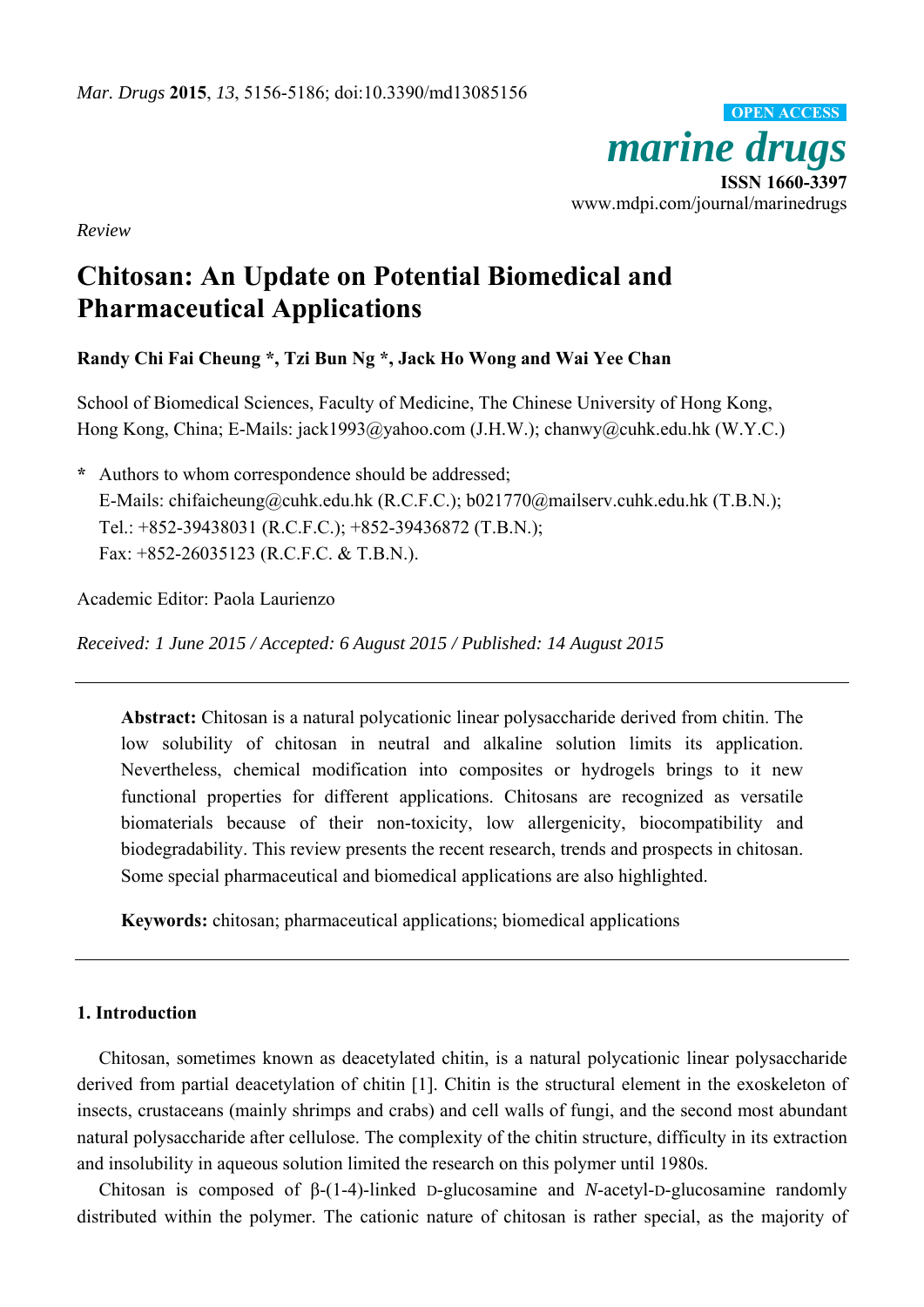*marine drugs* **ISSN 1660-3397**  www.mdpi.com/journal/marinedrugs **OPEN ACCESS**

*Review* 

# **Chitosan: An Update on Potential Biomedical and Pharmaceutical Applications**

**Randy Chi Fai Cheung \*, Tzi Bun Ng \*, Jack Ho Wong and Wai Yee Chan** 

School of Biomedical Sciences, Faculty of Medicine, The Chinese University of Hong Kong, Hong Kong, China; E-Mails: jack1993@yahoo.com (J.H.W.); chanwy@cuhk.edu.hk (W.Y.C.)

**\*** Authors to whom correspondence should be addressed; E-Mails: chifaicheung@cuhk.edu.hk (R.C.F.C.); b021770@mailserv.cuhk.edu.hk (T.B.N.); Tel.: +852-39438031 (R.C.F.C.); +852-39436872 (T.B.N.); Fax: +852-26035123 (R.C.F.C. & T.B.N.).

Academic Editor: Paola Laurienzo

*Received: 1 June 2015 / Accepted: 6 August 2015 / Published: 14 August 2015* 

**Abstract:** Chitosan is a natural polycationic linear polysaccharide derived from chitin. The low solubility of chitosan in neutral and alkaline solution limits its application. Nevertheless, chemical modification into composites or hydrogels brings to it new functional properties for different applications. Chitosans are recognized as versatile biomaterials because of their non-toxicity, low allergenicity, biocompatibility and biodegradability. This review presents the recent research, trends and prospects in chitosan. Some special pharmaceutical and biomedical applications are also highlighted.

**Keywords:** chitosan; pharmaceutical applications; biomedical applications

#### **1. Introduction**

Chitosan, sometimes known as deacetylated chitin, is a natural polycationic linear polysaccharide derived from partial deacetylation of chitin [1]. Chitin is the structural element in the exoskeleton of insects, crustaceans (mainly shrimps and crabs) and cell walls of fungi, and the second most abundant natural polysaccharide after cellulose. The complexity of the chitin structure, difficulty in its extraction and insolubility in aqueous solution limited the research on this polymer until 1980s.

Chitosan is composed of β-(1-4)-linked D-glucosamine and *N*-acetyl-D-glucosamine randomly distributed within the polymer. The cationic nature of chitosan is rather special, as the majority of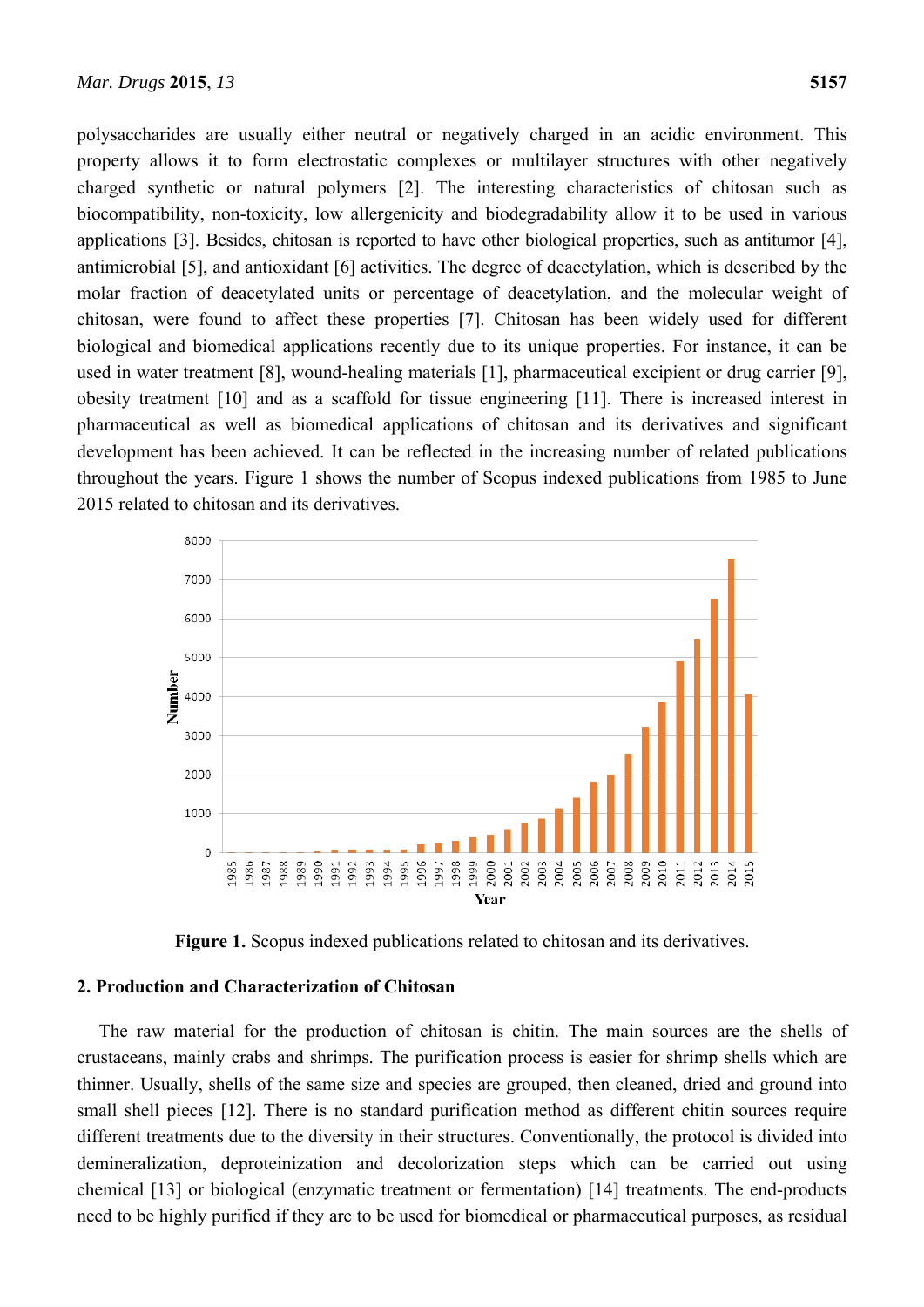polysaccharides are usually either neutral or negatively charged in an acidic environment. This property allows it to form electrostatic complexes or multilayer structures with other negatively charged synthetic or natural polymers [2]. The interesting characteristics of chitosan such as biocompatibility, non-toxicity, low allergenicity and biodegradability allow it to be used in various applications [3]. Besides, chitosan is reported to have other biological properties, such as antitumor [4], antimicrobial [5], and antioxidant [6] activities. The degree of deacetylation, which is described by the molar fraction of deacetylated units or percentage of deacetylation, and the molecular weight of chitosan, were found to affect these properties [7]. Chitosan has been widely used for different biological and biomedical applications recently due to its unique properties. For instance, it can be used in water treatment [8], wound-healing materials [1], pharmaceutical excipient or drug carrier [9], obesity treatment [10] and as a scaffold for tissue engineering [11]. There is increased interest in pharmaceutical as well as biomedical applications of chitosan and its derivatives and significant development has been achieved. It can be reflected in the increasing number of related publications throughout the years. Figure 1 shows the number of Scopus indexed publications from 1985 to June 2015 related to chitosan and its derivatives.



**Figure 1.** Scopus indexed publications related to chitosan and its derivatives.

# **2. Production and Characterization of Chitosan**

The raw material for the production of chitosan is chitin. The main sources are the shells of crustaceans, mainly crabs and shrimps. The purification process is easier for shrimp shells which are thinner. Usually, shells of the same size and species are grouped, then cleaned, dried and ground into small shell pieces [12]. There is no standard purification method as different chitin sources require different treatments due to the diversity in their structures. Conventionally, the protocol is divided into demineralization, deproteinization and decolorization steps which can be carried out using chemical [13] or biological (enzymatic treatment or fermentation) [14] treatments. The end-products need to be highly purified if they are to be used for biomedical or pharmaceutical purposes, as residual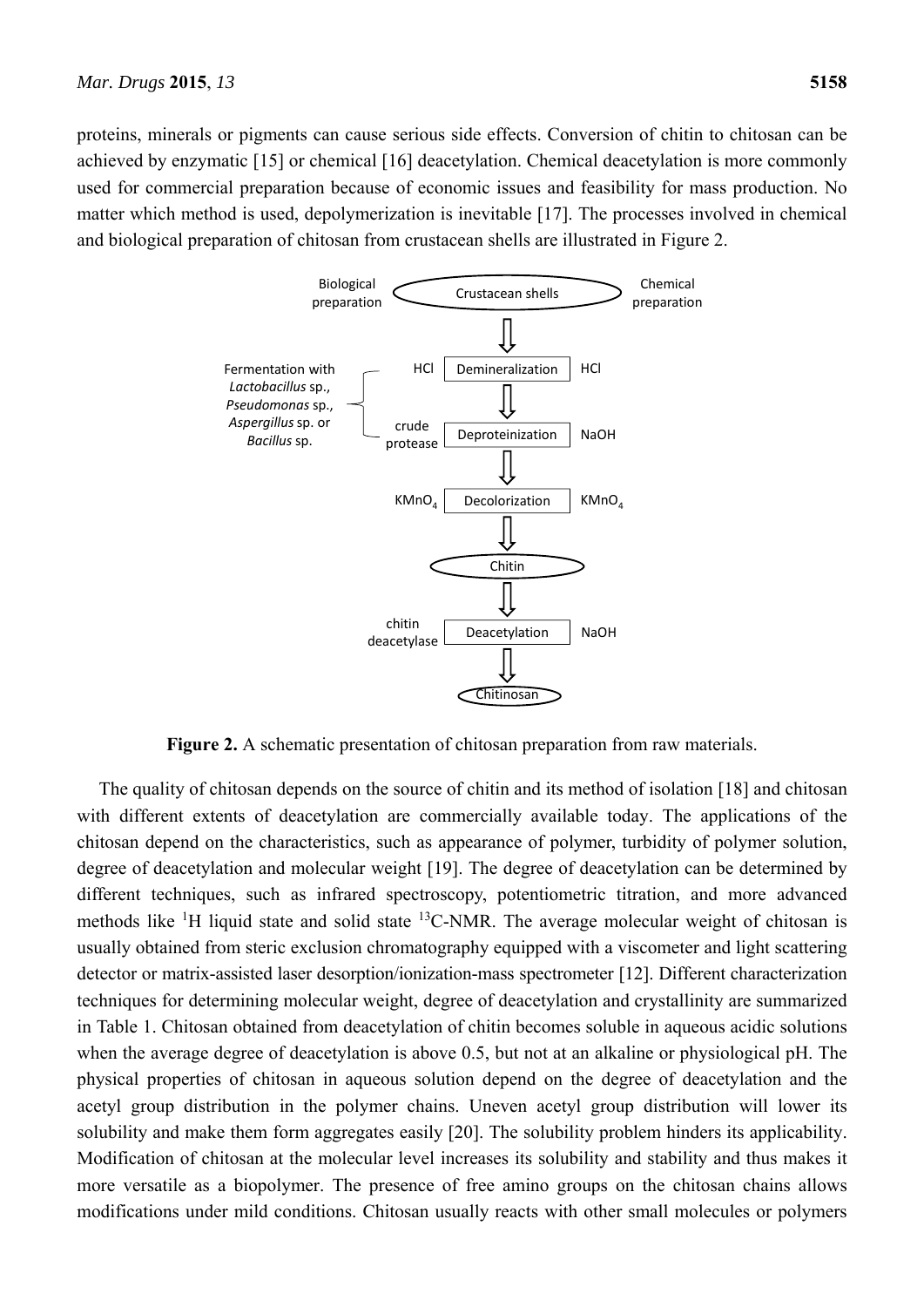proteins, minerals or pigments can cause serious side effects. Conversion of chitin to chitosan can be achieved by enzymatic [15] or chemical [16] deacetylation. Chemical deacetylation is more commonly used for commercial preparation because of economic issues and feasibility for mass production. No matter which method is used, depolymerization is inevitable [17]. The processes involved in chemical and biological preparation of chitosan from crustacean shells are illustrated in Figure 2.



**Figure 2.** A schematic presentation of chitosan preparation from raw materials.

The quality of chitosan depends on the source of chitin and its method of isolation [18] and chitosan with different extents of deacetylation are commercially available today. The applications of the chitosan depend on the characteristics, such as appearance of polymer, turbidity of polymer solution, degree of deacetylation and molecular weight [19]. The degree of deacetylation can be determined by different techniques, such as infrared spectroscopy, potentiometric titration, and more advanced methods like  ${}^{1}H$  liquid state and solid state  ${}^{13}C$ -NMR. The average molecular weight of chitosan is usually obtained from steric exclusion chromatography equipped with a viscometer and light scattering detector or matrix-assisted laser desorption/ionization-mass spectrometer [12]. Different characterization techniques for determining molecular weight, degree of deacetylation and crystallinity are summarized in Table 1. Chitosan obtained from deacetylation of chitin becomes soluble in aqueous acidic solutions when the average degree of deacetylation is above 0.5, but not at an alkaline or physiological pH. The physical properties of chitosan in aqueous solution depend on the degree of deacetylation and the acetyl group distribution in the polymer chains. Uneven acetyl group distribution will lower its solubility and make them form aggregates easily [20]. The solubility problem hinders its applicability. Modification of chitosan at the molecular level increases its solubility and stability and thus makes it more versatile as a biopolymer. The presence of free amino groups on the chitosan chains allows modifications under mild conditions. Chitosan usually reacts with other small molecules or polymers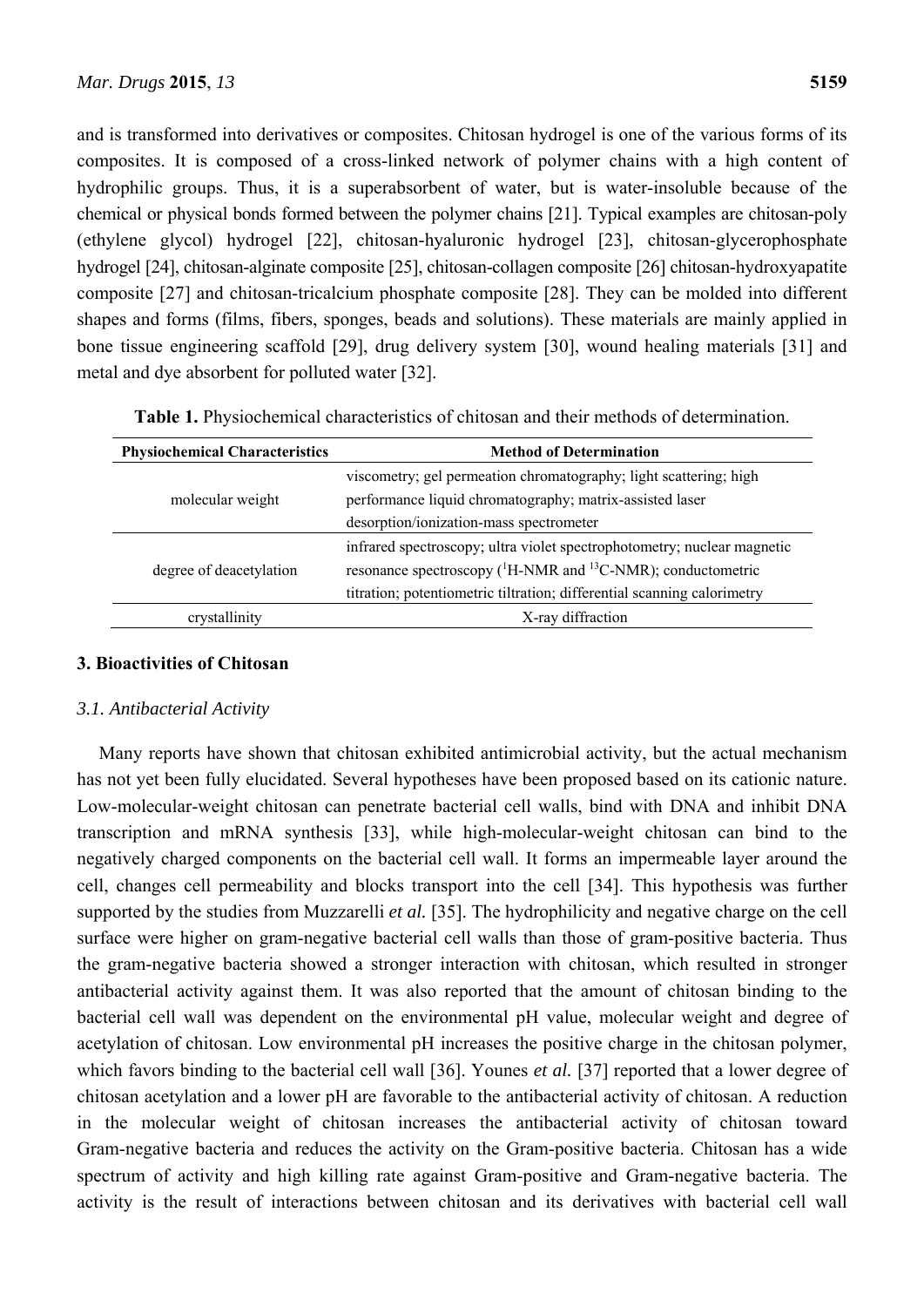and is transformed into derivatives or composites. Chitosan hydrogel is one of the various forms of its composites. It is composed of a cross-linked network of polymer chains with a high content of hydrophilic groups. Thus, it is a superabsorbent of water, but is water-insoluble because of the chemical or physical bonds formed between the polymer chains [21]. Typical examples are chitosan-poly (ethylene glycol) hydrogel [22], chitosan-hyaluronic hydrogel [23], chitosan-glycerophosphate hydrogel [24], chitosan-alginate composite [25], chitosan-collagen composite [26] chitosan-hydroxyapatite composite [27] and chitosan-tricalcium phosphate composite [28]. They can be molded into different shapes and forms (films, fibers, sponges, beads and solutions). These materials are mainly applied in bone tissue engineering scaffold [29], drug delivery system [30], wound healing materials [31] and metal and dye absorbent for polluted water [32].

| <b>Physiochemical Characteristics</b> | <b>Method of Determination</b>                                                                                                |  |  |
|---------------------------------------|-------------------------------------------------------------------------------------------------------------------------------|--|--|
| molecular weight                      | viscometry; gel permeation chromatography; light scattering; high<br>performance liquid chromatography; matrix-assisted laser |  |  |
|                                       | desorption/ionization-mass spectrometer                                                                                       |  |  |
| degree of deacetylation               | infrared spectroscopy; ultra violet spectrophotometry; nuclear magnetic                                                       |  |  |
|                                       | resonance spectroscopy $(^1H\text{-NMR}$ and $^{13}C\text{-NMR}$ ); conductometric                                            |  |  |
|                                       | titration; potentiometric tiltration; differential scanning calorimetry                                                       |  |  |
| crystallinity                         | X-ray diffraction                                                                                                             |  |  |

**Table 1.** Physiochemical characteristics of chitosan and their methods of determination.

# **3. Bioactivities of Chitosan**

# *3.1. Antibacterial Activity*

Many reports have shown that chitosan exhibited antimicrobial activity, but the actual mechanism has not yet been fully elucidated. Several hypotheses have been proposed based on its cationic nature. Low-molecular-weight chitosan can penetrate bacterial cell walls, bind with DNA and inhibit DNA transcription and mRNA synthesis [33], while high-molecular-weight chitosan can bind to the negatively charged components on the bacterial cell wall. It forms an impermeable layer around the cell, changes cell permeability and blocks transport into the cell [34]. This hypothesis was further supported by the studies from Muzzarelli *et al.* [35]. The hydrophilicity and negative charge on the cell surface were higher on gram-negative bacterial cell walls than those of gram-positive bacteria. Thus the gram-negative bacteria showed a stronger interaction with chitosan, which resulted in stronger antibacterial activity against them. It was also reported that the amount of chitosan binding to the bacterial cell wall was dependent on the environmental pH value, molecular weight and degree of acetylation of chitosan. Low environmental pH increases the positive charge in the chitosan polymer, which favors binding to the bacterial cell wall [36]. Younes *et al.* [37] reported that a lower degree of chitosan acetylation and a lower pH are favorable to the antibacterial activity of chitosan. A reduction in the molecular weight of chitosan increases the antibacterial activity of chitosan toward Gram-negative bacteria and reduces the activity on the Gram-positive bacteria. Chitosan has a wide spectrum of activity and high killing rate against Gram-positive and Gram-negative bacteria. The activity is the result of interactions between chitosan and its derivatives with bacterial cell wall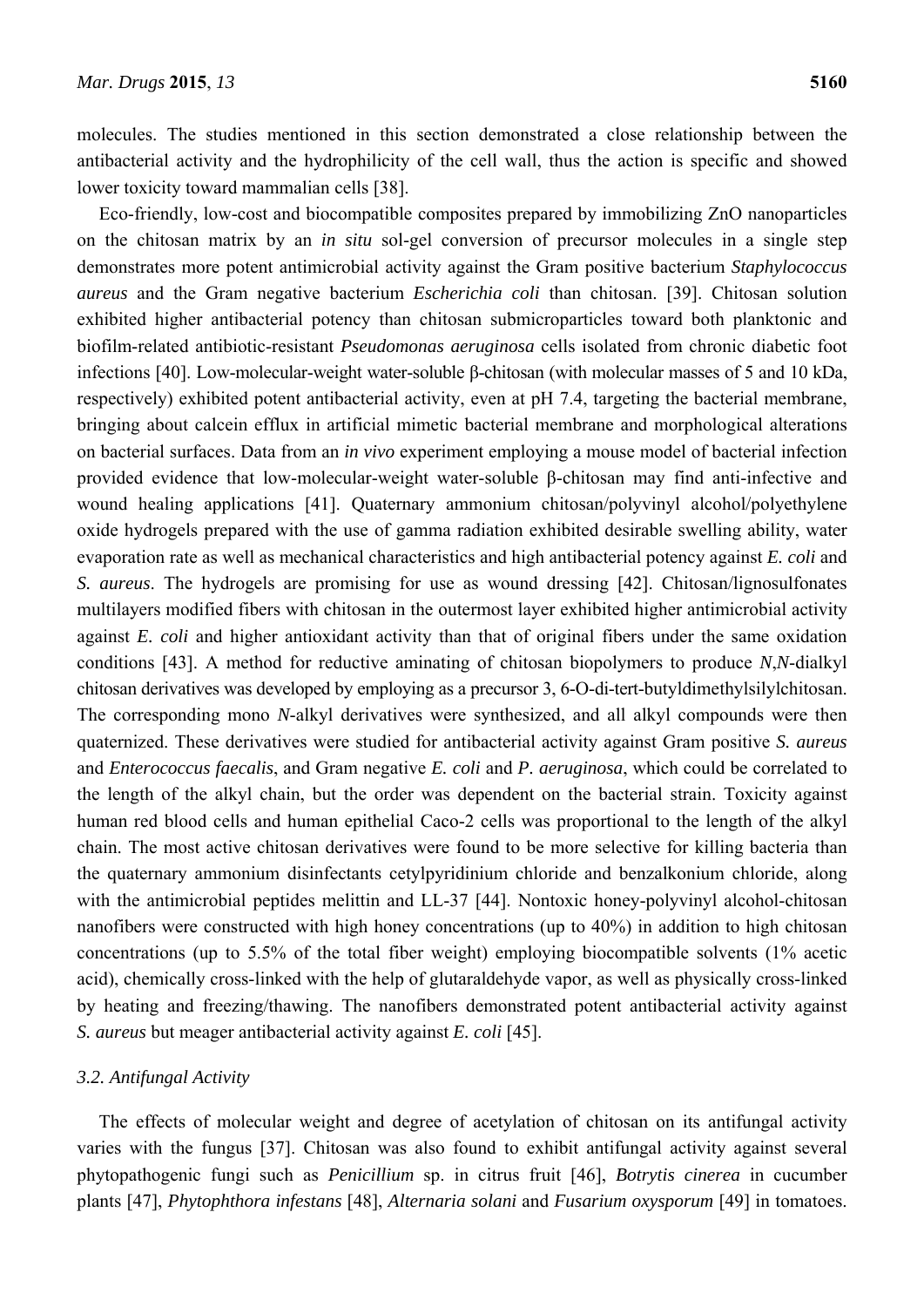molecules. The studies mentioned in this section demonstrated a close relationship between the antibacterial activity and the hydrophilicity of the cell wall, thus the action is specific and showed lower toxicity toward mammalian cells [38].

Eco-friendly, low-cost and biocompatible composites prepared by immobilizing ZnO nanoparticles on the chitosan matrix by an *in situ* sol-gel conversion of precursor molecules in a single step demonstrates more potent antimicrobial activity against the Gram positive bacterium *Staphylococcus aureus* and the Gram negative bacterium *Escherichia coli* than chitosan. [39]. Chitosan solution exhibited higher antibacterial potency than chitosan submicroparticles toward both planktonic and biofilm-related antibiotic-resistant *Pseudomonas aeruginosa* cells isolated from chronic diabetic foot infections [40]. Low-molecular-weight water-soluble β-chitosan (with molecular masses of 5 and 10 kDa, respectively) exhibited potent antibacterial activity, even at pH 7.4, targeting the bacterial membrane, bringing about calcein efflux in artificial mimetic bacterial membrane and morphological alterations on bacterial surfaces. Data from an *in vivo* experiment employing a mouse model of bacterial infection provided evidence that low-molecular-weight water-soluble β-chitosan may find anti-infective and wound healing applications [41]. Quaternary ammonium chitosan/polyvinyl alcohol/polyethylene oxide hydrogels prepared with the use of gamma radiation exhibited desirable swelling ability, water evaporation rate as well as mechanical characteristics and high antibacterial potency against *E. coli* and *S. aureus*. The hydrogels are promising for use as wound dressing [42]. Chitosan/lignosulfonates multilayers modified fibers with chitosan in the outermost layer exhibited higher antimicrobial activity against *E. coli* and higher antioxidant activity than that of original fibers under the same oxidation conditions [43]. A method for reductive aminating of chitosan biopolymers to produce *N*,*N*-dialkyl chitosan derivatives was developed by employing as a precursor 3, 6-O-di-tert-butyldimethylsilylchitosan. The corresponding mono *N*-alkyl derivatives were synthesized, and all alkyl compounds were then quaternized. These derivatives were studied for antibacterial activity against Gram positive *S. aureus*  and *Enterococcus faecalis*, and Gram negative *E. coli* and *P. aeruginosa*, which could be correlated to the length of the alkyl chain, but the order was dependent on the bacterial strain. Toxicity against human red blood cells and human epithelial Caco-2 cells was proportional to the length of the alkyl chain. The most active chitosan derivatives were found to be more selective for killing bacteria than the quaternary ammonium disinfectants cetylpyridinium chloride and benzalkonium chloride, along with the antimicrobial peptides melittin and LL-37 [44]. Nontoxic honey-polyvinyl alcohol-chitosan nanofibers were constructed with high honey concentrations (up to 40%) in addition to high chitosan concentrations (up to 5.5% of the total fiber weight) employing biocompatible solvents (1% acetic acid), chemically cross-linked with the help of glutaraldehyde vapor, as well as physically cross-linked by heating and freezing/thawing. The nanofibers demonstrated potent antibacterial activity against *S. aureus* but meager antibacterial activity against *E. coli* [45].

# *3.2. Antifungal Activity*

The effects of molecular weight and degree of acetylation of chitosan on its antifungal activity varies with the fungus [37]. Chitosan was also found to exhibit antifungal activity against several phytopathogenic fungi such as *Penicillium* sp. in citrus fruit [46], *Botrytis cinerea* in cucumber plants [47], *Phytophthora infestans* [48], *Alternaria solani* and *Fusarium oxysporum* [49] in tomatoes.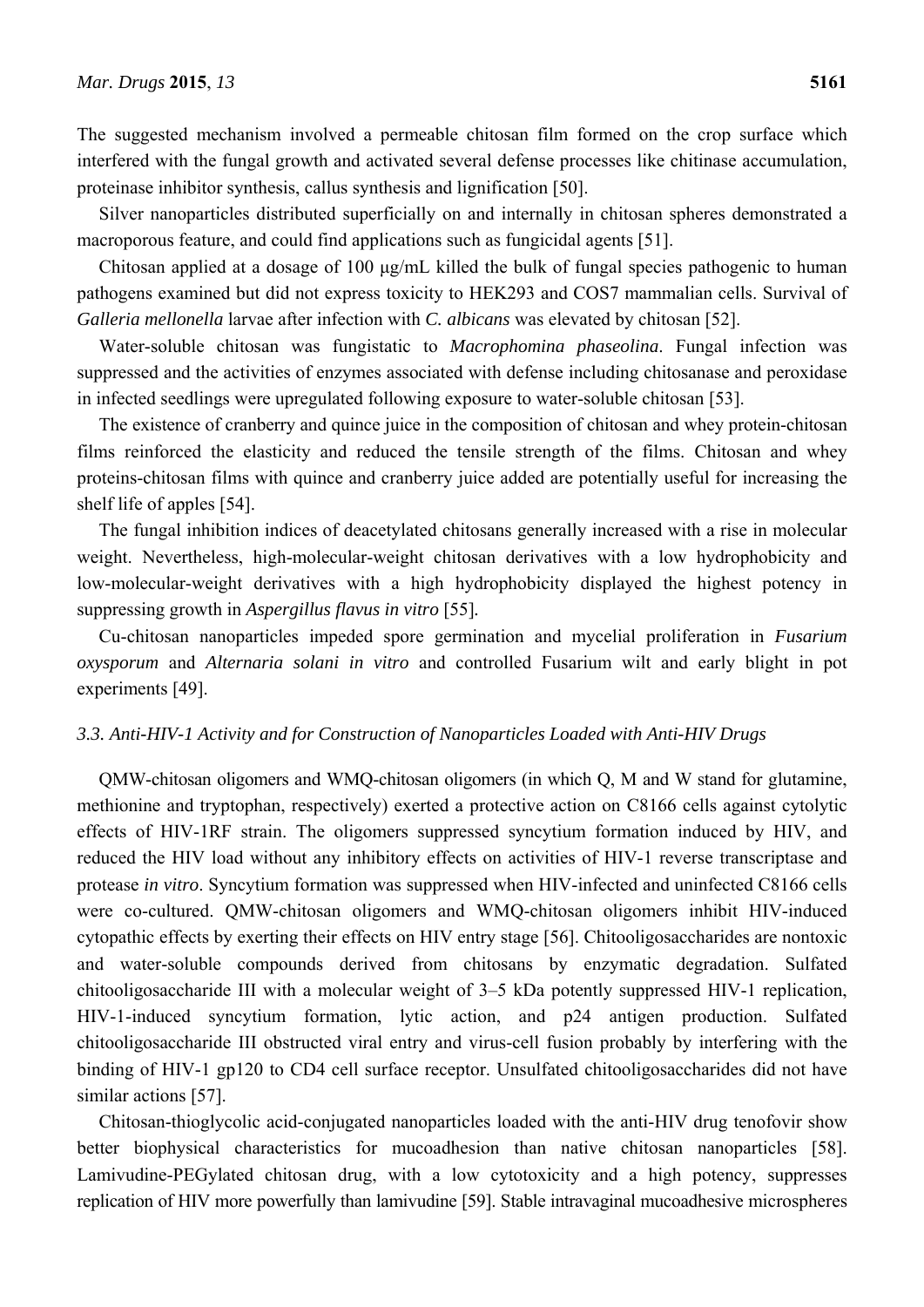The suggested mechanism involved a permeable chitosan film formed on the crop surface which interfered with the fungal growth and activated several defense processes like chitinase accumulation, proteinase inhibitor synthesis, callus synthesis and lignification [50].

Silver nanoparticles distributed superficially on and internally in chitosan spheres demonstrated a macroporous feature, and could find applications such as fungicidal agents [51].

Chitosan applied at a dosage of 100 μg/mL killed the bulk of fungal species pathogenic to human pathogens examined but did not express toxicity to HEK293 and COS7 mammalian cells. Survival of *Galleria mellonella* larvae after infection with *C. albicans* was elevated by chitosan [52].

Water-soluble chitosan was fungistatic to *Macrophomina phaseolina*. Fungal infection was suppressed and the activities of enzymes associated with defense including chitosanase and peroxidase in infected seedlings were upregulated following exposure to water-soluble chitosan [53].

The existence of cranberry and quince juice in the composition of chitosan and whey protein-chitosan films reinforced the elasticity and reduced the tensile strength of the films. Chitosan and whey proteins-chitosan films with quince and cranberry juice added are potentially useful for increasing the shelf life of apples [54].

The fungal inhibition indices of deacetylated chitosans generally increased with a rise in molecular weight. Nevertheless, high-molecular-weight chitosan derivatives with a low hydrophobicity and low-molecular-weight derivatives with a high hydrophobicity displayed the highest potency in suppressing growth in *Aspergillus flavus in vitro* [55]*.*

Cu-chitosan nanoparticles impeded spore germination and mycelial proliferation in *Fusarium oxysporum* and *Alternaria solani in vitro* and controlled Fusarium wilt and early blight in pot experiments [49].

# *3.3. Anti-HIV-1 Activity and for Construction of Nanoparticles Loaded with Anti-HIV Drugs*

QMW-chitosan oligomers and WMQ-chitosan oligomers (in which Q, M and W stand for glutamine, methionine and tryptophan, respectively) exerted a protective action on C8166 cells against cytolytic effects of HIV-1RF strain. The oligomers suppressed syncytium formation induced by HIV, and reduced the HIV load without any inhibitory effects on activities of HIV-1 reverse transcriptase and protease *in vitro*. Syncytium formation was suppressed when HIV-infected and uninfected C8166 cells were co-cultured. QMW-chitosan oligomers and WMQ-chitosan oligomers inhibit HIV-induced cytopathic effects by exerting their effects on HIV entry stage [56]. Chitooligosaccharides are nontoxic and water-soluble compounds derived from chitosans by enzymatic degradation. Sulfated chitooligosaccharide III with a molecular weight of 3–5 kDa potently suppressed HIV-1 replication, HIV-1-induced syncytium formation, lytic action, and p24 antigen production. Sulfated chitooligosaccharide III obstructed viral entry and virus-cell fusion probably by interfering with the binding of HIV-1 gp120 to CD4 cell surface receptor. Unsulfated chitooligosaccharides did not have similar actions [57].

Chitosan-thioglycolic acid-conjugated nanoparticles loaded with the anti-HIV drug tenofovir show better biophysical characteristics for mucoadhesion than native chitosan nanoparticles [58]. Lamivudine-PEGylated chitosan drug, with a low cytotoxicity and a high potency, suppresses replication of HIV more powerfully than lamivudine [59]. Stable intravaginal mucoadhesive microspheres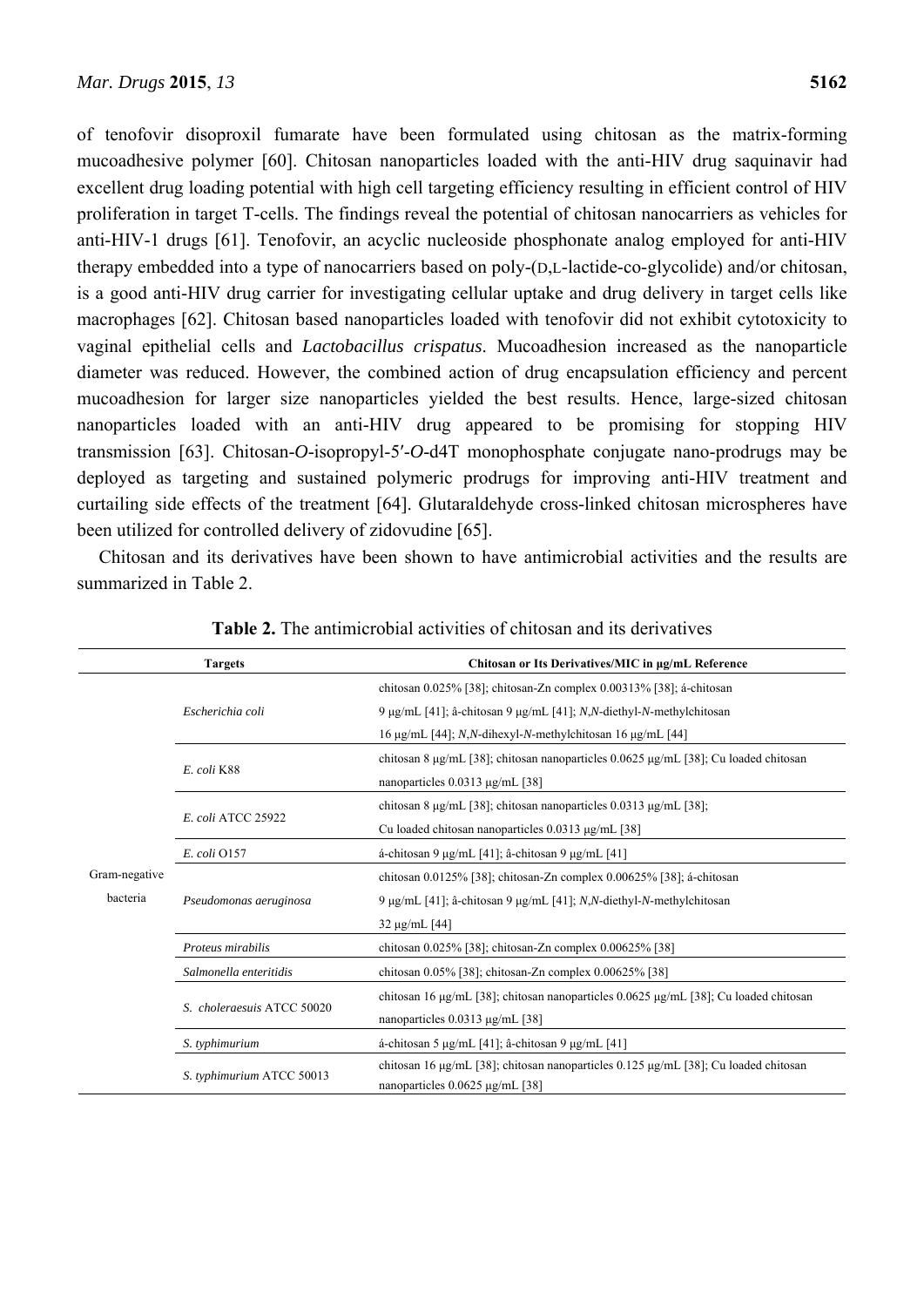of tenofovir disoproxil fumarate have been formulated using chitosan as the matrix-forming mucoadhesive polymer [60]. Chitosan nanoparticles loaded with the anti-HIV drug saquinavir had excellent drug loading potential with high cell targeting efficiency resulting in efficient control of HIV proliferation in target T-cells. The findings reveal the potential of chitosan nanocarriers as vehicles for anti-HIV-1 drugs [61]. Tenofovir, an acyclic nucleoside phosphonate analog employed for anti-HIV therapy embedded into a type of nanocarriers based on poly-(D,L-lactide-co-glycolide) and/or chitosan, is a good anti-HIV drug carrier for investigating cellular uptake and drug delivery in target cells like macrophages [62]. Chitosan based nanoparticles loaded with tenofovir did not exhibit cytotoxicity to vaginal epithelial cells and *Lactobacillus crispatus*. Mucoadhesion increased as the nanoparticle diameter was reduced. However, the combined action of drug encapsulation efficiency and percent mucoadhesion for larger size nanoparticles yielded the best results. Hence, large-sized chitosan nanoparticles loaded with an anti-HIV drug appeared to be promising for stopping HIV transmission [63]. Chitosan-*O*-isopropyl-5′-*O*-d4T monophosphate conjugate nano-prodrugs may be deployed as targeting and sustained polymeric prodrugs for improving anti-HIV treatment and curtailing side effects of the treatment [64]. Glutaraldehyde cross-linked chitosan microspheres have been utilized for controlled delivery of zidovudine [65].

Chitosan and its derivatives have been shown to have antimicrobial activities and the results are summarized in Table 2.

|                           | <b>Targets</b>             | Chitosan or Its Derivatives/MIC in µg/mL Reference                                             |  |
|---------------------------|----------------------------|------------------------------------------------------------------------------------------------|--|
|                           | Escherichia coli           | chitosan 0.025% [38]; chitosan-Zn complex 0.00313% [38]; á-chitosan                            |  |
| Gram-negative<br>bacteria |                            | 9 μg/mL [41]; â-chitosan 9 μg/mL [41]; N,N-diethyl-N-methylchitosan                            |  |
|                           |                            | 16 µg/mL [44]; N,N-dihexyl-N-methylchitosan 16 µg/mL [44]                                      |  |
|                           | E. coli K88                | chitosan 8 $\mu$ g/mL [38]; chitosan nanoparticles 0.0625 $\mu$ g/mL [38]; Cu loaded chitosan  |  |
|                           |                            | nanoparticles $0.0313 \mu g/mL$ [38]                                                           |  |
|                           | E. coli ATCC 25922         | chitosan 8 $\mu$ g/mL [38]; chitosan nanoparticles 0.0313 $\mu$ g/mL [38];                     |  |
|                           |                            | Cu loaded chitosan nanoparticles 0.0313 μg/mL [38]                                             |  |
|                           | E. coli 0157               | á-chitosan 9 μg/mL [41]; â-chitosan 9 μg/mL [41]                                               |  |
|                           | Pseudomonas aeruginosa     | chitosan 0.0125% [38]; chitosan-Zn complex 0.00625% [38]; á-chitosan                           |  |
|                           |                            | 9 μg/mL [41]; â-chitosan 9 μg/mL [41]; N,N-diethyl-N-methylchitosan                            |  |
|                           |                            | $32 \mu g/mL$ [44]                                                                             |  |
|                           | Proteus mirabilis          | chitosan 0.025% [38]; chitosan-Zn complex 0.00625% [38]                                        |  |
|                           | Salmonella enteritidis     | chitosan $0.05\%$ [38]; chitosan-Zn complex $0.00625\%$ [38]                                   |  |
|                           | S. choleraesuis ATCC 50020 | chitosan 16 $\mu$ g/mL [38]; chitosan nanoparticles 0.0625 $\mu$ g/mL [38]; Cu loaded chitosan |  |
|                           |                            | nanoparticles $0.0313 \mu g/mL$ [38]                                                           |  |
|                           | S. typhimurium             | á-chitosan 5 µg/mL [41]; â-chitosan 9 µg/mL [41]                                               |  |
|                           | S. typhimurium ATCC 50013  | chitosan 16 $\mu$ g/mL [38]; chitosan nanoparticles 0.125 $\mu$ g/mL [38]; Cu loaded chitosan  |  |
|                           |                            | nanoparticles 0.0625 µg/mL [38]                                                                |  |

|  |  |  |  | <b>Table 2.</b> The antimicrobial activities of chitosan and its derivatives |
|--|--|--|--|------------------------------------------------------------------------------|
|--|--|--|--|------------------------------------------------------------------------------|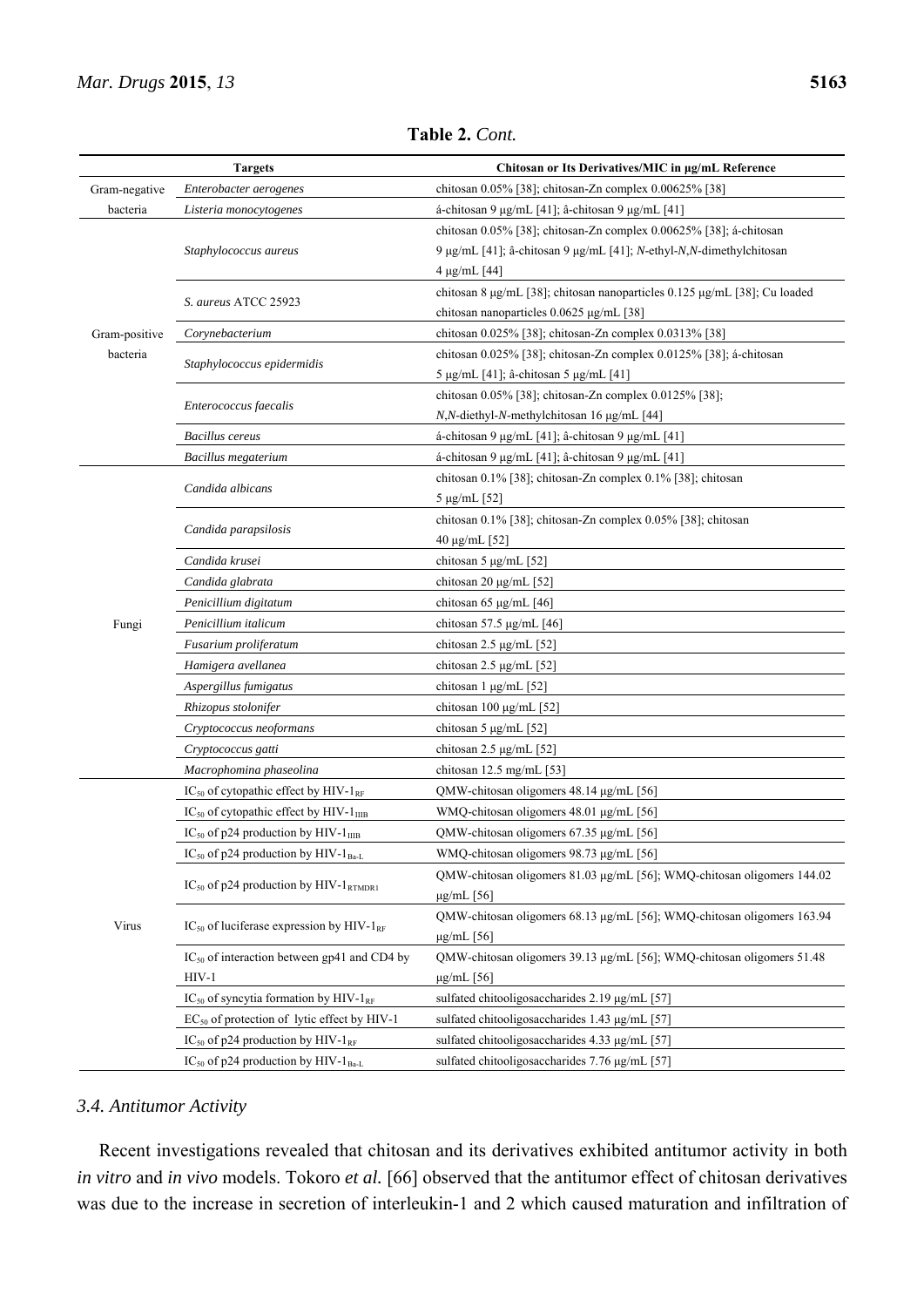|               | <b>Targets</b>                                                 | Chitosan or Its Derivatives/MIC in µg/mL Reference                        |
|---------------|----------------------------------------------------------------|---------------------------------------------------------------------------|
| Gram-negative | Enterobacter aerogenes                                         | chitosan 0.05% [38]; chitosan-Zn complex 0.00625% [38]                    |
| bacteria      | Listeria monocytogenes                                         | á-chitosan 9 μg/mL [41]; â-chitosan 9 μg/mL [41]                          |
|               |                                                                | chitosan 0.05% [38]; chitosan-Zn complex 0.00625% [38]; á-chitosan        |
|               | Staphylococcus aureus                                          | 9 μg/mL [41]; â-chitosan 9 μg/mL [41]; N-ethyl-N,N-dimethylchitosan       |
|               |                                                                | $4 \mu g/mL [44]$                                                         |
|               |                                                                | chitosan 8 µg/mL [38]; chitosan nanoparticles 0.125 µg/mL [38]; Cu loaded |
|               | S. aureus ATCC 25923                                           | chitosan nanoparticles 0.0625 μg/mL [38]                                  |
| Gram-positive | Corynebacterium                                                | chitosan 0.025% [38]; chitosan-Zn complex 0.0313% [38]                    |
| bacteria      |                                                                | chitosan 0.025% [38]; chitosan-Zn complex 0.0125% [38]; á-chitosan        |
|               | Staphylococcus epidermidis                                     | 5 μg/mL [41]; â-chitosan 5 μg/mL [41]                                     |
|               |                                                                | chitosan 0.05% [38]; chitosan-Zn complex 0.0125% [38];                    |
|               | Enterococcus faecalis                                          | N,N-diethyl-N-methylchitosan 16 μg/mL [44]                                |
|               | <b>Bacillus cereus</b>                                         | á-chitosan 9 μg/mL [41]; â-chitosan 9 μg/mL [41]                          |
|               | Bacillus megaterium                                            | á-chitosan 9 μg/mL [41]; â-chitosan 9 μg/mL [41]                          |
|               |                                                                | chitosan 0.1% [38]; chitosan-Zn complex 0.1% [38]; chitosan               |
|               | Candida albicans                                               | $5 \mu g/mL$ [52]                                                         |
|               |                                                                | chitosan 0.1% [38]; chitosan-Zn complex 0.05% [38]; chitosan              |
|               | Candida parapsilosis                                           | 40 μg/mL [52]                                                             |
|               | Candida krusei                                                 | chitosan 5 $\mu$ g/mL [52]                                                |
|               | Candida glabrata                                               | chitosan 20 μg/mL [52]                                                    |
|               | Penicillium digitatum                                          | chitosan 65 µg/mL $[46]$                                                  |
| Fungi         | Penicillium italicum                                           | chitosan 57.5 $\mu$ g/mL [46]                                             |
|               | Fusarium proliferatum                                          | chitosan $2.5 \mu$ g/mL [52]                                              |
|               | Hamigera avellanea                                             | chitosan $2.5 \mu g/mL$ [52]                                              |
|               | Aspergillus fumigatus                                          | chitosan 1 µg/mL [52]                                                     |
|               | Rhizopus stolonifer                                            | chitosan 100 $\mu$ g/mL [52]                                              |
|               | Cryptococcus neoformans                                        | chitosan 5 $\mu$ g/mL [52]                                                |
|               | Cryptococcus gatti                                             | chitosan $2.5 \mu g/mL$ [52]                                              |
|               | Macrophomina phaseolina                                        | chitosan 12.5 mg/mL $[53]$                                                |
|               | $IC_{50}$ of cytopathic effect by HIV- $1_{RF}$                | QMW-chitosan oligomers 48.14 µg/mL [56]                                   |
|               | $IC_{50}$ of cytopathic effect by HIV- $1_{\text{IIB}}$        | WMQ-chitosan oligomers 48.01 µg/mL [56]                                   |
|               | $IC_{50}$ of p24 production by HIV- $1_{IIIB}$                 | QMW-chitosan oligomers 67.35 µg/mL [56]                                   |
|               | IC <sub>50</sub> of p24 production by HIV-1 <sub>Ba-L</sub>    | WMQ-chitosan oligomers 98.73 µg/mL [56]                                   |
|               | IC <sub>50</sub> of p24 production by HIV- $1_{\text{RTMDR1}}$ | QMW-chitosan oligomers 81.03 µg/mL [56]; WMQ-chitosan oligomers 144.02    |
|               |                                                                | $\mu$ g/mL $[56]$                                                         |
| Virus         | $IC_{50}$ of luciferase expression by HIV-1 <sub>RF</sub>      | QMW-chitosan oligomers 68.13 µg/mL [56]; WMQ-chitosan oligomers 163.94    |
|               |                                                                | $\mu$ g/mL $[56]$                                                         |
|               | $IC_{50}$ of interaction between gp41 and CD4 by               | QMW-chitosan oligomers 39.13 µg/mL [56]; WMQ-chitosan oligomers 51.48     |
|               | $HIV-1$                                                        | $\mu$ g/mL $[56]$                                                         |
|               | $IC_{50}$ of syncytia formation by HIV-1 <sub>RF</sub>         | sulfated chitooligosaccharides 2.19 µg/mL [57]                            |
|               | $EC_{50}$ of protection of lytic effect by HIV-1               | sulfated chitooligosaccharides 1.43 µg/mL [57]                            |
|               | IC <sub>50</sub> of p24 production by HIV- $1_{RF}$            | sulfated chitooligosaccharides 4.33 µg/mL [57]                            |
|               | IC <sub>50</sub> of p24 production by HIV-1 <sub>Ba-L</sub>    | sulfated chitooligosaccharides 7.76 µg/mL [57]                            |

**Table 2.** *Cont.*

# *3.4. Antitumor Activity*

Recent investigations revealed that chitosan and its derivatives exhibited antitumor activity in both *in vitro* and *in vivo* models. Tokoro *et al.* [66] observed that the antitumor effect of chitosan derivatives was due to the increase in secretion of interleukin-1 and 2 which caused maturation and infiltration of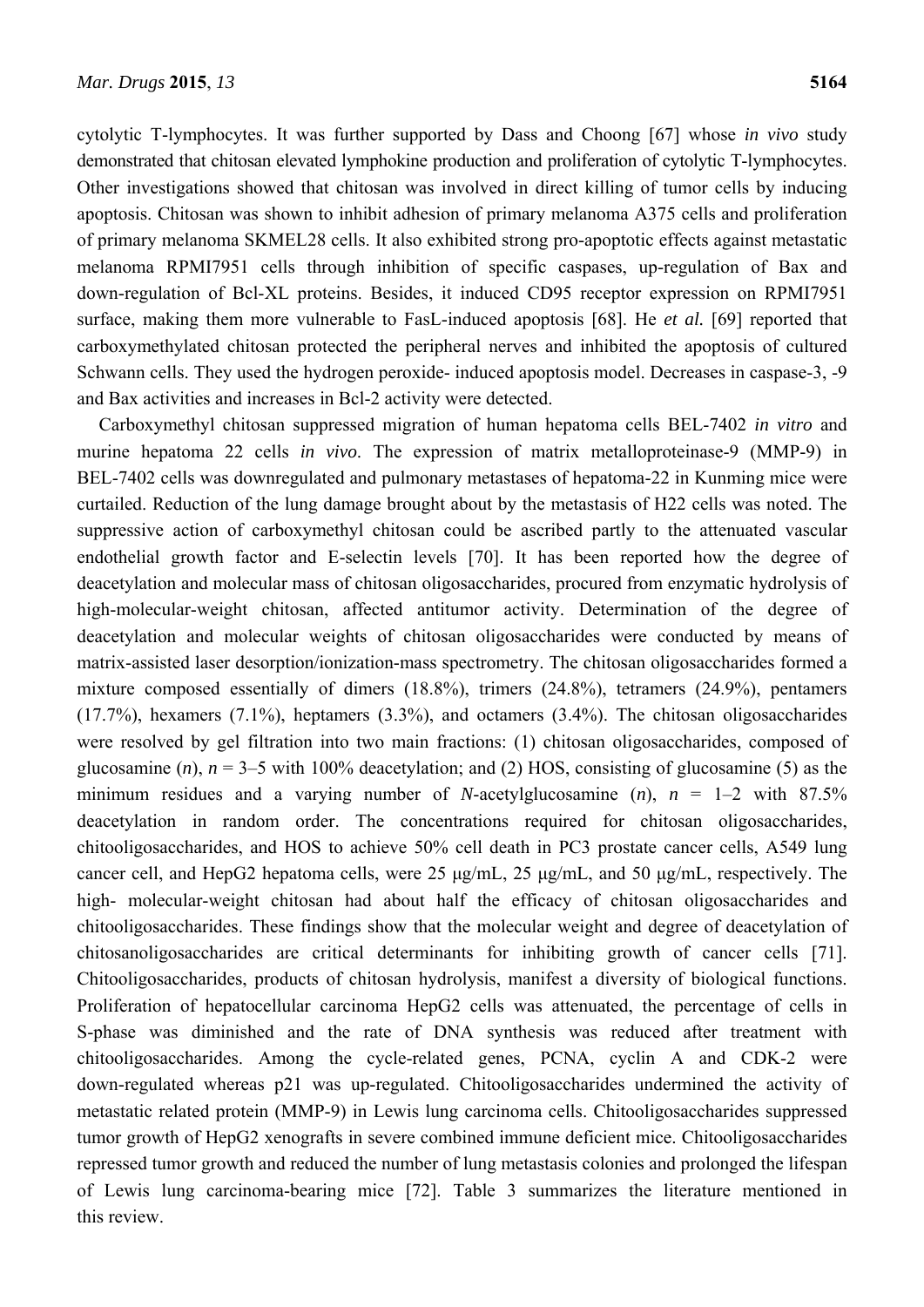cytolytic T-lymphocytes. It was further supported by Dass and Choong [67] whose *in vivo* study demonstrated that chitosan elevated lymphokine production and proliferation of cytolytic T-lymphocytes. Other investigations showed that chitosan was involved in direct killing of tumor cells by inducing apoptosis. Chitosan was shown to inhibit adhesion of primary melanoma A375 cells and proliferation of primary melanoma SKMEL28 cells. It also exhibited strong pro-apoptotic effects against metastatic melanoma RPMI7951 cells through inhibition of specific caspases, up-regulation of Bax and down-regulation of Bcl-XL proteins. Besides, it induced CD95 receptor expression on RPMI7951 surface, making them more vulnerable to FasL-induced apoptosis [68]. He *et al.* [69] reported that carboxymethylated chitosan protected the peripheral nerves and inhibited the apoptosis of cultured Schwann cells. They used the hydrogen peroxide- induced apoptosis model. Decreases in caspase-3, -9 and Bax activities and increases in Bcl-2 activity were detected.

Carboxymethyl chitosan suppressed migration of human hepatoma cells BEL-7402 *in vitro* and murine hepatoma 22 cells *in vivo*. The expression of matrix metalloproteinase-9 (MMP-9) in BEL-7402 cells was downregulated and pulmonary metastases of hepatoma-22 in Kunming mice were curtailed. Reduction of the lung damage brought about by the metastasis of H22 cells was noted. The suppressive action of carboxymethyl chitosan could be ascribed partly to the attenuated vascular endothelial growth factor and E-selectin levels [70]. It has been reported how the degree of deacetylation and molecular mass of chitosan oligosaccharides, procured from enzymatic hydrolysis of high-molecular-weight chitosan, affected antitumor activity. Determination of the degree of deacetylation and molecular weights of chitosan oligosaccharides were conducted by means of matrix-assisted laser desorption/ionization-mass spectrometry. The chitosan oligosaccharides formed a mixture composed essentially of dimers (18.8%), trimers (24.8%), tetramers (24.9%), pentamers (17.7%), hexamers (7.1%), heptamers (3.3%), and octamers (3.4%). The chitosan oligosaccharides were resolved by gel filtration into two main fractions: (1) chitosan oligosaccharides, composed of glucosamine  $(n)$ ,  $n = 3-5$  with 100% deacetylation; and (2) HOS, consisting of glucosamine (5) as the minimum residues and a varying number of *N*-acetylglucosamine  $(n)$ ,  $n = 1-2$  with 87.5% deacetylation in random order. The concentrations required for chitosan oligosaccharides, chitooligosaccharides, and HOS to achieve 50% cell death in PC3 prostate cancer cells, A549 lung cancer cell, and HepG2 hepatoma cells, were 25 μg/mL, 25 μg/mL, and 50 μg/mL, respectively. The high- molecular-weight chitosan had about half the efficacy of chitosan oligosaccharides and chitooligosaccharides. These findings show that the molecular weight and degree of deacetylation of chitosanoligosaccharides are critical determinants for inhibiting growth of cancer cells [71]. Chitooligosaccharides, products of chitosan hydrolysis, manifest a diversity of biological functions. Proliferation of hepatocellular carcinoma HepG2 cells was attenuated, the percentage of cells in S-phase was diminished and the rate of DNA synthesis was reduced after treatment with chitooligosaccharides. Among the cycle-related genes, PCNA, cyclin A and CDK-2 were down-regulated whereas p21 was up-regulated. Chitooligosaccharides undermined the activity of metastatic related protein (MMP-9) in Lewis lung carcinoma cells. Chitooligosaccharides suppressed tumor growth of HepG2 xenografts in severe combined immune deficient mice. Chitooligosaccharides repressed tumor growth and reduced the number of lung metastasis colonies and prolonged the lifespan of Lewis lung carcinoma-bearing mice [72]. Table 3 summarizes the literature mentioned in this review.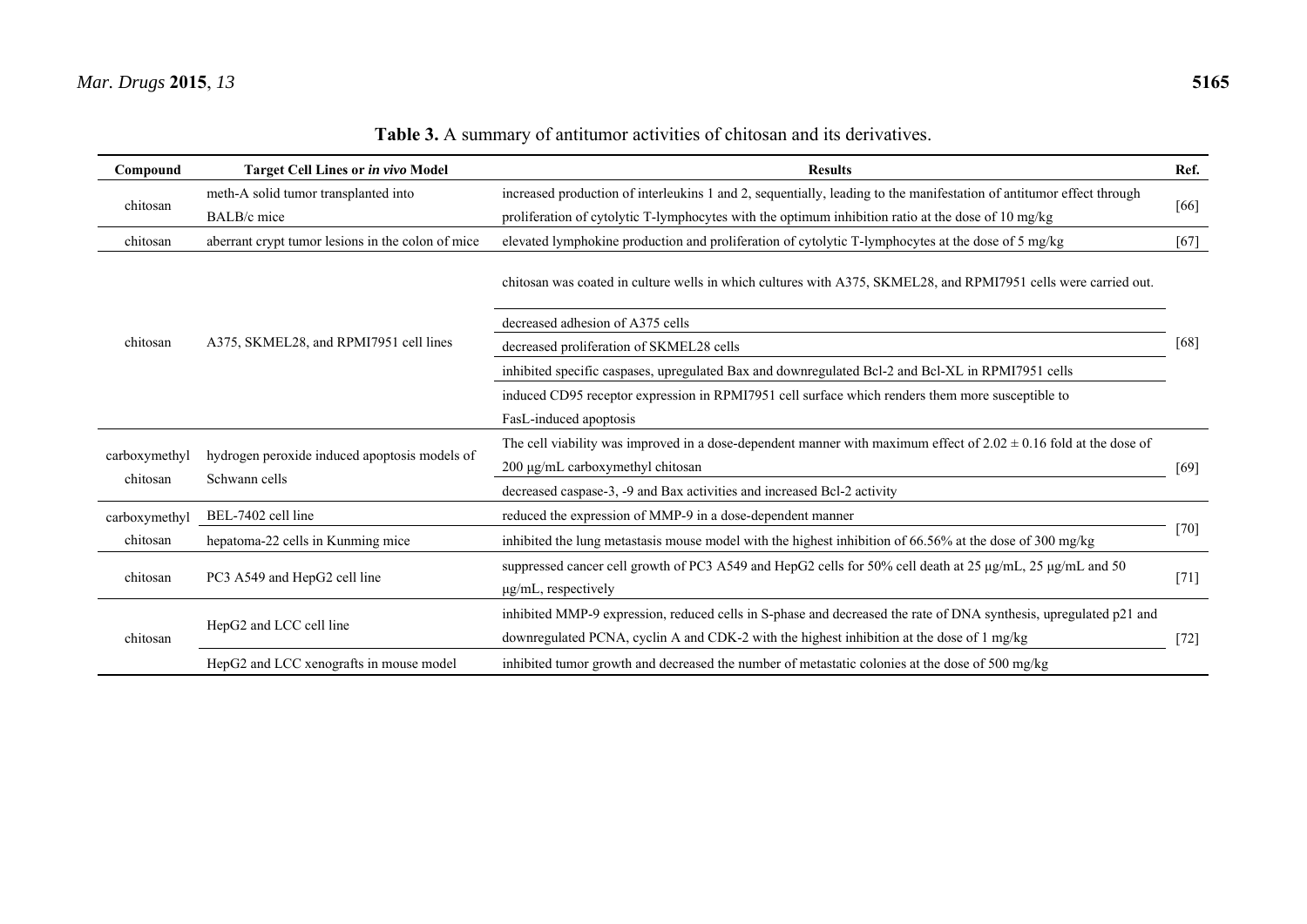| Compound                  | <b>Target Cell Lines or in vivo Model</b>                      | <b>Results</b>                                                                                                                                                                                                 | Ref.   |  |
|---------------------------|----------------------------------------------------------------|----------------------------------------------------------------------------------------------------------------------------------------------------------------------------------------------------------------|--------|--|
| chitosan                  | meth-A solid tumor transplanted into                           | increased production of interleukins 1 and 2, sequentially, leading to the manifestation of antitumor effect through                                                                                           | [66]   |  |
|                           | BALB/c mice                                                    | proliferation of cytolytic T-lymphocytes with the optimum inhibition ratio at the dose of 10 mg/kg                                                                                                             |        |  |
| chitosan                  | aberrant crypt tumor lesions in the colon of mice              | elevated lymphokine production and proliferation of cytolytic T-lymphocytes at the dose of 5 mg/kg                                                                                                             | $[67]$ |  |
| chitosan                  |                                                                | chitosan was coated in culture wells in which cultures with A375, SKMEL28, and RPMI7951 cells were carried out.                                                                                                |        |  |
|                           | A375, SKMEL28, and RPMI7951 cell lines                         | decreased adhesion of A375 cells                                                                                                                                                                               |        |  |
|                           |                                                                | decreased proliferation of SKMEL28 cells                                                                                                                                                                       | [68]   |  |
|                           |                                                                | inhibited specific caspases, upregulated Bax and downregulated Bcl-2 and Bcl-XL in RPMI7951 cells                                                                                                              |        |  |
|                           |                                                                | induced CD95 receptor expression in RPMI7951 cell surface which renders them more susceptible to                                                                                                               |        |  |
|                           |                                                                | FasL-induced apoptosis                                                                                                                                                                                         |        |  |
| carboxymethyl<br>chitosan | hydrogen peroxide induced apoptosis models of<br>Schwann cells | The cell viability was improved in a dose-dependent manner with maximum effect of $2.02 \pm 0.16$ fold at the dose of                                                                                          |        |  |
|                           |                                                                | 200 µg/mL carboxymethyl chitosan                                                                                                                                                                               |        |  |
|                           |                                                                | decreased caspase-3, -9 and Bax activities and increased Bcl-2 activity                                                                                                                                        |        |  |
| carboxymethyl             | BEL-7402 cell line                                             | reduced the expression of MMP-9 in a dose-dependent manner                                                                                                                                                     |        |  |
| chitosan                  | hepatoma-22 cells in Kunming mice                              | inhibited the lung metastasis mouse model with the highest inhibition of 66.56% at the dose of 300 mg/kg                                                                                                       | $[70]$ |  |
| chitosan                  | PC3 A549 and HepG2 cell line                                   | suppressed cancer cell growth of PC3 A549 and HepG2 cells for 50% cell death at 25 µg/mL, 25 µg/mL and 50<br>µg/mL, respectively                                                                               | $[71]$ |  |
| chitosan                  | HepG2 and LCC cell line                                        | inhibited MMP-9 expression, reduced cells in S-phase and decreased the rate of DNA synthesis, upregulated p21 and<br>downregulated PCNA, cyclin A and CDK-2 with the highest inhibition at the dose of 1 mg/kg | $[72]$ |  |
|                           | HepG2 and LCC xenografts in mouse model                        | inhibited tumor growth and decreased the number of metastatic colonies at the dose of 500 mg/kg                                                                                                                |        |  |

**Table 3.** A summary of antitumor activities of chitosan and its derivatives.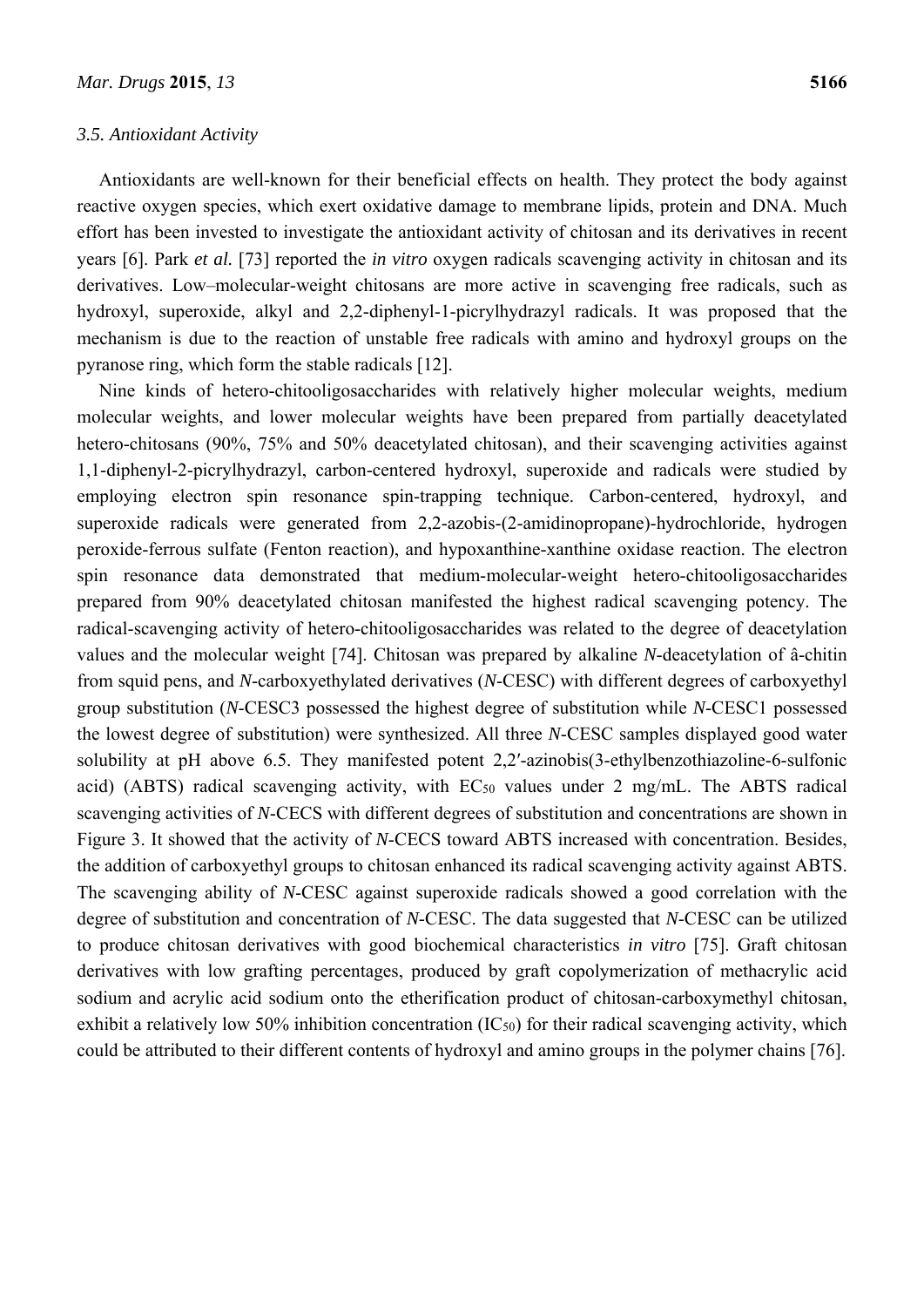#### *3.5. Antioxidant Activity*

Antioxidants are well-known for their beneficial effects on health. They protect the body against reactive oxygen species, which exert oxidative damage to membrane lipids, protein and DNA. Much effort has been invested to investigate the antioxidant activity of chitosan and its derivatives in recent years [6]. Park *et al.* [73] reported the *in vitro* oxygen radicals scavenging activity in chitosan and its derivatives. Low–molecular-weight chitosans are more active in scavenging free radicals, such as hydroxyl, superoxide, alkyl and 2,2-diphenyl-1-picrylhydrazyl radicals. It was proposed that the mechanism is due to the reaction of unstable free radicals with amino and hydroxyl groups on the pyranose ring, which form the stable radicals [12].

Nine kinds of hetero-chitooligosaccharides with relatively higher molecular weights, medium molecular weights, and lower molecular weights have been prepared from partially deacetylated hetero-chitosans (90%, 75% and 50% deacetylated chitosan), and their scavenging activities against 1,1-diphenyl-2-picrylhydrazyl, carbon-centered hydroxyl, superoxide and radicals were studied by employing electron spin resonance spin-trapping technique. Carbon-centered, hydroxyl, and superoxide radicals were generated from 2,2-azobis-(2-amidinopropane)-hydrochloride, hydrogen peroxide-ferrous sulfate (Fenton reaction), and hypoxanthine-xanthine oxidase reaction. The electron spin resonance data demonstrated that medium-molecular-weight hetero-chitooligosaccharides prepared from 90% deacetylated chitosan manifested the highest radical scavenging potency. The radical-scavenging activity of hetero-chitooligosaccharides was related to the degree of deacetylation values and the molecular weight [74]. Chitosan was prepared by alkaline *N*-deacetylation of â-chitin from squid pens, and *N*-carboxyethylated derivatives (*N*-CESC) with different degrees of carboxyethyl group substitution (*N*-CESC3 possessed the highest degree of substitution while *N*-CESC1 possessed the lowest degree of substitution) were synthesized. All three *N*-CESC samples displayed good water solubility at pH above 6.5. They manifested potent 2,2'-azinobis(3-ethylbenzothiazoline-6-sulfonic acid) (ABTS) radical scavenging activity, with  $EC_{50}$  values under 2 mg/mL. The ABTS radical scavenging activities of *N*-CECS with different degrees of substitution and concentrations are shown in Figure 3. It showed that the activity of *N*-CECS toward ABTS increased with concentration. Besides, the addition of carboxyethyl groups to chitosan enhanced its radical scavenging activity against ABTS. The scavenging ability of *N*-CESC against superoxide radicals showed a good correlation with the degree of substitution and concentration of *N*-CESC. The data suggested that *N*-CESC can be utilized to produce chitosan derivatives with good biochemical characteristics *in vitro* [75]. Graft chitosan derivatives with low grafting percentages, produced by graft copolymerization of methacrylic acid sodium and acrylic acid sodium onto the etherification product of chitosan-carboxymethyl chitosan, exhibit a relatively low 50% inhibition concentration  $(IC_{50})$  for their radical scavenging activity, which could be attributed to their different contents of hydroxyl and amino groups in the polymer chains [76].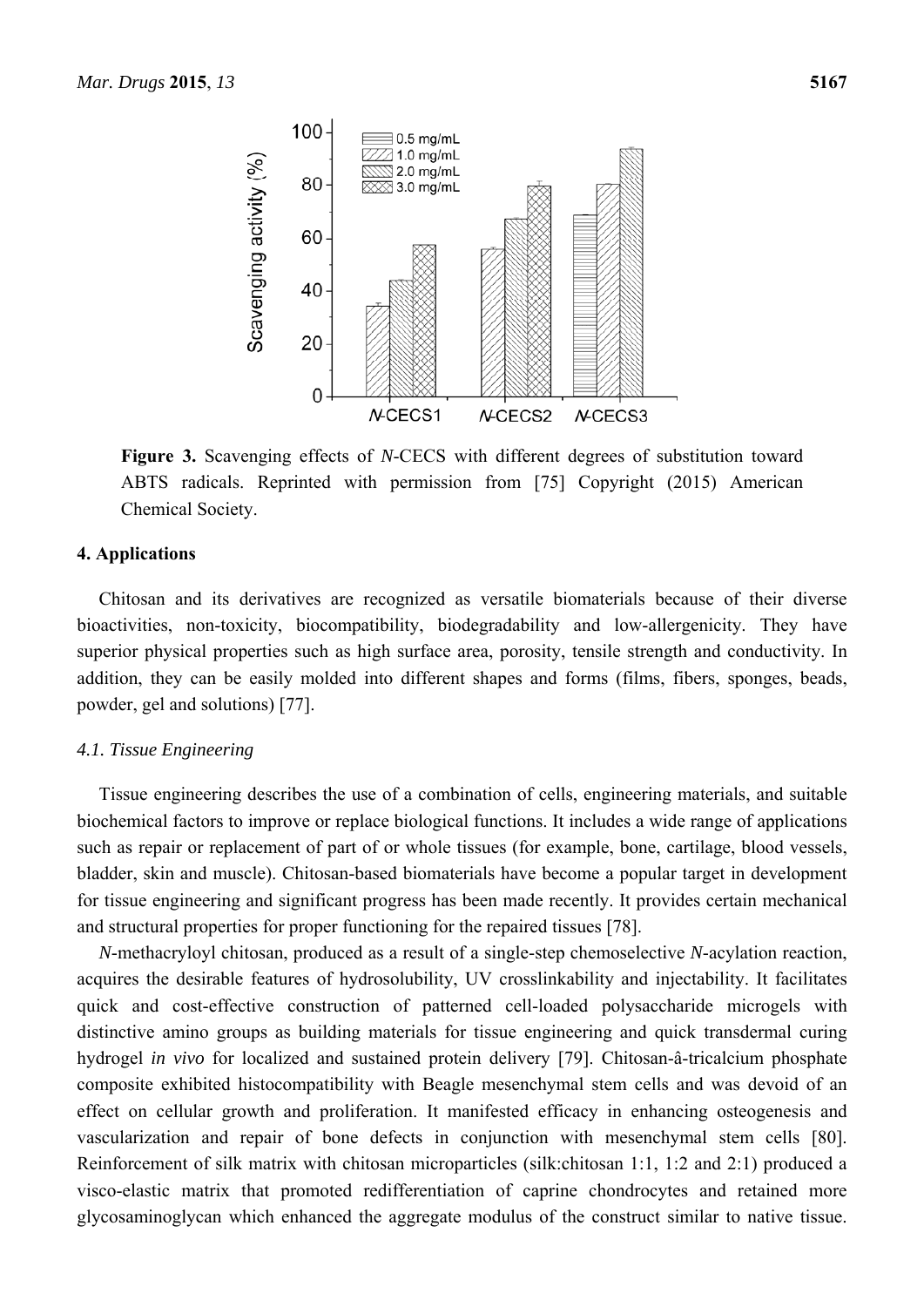

**Figure 3.** Scavenging effects of *N*-CECS with different degrees of substitution toward ABTS radicals. Reprinted with permission from [75] Copyright (2015) American Chemical Society.

#### **4. Applications**

Chitosan and its derivatives are recognized as versatile biomaterials because of their diverse bioactivities, non-toxicity, biocompatibility, biodegradability and low-allergenicity. They have superior physical properties such as high surface area, porosity, tensile strength and conductivity. In addition, they can be easily molded into different shapes and forms (films, fibers, sponges, beads, powder, gel and solutions) [77].

### *4.1. Tissue Engineering*

Tissue engineering describes the use of a combination of cells, engineering materials, and suitable biochemical factors to improve or replace biological functions. It includes a wide range of applications such as repair or replacement of part of or whole tissues (for example, bone, cartilage, blood vessels, bladder, skin and muscle). Chitosan-based biomaterials have become a popular target in development for tissue engineering and significant progress has been made recently. It provides certain mechanical and structural properties for proper functioning for the repaired tissues [78].

*N*-methacryloyl chitosan, produced as a result of a single-step chemoselective *N*-acylation reaction, acquires the desirable features of hydrosolubility, UV crosslinkability and injectability. It facilitates quick and cost-effective construction of patterned cell-loaded polysaccharide microgels with distinctive amino groups as building materials for tissue engineering and quick transdermal curing hydrogel *in vivo* for localized and sustained protein delivery [79]. Chitosan-â-tricalcium phosphate composite exhibited histocompatibility with Beagle mesenchymal stem cells and was devoid of an effect on cellular growth and proliferation. It manifested efficacy in enhancing osteogenesis and vascularization and repair of bone defects in conjunction with mesenchymal stem cells [80]. Reinforcement of silk matrix with chitosan microparticles (silk:chitosan 1:1, 1:2 and 2:1) produced a visco-elastic matrix that promoted redifferentiation of caprine chondrocytes and retained more glycosaminoglycan which enhanced the aggregate modulus of the construct similar to native tissue.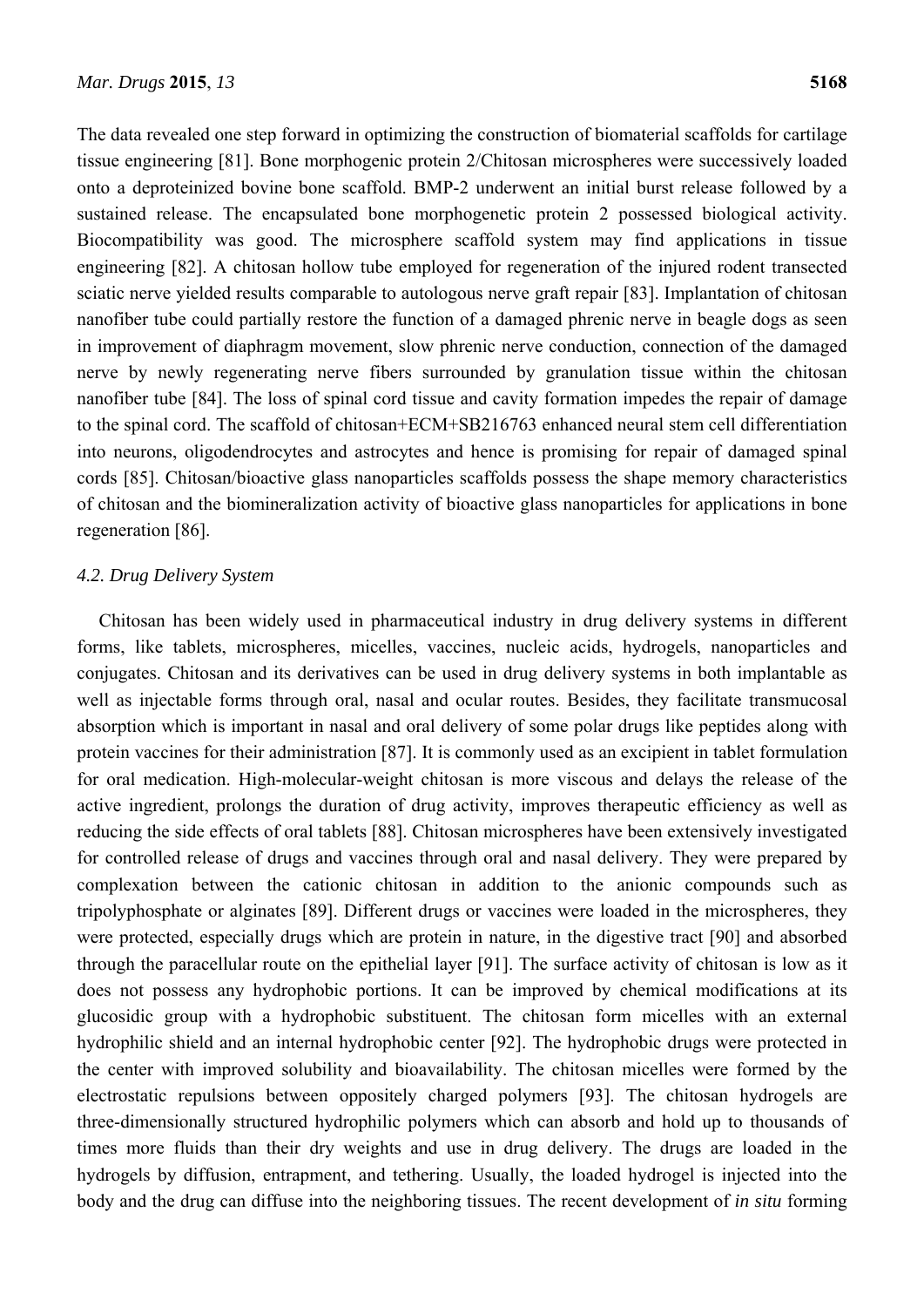The data revealed one step forward in optimizing the construction of biomaterial scaffolds for cartilage tissue engineering [81]. Bone morphogenic protein 2/Chitosan microspheres were successively loaded onto a deproteinized bovine bone scaffold. BMP-2 underwent an initial burst release followed by a sustained release. The encapsulated bone morphogenetic protein 2 possessed biological activity. Biocompatibility was good. The microsphere scaffold system may find applications in tissue engineering [82]. A chitosan hollow tube employed for regeneration of the injured rodent transected sciatic nerve yielded results comparable to autologous nerve graft repair [83]. Implantation of chitosan nanofiber tube could partially restore the function of a damaged phrenic nerve in beagle dogs as seen in improvement of diaphragm movement, slow phrenic nerve conduction, connection of the damaged nerve by newly regenerating nerve fibers surrounded by granulation tissue within the chitosan nanofiber tube [84]. The loss of spinal cord tissue and cavity formation impedes the repair of damage to the spinal cord. The scaffold of chitosan+ECM+SB216763 enhanced neural stem cell differentiation into neurons, oligodendrocytes and astrocytes and hence is promising for repair of damaged spinal cords [85]. Chitosan/bioactive glass nanoparticles scaffolds possess the shape memory characteristics of chitosan and the biomineralization activity of bioactive glass nanoparticles for applications in bone regeneration [86].

# *4.2. Drug Delivery System*

Chitosan has been widely used in pharmaceutical industry in drug delivery systems in different forms, like tablets, microspheres, micelles, vaccines, nucleic acids, hydrogels, nanoparticles and conjugates. Chitosan and its derivatives can be used in drug delivery systems in both implantable as well as injectable forms through oral, nasal and ocular routes. Besides, they facilitate transmucosal absorption which is important in nasal and oral delivery of some polar drugs like peptides along with protein vaccines for their administration [87]. It is commonly used as an excipient in tablet formulation for oral medication. High-molecular-weight chitosan is more viscous and delays the release of the active ingredient, prolongs the duration of drug activity, improves therapeutic efficiency as well as reducing the side effects of oral tablets [88]. Chitosan microspheres have been extensively investigated for controlled release of drugs and vaccines through oral and nasal delivery. They were prepared by complexation between the cationic chitosan in addition to the anionic compounds such as tripolyphosphate or alginates [89]. Different drugs or vaccines were loaded in the microspheres, they were protected, especially drugs which are protein in nature, in the digestive tract [90] and absorbed through the paracellular route on the epithelial layer [91]. The surface activity of chitosan is low as it does not possess any hydrophobic portions. It can be improved by chemical modifications at its glucosidic group with a hydrophobic substituent. The chitosan form micelles with an external hydrophilic shield and an internal hydrophobic center [92]. The hydrophobic drugs were protected in the center with improved solubility and bioavailability. The chitosan micelles were formed by the electrostatic repulsions between oppositely charged polymers [93]. The chitosan hydrogels are three-dimensionally structured hydrophilic polymers which can absorb and hold up to thousands of times more fluids than their dry weights and use in drug delivery. The drugs are loaded in the hydrogels by diffusion, entrapment, and tethering. Usually, the loaded hydrogel is injected into the body and the drug can diffuse into the neighboring tissues. The recent development of *in situ* forming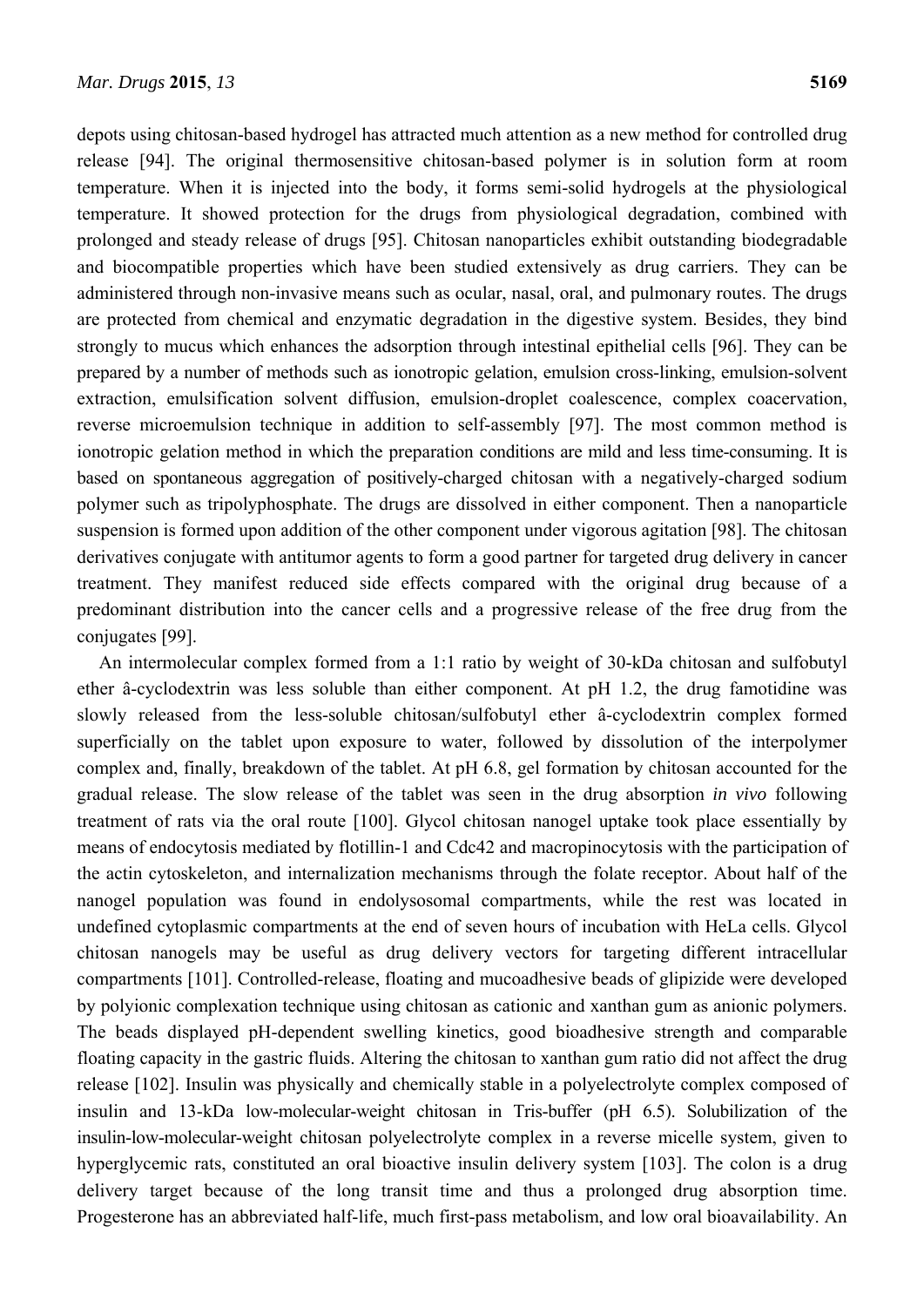depots using chitosan-based hydrogel has attracted much attention as a new method for controlled drug release [94]. The original thermosensitive chitosan-based polymer is in solution form at room temperature. When it is injected into the body, it forms semi-solid hydrogels at the physiological temperature. It showed protection for the drugs from physiological degradation, combined with prolonged and steady release of drugs [95]. Chitosan nanoparticles exhibit outstanding biodegradable and biocompatible properties which have been studied extensively as drug carriers. They can be administered through non-invasive means such as ocular, nasal, oral, and pulmonary routes. The drugs are protected from chemical and enzymatic degradation in the digestive system. Besides, they bind strongly to mucus which enhances the adsorption through intestinal epithelial cells [96]. They can be prepared by a number of methods such as ionotropic gelation, emulsion cross-linking, emulsion-solvent extraction, emulsification solvent diffusion, emulsion-droplet coalescence, complex coacervation, reverse microemulsion technique in addition to self-assembly [97]. The most common method is ionotropic gelation method in which the preparation conditions are mild and less time-consuming. It is based on spontaneous aggregation of positively-charged chitosan with a negatively-charged sodium polymer such as tripolyphosphate. The drugs are dissolved in either component. Then a nanoparticle suspension is formed upon addition of the other component under vigorous agitation [98]. The chitosan derivatives conjugate with antitumor agents to form a good partner for targeted drug delivery in cancer treatment. They manifest reduced side effects compared with the original drug because of a predominant distribution into the cancer cells and a progressive release of the free drug from the conjugates [99].

An intermolecular complex formed from a 1:1 ratio by weight of 30-kDa chitosan and sulfobutyl ether â-cyclodextrin was less soluble than either component. At pH 1.2, the drug famotidine was slowly released from the less-soluble chitosan/sulfobutyl ether â-cyclodextrin complex formed superficially on the tablet upon exposure to water, followed by dissolution of the interpolymer complex and, finally, breakdown of the tablet. At pH 6.8, gel formation by chitosan accounted for the gradual release. The slow release of the tablet was seen in the drug absorption *in vivo* following treatment of rats via the oral route [100]. Glycol chitosan nanogel uptake took place essentially by means of endocytosis mediated by flotillin-1 and Cdc42 and macropinocytosis with the participation of the actin cytoskeleton, and internalization mechanisms through the folate receptor. About half of the nanogel population was found in endolysosomal compartments, while the rest was located in undefined cytoplasmic compartments at the end of seven hours of incubation with HeLa cells. Glycol chitosan nanogels may be useful as drug delivery vectors for targeting different intracellular compartments [101]. Controlled-release, floating and mucoadhesive beads of glipizide were developed by polyionic complexation technique using chitosan as cationic and xanthan gum as anionic polymers. The beads displayed pH-dependent swelling kinetics, good bioadhesive strength and comparable floating capacity in the gastric fluids. Altering the chitosan to xanthan gum ratio did not affect the drug release [102]. Insulin was physically and chemically stable in a polyelectrolyte complex composed of insulin and 13-kDa low-molecular-weight chitosan in Tris-buffer (pH 6.5). Solubilization of the insulin-low-molecular-weight chitosan polyelectrolyte complex in a reverse micelle system, given to hyperglycemic rats, constituted an oral bioactive insulin delivery system [103]. The colon is a drug delivery target because of the long transit time and thus a prolonged drug absorption time. Progesterone has an abbreviated half-life, much first-pass metabolism, and low oral bioavailability. An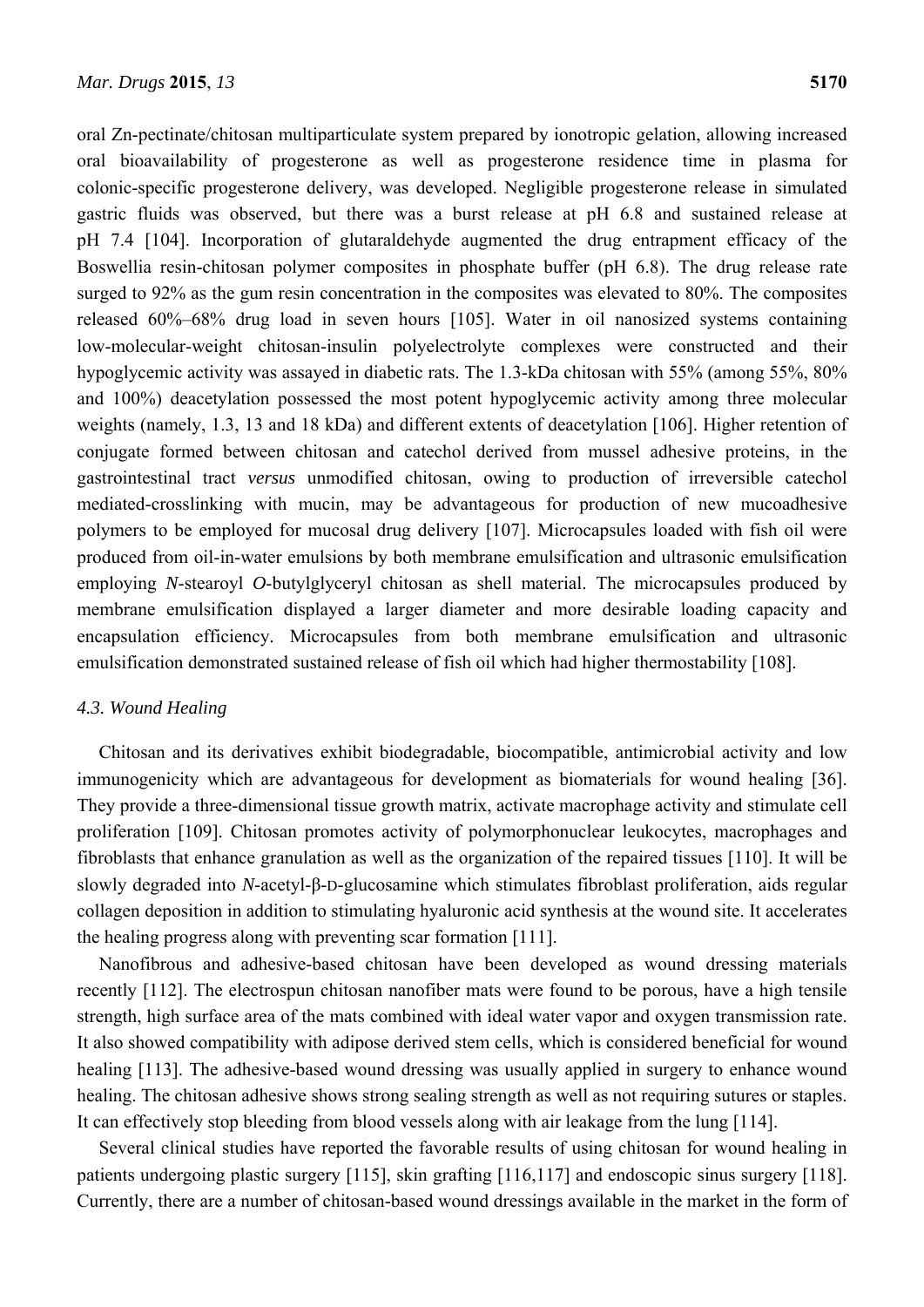oral Zn-pectinate/chitosan multiparticulate system prepared by ionotropic gelation, allowing increased oral bioavailability of progesterone as well as progesterone residence time in plasma for colonic-specific progesterone delivery, was developed. Negligible progesterone release in simulated gastric fluids was observed, but there was a burst release at pH 6.8 and sustained release at pH 7.4 [104]. Incorporation of glutaraldehyde augmented the drug entrapment efficacy of the Boswellia resin-chitosan polymer composites in phosphate buffer (pH 6.8). The drug release rate surged to 92% as the gum resin concentration in the composites was elevated to 80%. The composites released 60%–68% drug load in seven hours [105]. Water in oil nanosized systems containing low-molecular-weight chitosan-insulin polyelectrolyte complexes were constructed and their hypoglycemic activity was assayed in diabetic rats. The 1.3-kDa chitosan with 55% (among 55%, 80% and 100%) deacetylation possessed the most potent hypoglycemic activity among three molecular weights (namely, 1.3, 13 and 18 kDa) and different extents of deacetylation [106]. Higher retention of conjugate formed between chitosan and catechol derived from mussel adhesive proteins, in the gastrointestinal tract *versus* unmodified chitosan, owing to production of irreversible catechol mediated-crosslinking with mucin, may be advantageous for production of new mucoadhesive polymers to be employed for mucosal drug delivery [107]. Microcapsules loaded with fish oil were produced from oil-in-water emulsions by both membrane emulsification and ultrasonic emulsification employing *N*-stearoyl *O*-butylglyceryl chitosan as shell material. The microcapsules produced by membrane emulsification displayed a larger diameter and more desirable loading capacity and encapsulation efficiency. Microcapsules from both membrane emulsification and ultrasonic emulsification demonstrated sustained release of fish oil which had higher thermostability [108].

# *4.3. Wound Healing*

Chitosan and its derivatives exhibit biodegradable, biocompatible, antimicrobial activity and low immunogenicity which are advantageous for development as biomaterials for wound healing [36]. They provide a three-dimensional tissue growth matrix, activate macrophage activity and stimulate cell proliferation [109]. Chitosan promotes activity of polymorphonuclear leukocytes, macrophages and fibroblasts that enhance granulation as well as the organization of the repaired tissues [110]. It will be slowly degraded into *N*-acetyl-β-D-glucosamine which stimulates fibroblast proliferation, aids regular collagen deposition in addition to stimulating hyaluronic acid synthesis at the wound site. It accelerates the healing progress along with preventing scar formation [111].

Nanofibrous and adhesive-based chitosan have been developed as wound dressing materials recently [112]. The electrospun chitosan nanofiber mats were found to be porous, have a high tensile strength, high surface area of the mats combined with ideal water vapor and oxygen transmission rate. It also showed compatibility with adipose derived stem cells, which is considered beneficial for wound healing [113]. The adhesive-based wound dressing was usually applied in surgery to enhance wound healing. The chitosan adhesive shows strong sealing strength as well as not requiring sutures or staples. It can effectively stop bleeding from blood vessels along with air leakage from the lung [114].

Several clinical studies have reported the favorable results of using chitosan for wound healing in patients undergoing plastic surgery [115], skin grafting [116,117] and endoscopic sinus surgery [118]. Currently, there are a number of chitosan-based wound dressings available in the market in the form of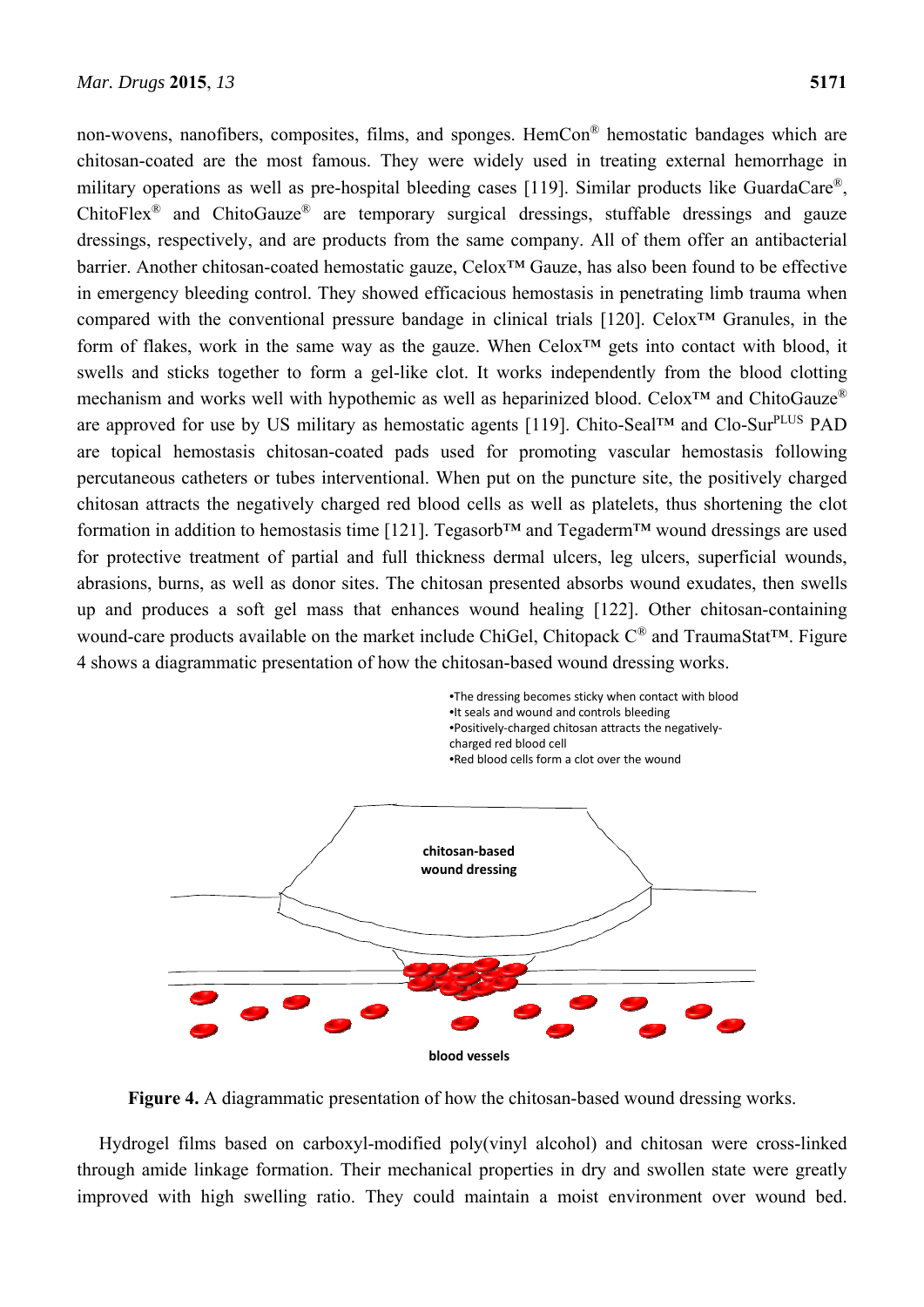non-wovens, nanofibers, composites, films, and sponges. HemCon<sup>®</sup> hemostatic bandages which are chitosan-coated are the most famous. They were widely used in treating external hemorrhage in military operations as well as pre-hospital bleeding cases [119]. Similar products like GuardaCare®, ChitoFlex<sup>®</sup> and ChitoGauze<sup>®</sup> are temporary surgical dressings, stuffable dressings and gauze dressings, respectively, and are products from the same company. All of them offer an antibacterial barrier. Another chitosan-coated hemostatic gauze, Celox™ Gauze, has also been found to be effective in emergency bleeding control. They showed efficacious hemostasis in penetrating limb trauma when compared with the conventional pressure bandage in clinical trials [120]. Celox™ Granules, in the form of flakes, work in the same way as the gauze. When  $Celox^{TM}$  gets into contact with blood, it swells and sticks together to form a gel-like clot. It works independently from the blood clotting mechanism and works well with hypothemic as well as heparinized blood. Celox<sup>™</sup> and ChitoGauze<sup>®</sup> are approved for use by US military as hemostatic agents [119]. Chito-Seal<sup>TM</sup> and Clo-Sur<sup>PLUS</sup> PAD are topical hemostasis chitosan-coated pads used for promoting vascular hemostasis following percutaneous catheters or tubes interventional. When put on the puncture site, the positively charged chitosan attracts the negatively charged red blood cells as well as platelets, thus shortening the clot formation in addition to hemostasis time [121]. Tegasorb™ and Tegaderm™ wound dressings are used for protective treatment of partial and full thickness dermal ulcers, leg ulcers, superficial wounds, abrasions, burns, as well as donor sites. The chitosan presented absorbs wound exudates, then swells up and produces a soft gel mass that enhances wound healing [122]. Other chitosan-containing wound-care products available on the market include ChiGel, Chitopack C® and TraumaStat™. Figure 4 shows a diagrammatic presentation of how the chitosan-based wound dressing works.



**Figure 4.** A diagrammatic presentation of how the chitosan-based wound dressing works.

Hydrogel films based on carboxyl-modified poly(vinyl alcohol) and chitosan were cross-linked through amide linkage formation. Their mechanical properties in dry and swollen state were greatly improved with high swelling ratio. They could maintain a moist environment over wound bed.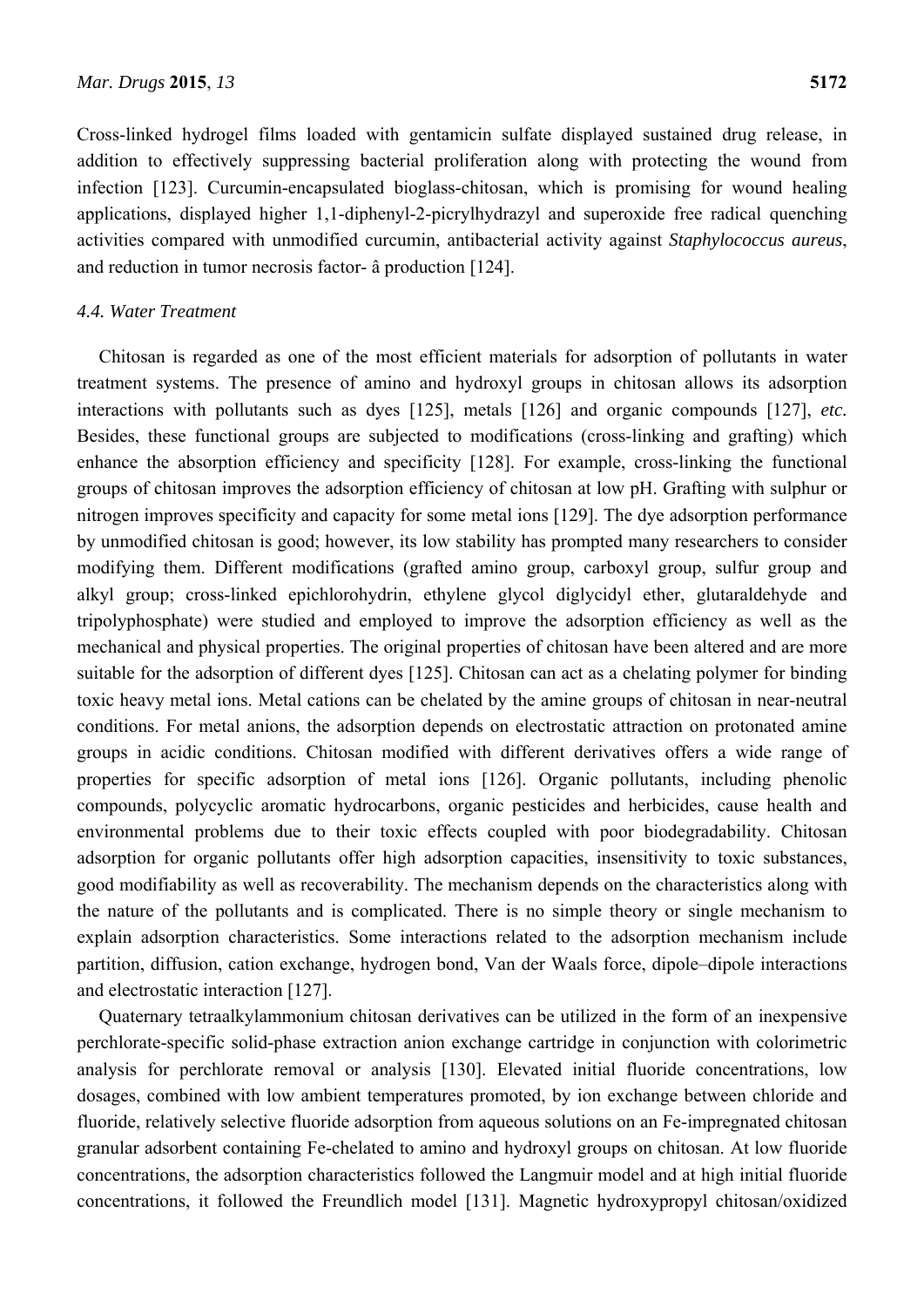Cross-linked hydrogel films loaded with gentamicin sulfate displayed sustained drug release, in addition to effectively suppressing bacterial proliferation along with protecting the wound from infection [123]. Curcumin-encapsulated bioglass-chitosan, which is promising for wound healing applications, displayed higher 1,1-diphenyl-2-picrylhydrazyl and superoxide free radical quenching activities compared with unmodified curcumin, antibacterial activity against *Staphylococcus aureus*, and reduction in tumor necrosis factor- â production [124].

#### *4.4. Water Treatment*

Chitosan is regarded as one of the most efficient materials for adsorption of pollutants in water treatment systems. The presence of amino and hydroxyl groups in chitosan allows its adsorption interactions with pollutants such as dyes [125], metals [126] and organic compounds [127], *etc.* Besides, these functional groups are subjected to modifications (cross-linking and grafting) which enhance the absorption efficiency and specificity [128]. For example, cross-linking the functional groups of chitosan improves the adsorption efficiency of chitosan at low pH. Grafting with sulphur or nitrogen improves specificity and capacity for some metal ions [129]. The dye adsorption performance by unmodified chitosan is good; however, its low stability has prompted many researchers to consider modifying them. Different modifications (grafted amino group, carboxyl group, sulfur group and alkyl group; cross-linked epichlorohydrin, ethylene glycol diglycidyl ether, glutaraldehyde and tripolyphosphate) were studied and employed to improve the adsorption efficiency as well as the mechanical and physical properties. The original properties of chitosan have been altered and are more suitable for the adsorption of different dyes [125]. Chitosan can act as a chelating polymer for binding toxic heavy metal ions. Metal cations can be chelated by the amine groups of chitosan in near-neutral conditions. For metal anions, the adsorption depends on electrostatic attraction on protonated amine groups in acidic conditions. Chitosan modified with different derivatives offers a wide range of properties for specific adsorption of metal ions [126]. Organic pollutants, including phenolic compounds, polycyclic aromatic hydrocarbons, organic pesticides and herbicides, cause health and environmental problems due to their toxic effects coupled with poor biodegradability. Chitosan adsorption for organic pollutants offer high adsorption capacities, insensitivity to toxic substances, good modifiability as well as recoverability. The mechanism depends on the characteristics along with the nature of the pollutants and is complicated. There is no simple theory or single mechanism to explain adsorption characteristics. Some interactions related to the adsorption mechanism include partition, diffusion, cation exchange, hydrogen bond, Van der Waals force, dipole–dipole interactions and electrostatic interaction [127].

Quaternary tetraalkylammonium chitosan derivatives can be utilized in the form of an inexpensive perchlorate-specific solid-phase extraction anion exchange cartridge in conjunction with colorimetric analysis for perchlorate removal or analysis [130]. Elevated initial fluoride concentrations, low dosages, combined with low ambient temperatures promoted, by ion exchange between chloride and fluoride, relatively selective fluoride adsorption from aqueous solutions on an Fe-impregnated chitosan granular adsorbent containing Fe-chelated to amino and hydroxyl groups on chitosan. At low fluoride concentrations, the adsorption characteristics followed the Langmuir model and at high initial fluoride concentrations, it followed the Freundlich model [131]. Magnetic hydroxypropyl chitosan/oxidized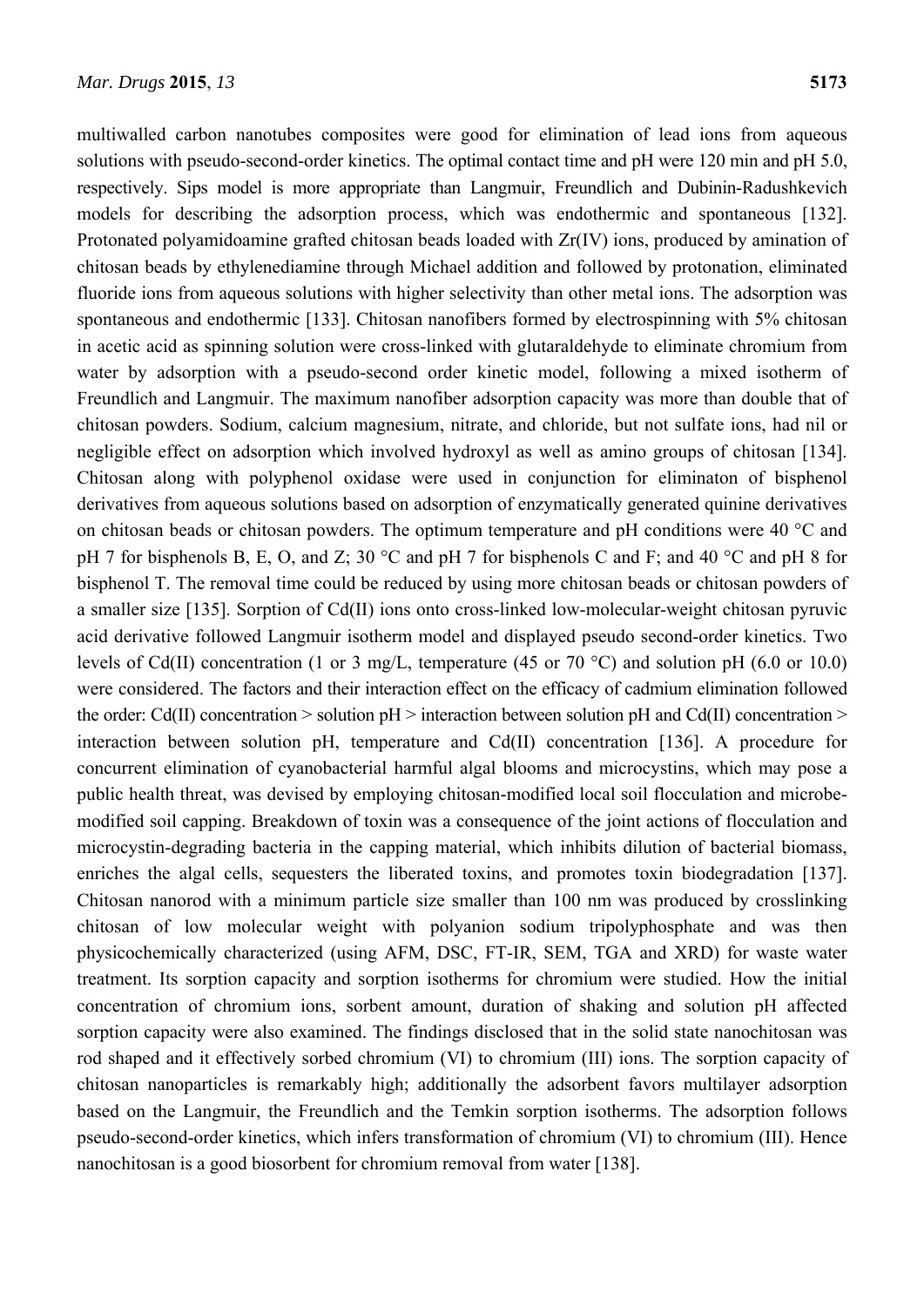multiwalled carbon nanotubes composites were good for elimination of lead ions from aqueous solutions with pseudo-second-order kinetics. The optimal contact time and pH were 120 min and pH 5.0, respectively. Sips model is more appropriate than Langmuir, Freundlich and Dubinin-Radushkevich models for describing the adsorption process, which was endothermic and spontaneous [132]. Protonated polyamidoamine grafted chitosan beads loaded with Zr(IV) ions, produced by amination of chitosan beads by ethylenediamine through Michael addition and followed by protonation, eliminated fluoride ions from aqueous solutions with higher selectivity than other metal ions. The adsorption was spontaneous and endothermic [133]. Chitosan nanofibers formed by electrospinning with 5% chitosan in acetic acid as spinning solution were cross-linked with glutaraldehyde to eliminate chromium from water by adsorption with a pseudo-second order kinetic model, following a mixed isotherm of Freundlich and Langmuir. The maximum nanofiber adsorption capacity was more than double that of chitosan powders. Sodium, calcium magnesium, nitrate, and chloride, but not sulfate ions, had nil or negligible effect on adsorption which involved hydroxyl as well as amino groups of chitosan [134]. Chitosan along with polyphenol oxidase were used in conjunction for eliminaton of bisphenol derivatives from aqueous solutions based on adsorption of enzymatically generated quinine derivatives on chitosan beads or chitosan powders. The optimum temperature and pH conditions were 40 °C and pH 7 for bisphenols B, E, O, and Z; 30  $^{\circ}$ C and pH 7 for bisphenols C and F; and 40  $^{\circ}$ C and pH 8 for bisphenol T. The removal time could be reduced by using more chitosan beads or chitosan powders of a smaller size [135]. Sorption of Cd(II) ions onto cross-linked low-molecular-weight chitosan pyruvic acid derivative followed Langmuir isotherm model and displayed pseudo second-order kinetics. Two levels of Cd(II) concentration (1 or 3 mg/L, temperature (45 or 70 °C) and solution pH (6.0 or 10.0) were considered. The factors and their interaction effect on the efficacy of cadmium elimination followed the order: Cd(II) concentration  $>$  solution pH  $>$  interaction between solution pH and Cd(II) concentration  $>$ interaction between solution pH, temperature and Cd(II) concentration [136]. A procedure for concurrent elimination of cyanobacterial harmful algal blooms and microcystins, which may pose a public health threat, was devised by employing chitosan-modified local soil flocculation and microbemodified soil capping. Breakdown of toxin was a consequence of the joint actions of flocculation and microcystin-degrading bacteria in the capping material, which inhibits dilution of bacterial biomass, enriches the algal cells, sequesters the liberated toxins, and promotes toxin biodegradation [137]. Chitosan nanorod with a minimum particle size smaller than 100 nm was produced by crosslinking chitosan of low molecular weight with polyanion sodium tripolyphosphate and was then physicochemically characterized (using AFM, DSC, FT-IR, SEM, TGA and XRD) for waste water treatment. Its sorption capacity and sorption isotherms for chromium were studied. How the initial concentration of chromium ions, sorbent amount, duration of shaking and solution pH affected sorption capacity were also examined. The findings disclosed that in the solid state nanochitosan was rod shaped and it effectively sorbed chromium (VI) to chromium (III) ions. The sorption capacity of chitosan nanoparticles is remarkably high; additionally the adsorbent favors multilayer adsorption based on the Langmuir, the Freundlich and the Temkin sorption isotherms. The adsorption follows pseudo-second-order kinetics, which infers transformation of chromium (VI) to chromium (III). Hence nanochitosan is a good biosorbent for chromium removal from water [138].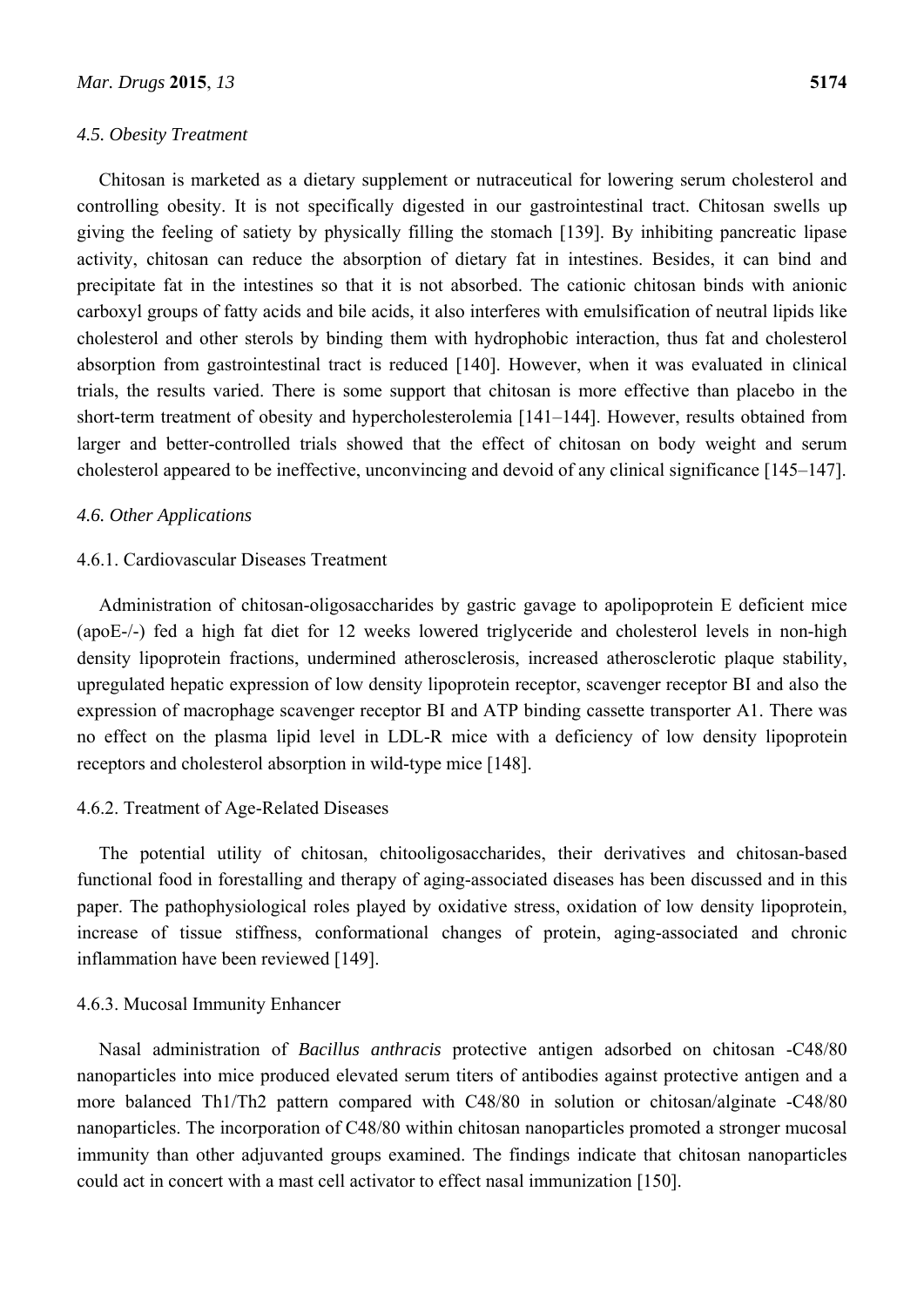#### *4.5. Obesity Treatment*

Chitosan is marketed as a dietary supplement or nutraceutical for lowering serum cholesterol and controlling obesity. It is not specifically digested in our gastrointestinal tract. Chitosan swells up giving the feeling of satiety by physically filling the stomach [139]. By inhibiting pancreatic lipase activity, chitosan can reduce the absorption of dietary fat in intestines. Besides, it can bind and precipitate fat in the intestines so that it is not absorbed. The cationic chitosan binds with anionic carboxyl groups of fatty acids and bile acids, it also interferes with emulsification of neutral lipids like cholesterol and other sterols by binding them with hydrophobic interaction, thus fat and cholesterol absorption from gastrointestinal tract is reduced [140]. However, when it was evaluated in clinical trials, the results varied. There is some support that chitosan is more effective than placebo in the short-term treatment of obesity and hypercholesterolemia [141–144]. However, results obtained from larger and better-controlled trials showed that the effect of chitosan on body weight and serum cholesterol appeared to be ineffective, unconvincing and devoid of any clinical significance [145–147].

#### *4.6. Other Applications*

### 4.6.1. Cardiovascular Diseases Treatment

Administration of chitosan-oligosaccharides by gastric gavage to apolipoprotein E deficient mice (apoE-/-) fed a high fat diet for 12 weeks lowered triglyceride and cholesterol levels in non-high density lipoprotein fractions, undermined atherosclerosis, increased atherosclerotic plaque stability, upregulated hepatic expression of low density lipoprotein receptor, scavenger receptor BI and also the expression of macrophage scavenger receptor BI and ATP binding cassette transporter A1. There was no effect on the plasma lipid level in LDL-R mice with a deficiency of low density lipoprotein receptors and cholesterol absorption in wild-type mice [148].

#### 4.6.2. Treatment of Age-Related Diseases

The potential utility of chitosan, chitooligosaccharides, their derivatives and chitosan-based functional food in forestalling and therapy of aging-associated diseases has been discussed and in this paper. The pathophysiological roles played by oxidative stress, oxidation of low density lipoprotein, increase of tissue stiffness, conformational changes of protein, aging-associated and chronic inflammation have been reviewed [149].

#### 4.6.3. Mucosal Immunity Enhancer

Nasal administration of *Bacillus anthracis* protective antigen adsorbed on chitosan -C48/80 nanoparticles into mice produced elevated serum titers of antibodies against protective antigen and a more balanced Th1/Th2 pattern compared with C48/80 in solution or chitosan/alginate -C48/80 nanoparticles. The incorporation of C48/80 within chitosan nanoparticles promoted a stronger mucosal immunity than other adjuvanted groups examined. The findings indicate that chitosan nanoparticles could act in concert with a mast cell activator to effect nasal immunization [150].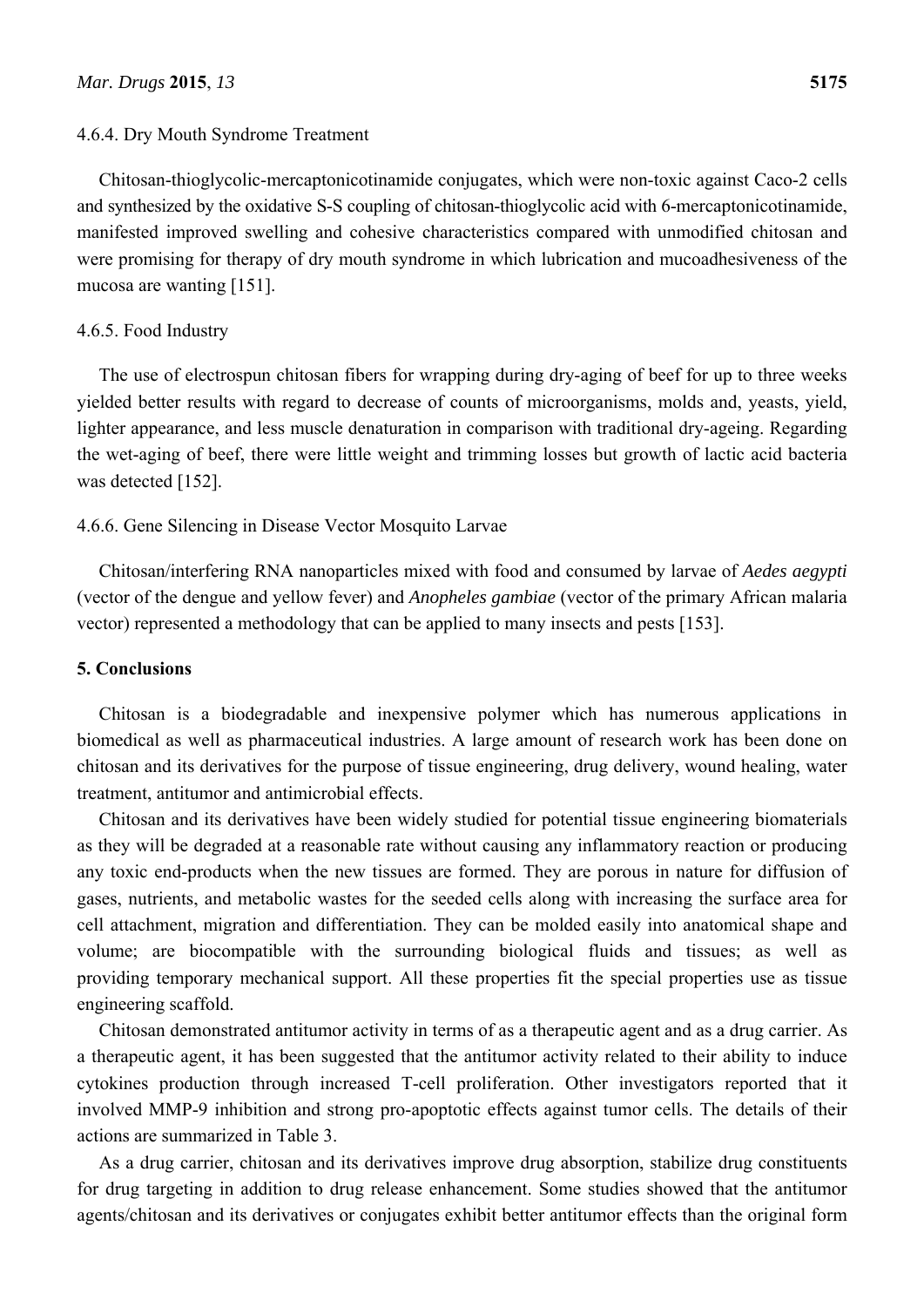#### 4.6.4. Dry Mouth Syndrome Treatment

Chitosan-thioglycolic-mercaptonicotinamide conjugates, which were non-toxic against Caco-2 cells and synthesized by the oxidative S-S coupling of chitosan-thioglycolic acid with 6-mercaptonicotinamide, manifested improved swelling and cohesive characteristics compared with unmodified chitosan and were promising for therapy of dry mouth syndrome in which lubrication and mucoadhesiveness of the mucosa are wanting [151].

# 4.6.5. Food Industry

The use of electrospun chitosan fibers for wrapping during dry-aging of beef for up to three weeks yielded better results with regard to decrease of counts of microorganisms, molds and, yeasts, yield, lighter appearance, and less muscle denaturation in comparison with traditional dry-ageing. Regarding the wet-aging of beef, there were little weight and trimming losses but growth of lactic acid bacteria was detected [152].

### 4.6.6. Gene Silencing in Disease Vector Mosquito Larvae

Chitosan/interfering RNA nanoparticles mixed with food and consumed by larvae of *Aedes aegypti* (vector of the dengue and yellow fever) and *Anopheles gambiae* (vector of the primary African malaria vector) represented a methodology that can be applied to many insects and pests [153].

#### **5. Conclusions**

Chitosan is a biodegradable and inexpensive polymer which has numerous applications in biomedical as well as pharmaceutical industries. A large amount of research work has been done on chitosan and its derivatives for the purpose of tissue engineering, drug delivery, wound healing, water treatment, antitumor and antimicrobial effects.

Chitosan and its derivatives have been widely studied for potential tissue engineering biomaterials as they will be degraded at a reasonable rate without causing any inflammatory reaction or producing any toxic end-products when the new tissues are formed. They are porous in nature for diffusion of gases, nutrients, and metabolic wastes for the seeded cells along with increasing the surface area for cell attachment, migration and differentiation. They can be molded easily into anatomical shape and volume; are biocompatible with the surrounding biological fluids and tissues; as well as providing temporary mechanical support. All these properties fit the special properties use as tissue engineering scaffold.

Chitosan demonstrated antitumor activity in terms of as a therapeutic agent and as a drug carrier. As a therapeutic agent, it has been suggested that the antitumor activity related to their ability to induce cytokines production through increased T-cell proliferation. Other investigators reported that it involved MMP-9 inhibition and strong pro-apoptotic effects against tumor cells. The details of their actions are summarized in Table 3.

As a drug carrier, chitosan and its derivatives improve drug absorption, stabilize drug constituents for drug targeting in addition to drug release enhancement. Some studies showed that the antitumor agents/chitosan and its derivatives or conjugates exhibit better antitumor effects than the original form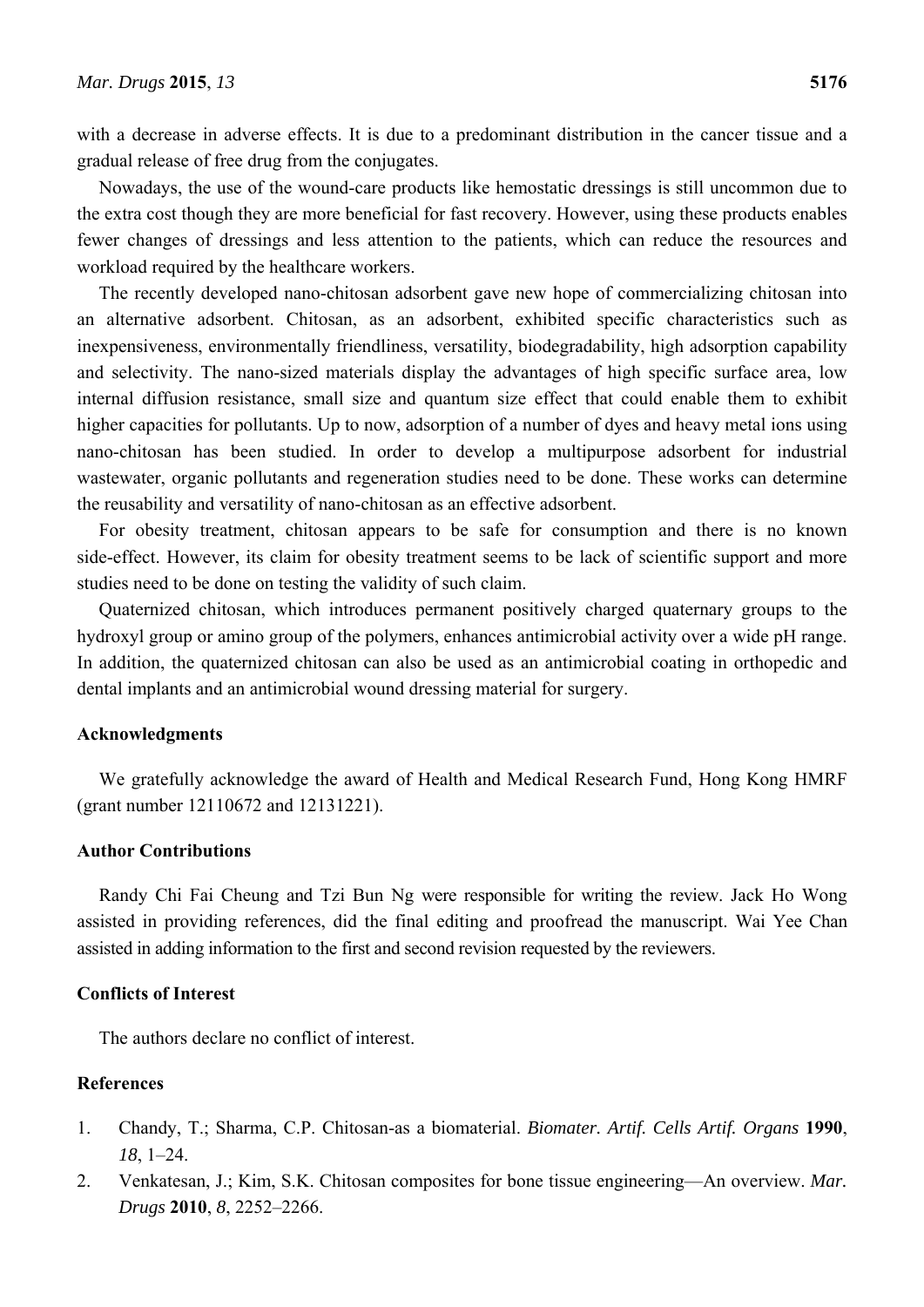with a decrease in adverse effects. It is due to a predominant distribution in the cancer tissue and a gradual release of free drug from the conjugates.

Nowadays, the use of the wound-care products like hemostatic dressings is still uncommon due to the extra cost though they are more beneficial for fast recovery. However, using these products enables fewer changes of dressings and less attention to the patients, which can reduce the resources and workload required by the healthcare workers.

The recently developed nano-chitosan adsorbent gave new hope of commercializing chitosan into an alternative adsorbent. Chitosan, as an adsorbent, exhibited specific characteristics such as inexpensiveness, environmentally friendliness, versatility, biodegradability, high adsorption capability and selectivity. The nano-sized materials display the advantages of high specific surface area, low internal diffusion resistance, small size and quantum size effect that could enable them to exhibit higher capacities for pollutants. Up to now, adsorption of a number of dyes and heavy metal ions using nano-chitosan has been studied. In order to develop a multipurpose adsorbent for industrial wastewater, organic pollutants and regeneration studies need to be done. These works can determine the reusability and versatility of nano-chitosan as an effective adsorbent.

For obesity treatment, chitosan appears to be safe for consumption and there is no known side-effect. However, its claim for obesity treatment seems to be lack of scientific support and more studies need to be done on testing the validity of such claim.

Quaternized chitosan, which introduces permanent positively charged quaternary groups to the hydroxyl group or amino group of the polymers, enhances antimicrobial activity over a wide pH range. In addition, the quaternized chitosan can also be used as an antimicrobial coating in orthopedic and dental implants and an antimicrobial wound dressing material for surgery.

#### **Acknowledgments**

We gratefully acknowledge the award of Health and Medical Research Fund, Hong Kong HMRF (grant number 12110672 and 12131221).

#### **Author Contributions**

Randy Chi Fai Cheung and Tzi Bun Ng were responsible for writing the review. Jack Ho Wong assisted in providing references, did the final editing and proofread the manuscript. Wai Yee Chan assisted in adding information to the first and second revision requested by the reviewers.

#### **Conflicts of Interest**

The authors declare no conflict of interest.

# **References**

- 1. Chandy, T.; Sharma, C.P. Chitosan-as a biomaterial. *Biomater. Artif. Cells Artif. Organs* **1990**, *18*, 1–24.
- 2. Venkatesan, J.; Kim, S.K. Chitosan composites for bone tissue engineering—An overview. *Mar. Drugs* **2010**, *8*, 2252–2266.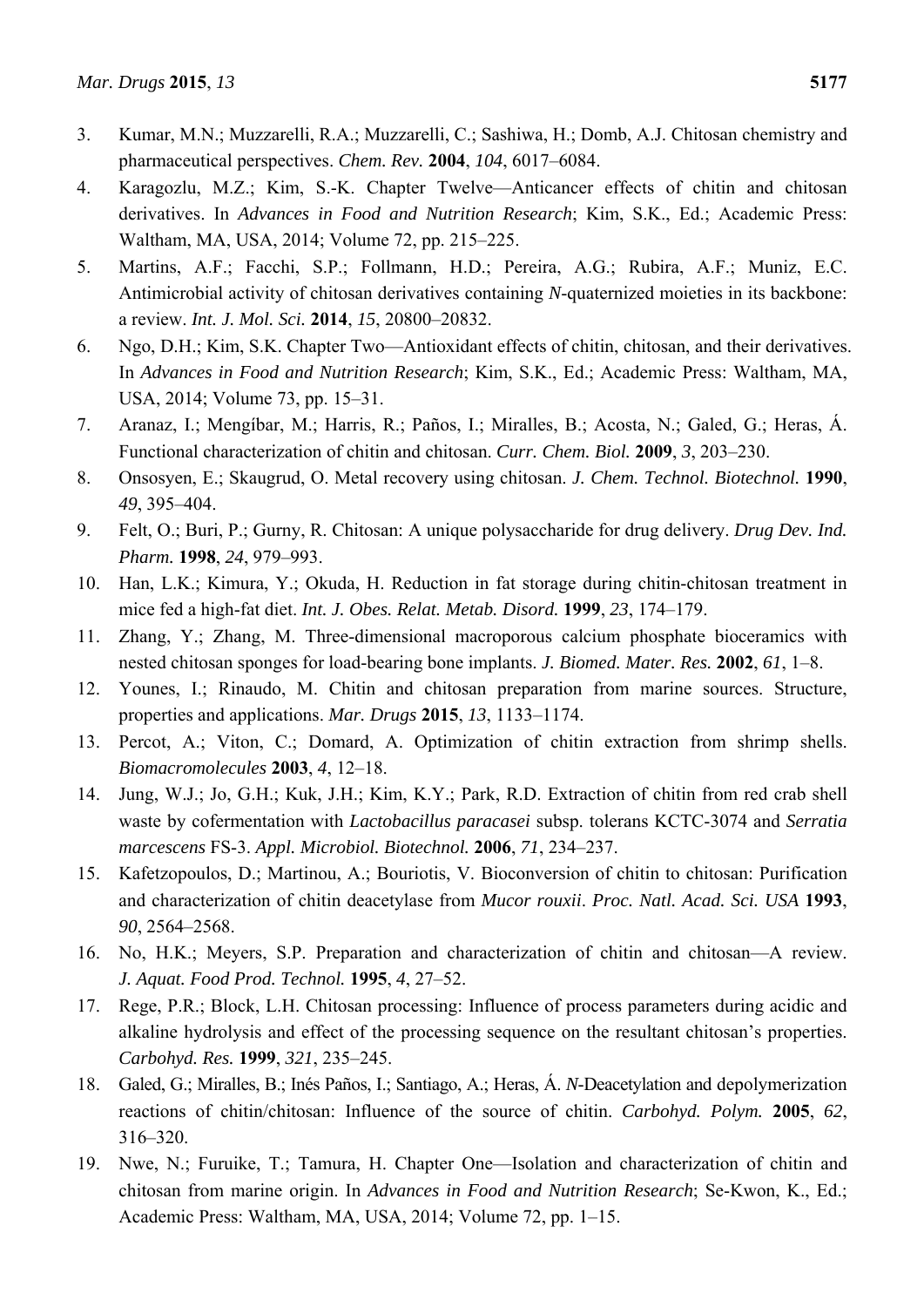- 3. Kumar, M.N.; Muzzarelli, R.A.; Muzzarelli, C.; Sashiwa, H.; Domb, A.J. Chitosan chemistry and pharmaceutical perspectives. *Chem. Rev.* **2004**, *104*, 6017–6084.
- 4. Karagozlu, M.Z.; Kim, S.-K. Chapter Twelve—Anticancer effects of chitin and chitosan derivatives. In *Advances in Food and Nutrition Research*; Kim, S.K., Ed.; Academic Press: Waltham, MA, USA, 2014; Volume 72, pp. 215–225.
- 5. Martins, A.F.; Facchi, S.P.; Follmann, H.D.; Pereira, A.G.; Rubira, A.F.; Muniz, E.C. Antimicrobial activity of chitosan derivatives containing *N*-quaternized moieties in its backbone: a review. *Int. J. Mol. Sci.* **2014**, *15*, 20800–20832.
- 6. Ngo, D.H.; Kim, S.K. Chapter Two—Antioxidant effects of chitin, chitosan, and their derivatives. In *Advances in Food and Nutrition Research*; Kim, S.K., Ed.; Academic Press: Waltham, MA, USA, 2014; Volume 73, pp. 15–31.
- 7. Aranaz, I.; Mengíbar, M.; Harris, R.; Paños, I.; Miralles, B.; Acosta, N.; Galed, G.; Heras, Á. Functional characterization of chitin and chitosan. *Curr. Chem. Biol.* **2009**, *3*, 203–230.
- 8. Onsosyen, E.; Skaugrud, O. Metal recovery using chitosan. *J. Chem. Technol. Biotechnol.* **1990**, *49*, 395–404.
- 9. Felt, O.; Buri, P.; Gurny, R. Chitosan: A unique polysaccharide for drug delivery. *Drug Dev. Ind. Pharm.* **1998**, *24*, 979–993.
- 10. Han, L.K.; Kimura, Y.; Okuda, H. Reduction in fat storage during chitin-chitosan treatment in mice fed a high-fat diet. *Int. J. Obes. Relat. Metab. Disord.* **1999**, *23*, 174–179.
- 11. Zhang, Y.; Zhang, M. Three-dimensional macroporous calcium phosphate bioceramics with nested chitosan sponges for load-bearing bone implants. *J. Biomed. Mater. Res.* **2002**, *61*, 1–8.
- 12. Younes, I.; Rinaudo, M. Chitin and chitosan preparation from marine sources. Structure, properties and applications. *Mar. Drugs* **2015**, *13*, 1133–1174.
- 13. Percot, A.; Viton, C.; Domard, A. Optimization of chitin extraction from shrimp shells. *Biomacromolecules* **2003**, *4*, 12–18.
- 14. Jung, W.J.; Jo, G.H.; Kuk, J.H.; Kim, K.Y.; Park, R.D. Extraction of chitin from red crab shell waste by cofermentation with *Lactobacillus paracasei* subsp. tolerans KCTC-3074 and *Serratia marcescens* FS-3. *Appl. Microbiol. Biotechnol.* **2006**, *71*, 234–237.
- 15. Kafetzopoulos, D.; Martinou, A.; Bouriotis, V. Bioconversion of chitin to chitosan: Purification and characterization of chitin deacetylase from *Mucor rouxii*. *Proc. Natl. Acad. Sci. USA* **1993**, *90*, 2564–2568.
- 16. No, H.K.; Meyers, S.P. Preparation and characterization of chitin and chitosan—A review. *J. Aquat. Food Prod. Technol.* **1995**, *4*, 27–52.
- 17. Rege, P.R.; Block, L.H. Chitosan processing: Influence of process parameters during acidic and alkaline hydrolysis and effect of the processing sequence on the resultant chitosan's properties. *Carbohyd. Res.* **1999**, *321*, 235–245.
- 18. Galed, G.; Miralles, B.; Inés Paños, I.; Santiago, A.; Heras, Á. *N*-Deacetylation and depolymerization reactions of chitin/chitosan: Influence of the source of chitin. *Carbohyd. Polym.* **2005**, *62*, 316–320.
- 19. Nwe, N.; Furuike, T.; Tamura, H. Chapter One—Isolation and characterization of chitin and chitosan from marine origin. In *Advances in Food and Nutrition Research*; Se-Kwon, K., Ed.; Academic Press: Waltham, MA, USA, 2014; Volume 72, pp. 1–15.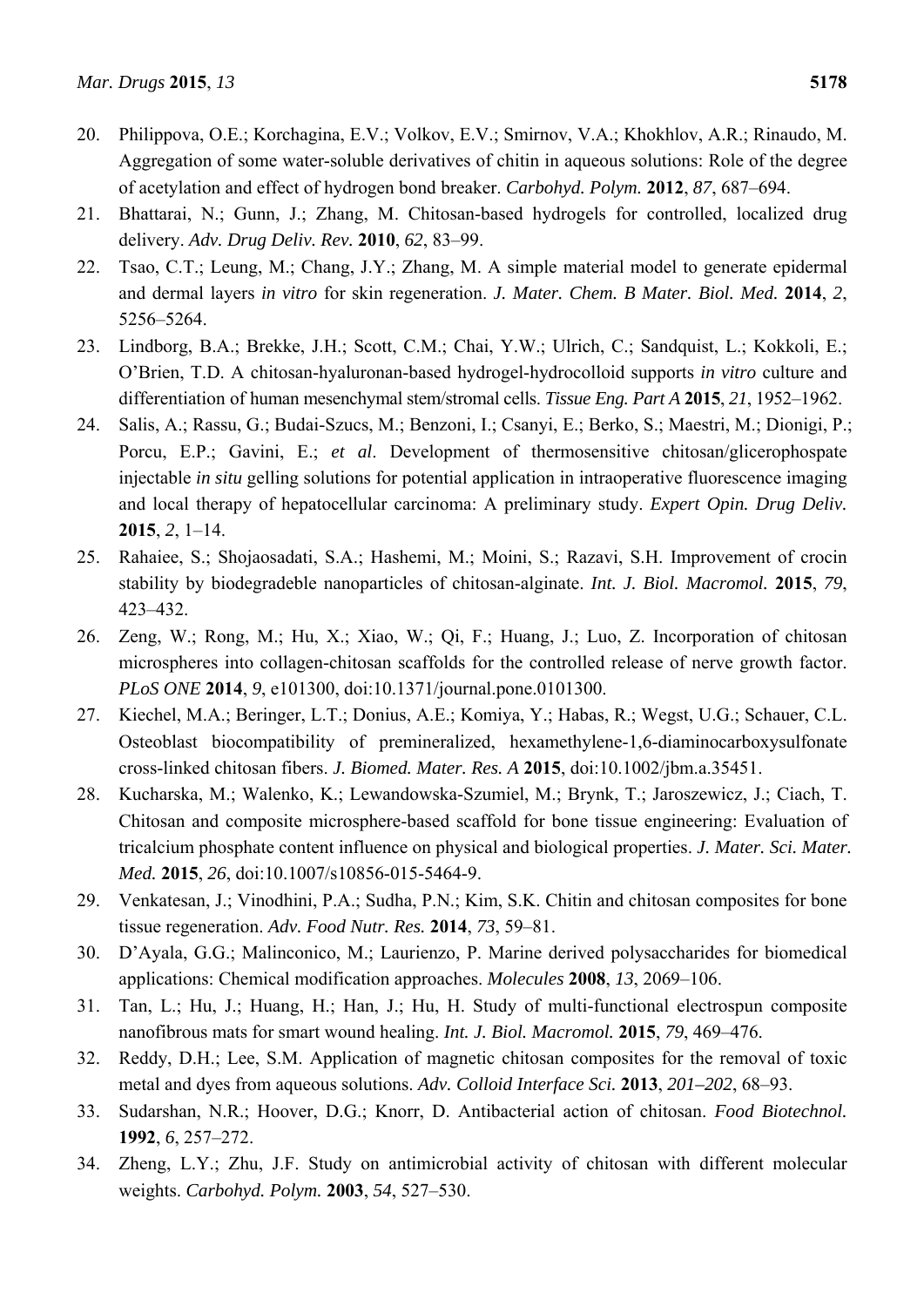- 20. Philippova, O.E.; Korchagina, E.V.; Volkov, E.V.; Smirnov, V.A.; Khokhlov, A.R.; Rinaudo, M. Aggregation of some water-soluble derivatives of chitin in aqueous solutions: Role of the degree of acetylation and effect of hydrogen bond breaker. *Carbohyd. Polym.* **2012**, *87*, 687–694.
- 21. Bhattarai, N.; Gunn, J.; Zhang, M. Chitosan-based hydrogels for controlled, localized drug delivery. *Adv. Drug Deliv. Rev.* **2010**, *62*, 83–99.
- 22. Tsao, C.T.; Leung, M.; Chang, J.Y.; Zhang, M. A simple material model to generate epidermal and dermal layers *in vitro* for skin regeneration. *J. Mater. Chem. B Mater. Biol. Med.* **2014**, *2*, 5256–5264.
- 23. Lindborg, B.A.; Brekke, J.H.; Scott, C.M.; Chai, Y.W.; Ulrich, C.; Sandquist, L.; Kokkoli, E.; O'Brien, T.D. A chitosan-hyaluronan-based hydrogel-hydrocolloid supports *in vitro* culture and differentiation of human mesenchymal stem/stromal cells. *Tissue Eng. Part A* **2015**, *21*, 1952–1962.
- 24. Salis, A.; Rassu, G.; Budai-Szucs, M.; Benzoni, I.; Csanyi, E.; Berko, S.; Maestri, M.; Dionigi, P.; Porcu, E.P.; Gavini, E.; *et al*. Development of thermosensitive chitosan/glicerophospate injectable *in situ* gelling solutions for potential application in intraoperative fluorescence imaging and local therapy of hepatocellular carcinoma: A preliminary study. *Expert Opin. Drug Deliv.*  **2015**, *2*, 1–14.
- 25. Rahaiee, S.; Shojaosadati, S.A.; Hashemi, M.; Moini, S.; Razavi, S.H. Improvement of crocin stability by biodegradeble nanoparticles of chitosan-alginate. *Int. J. Biol. Macromol.* **2015**, *79*, 423–432.
- 26. Zeng, W.; Rong, M.; Hu, X.; Xiao, W.; Qi, F.; Huang, J.; Luo, Z. Incorporation of chitosan microspheres into collagen-chitosan scaffolds for the controlled release of nerve growth factor. *PLoS ONE* **2014**, *9*, e101300, doi:10.1371/journal.pone.0101300.
- 27. Kiechel, M.A.; Beringer, L.T.; Donius, A.E.; Komiya, Y.; Habas, R.; Wegst, U.G.; Schauer, C.L. Osteoblast biocompatibility of premineralized, hexamethylene-1,6-diaminocarboxysulfonate cross-linked chitosan fibers. *J. Biomed. Mater. Res. A* **2015**, doi:10.1002/jbm.a.35451.
- 28. Kucharska, M.; Walenko, K.; Lewandowska-Szumiel, M.; Brynk, T.; Jaroszewicz, J.; Ciach, T. Chitosan and composite microsphere-based scaffold for bone tissue engineering: Evaluation of tricalcium phosphate content influence on physical and biological properties. *J. Mater. Sci. Mater. Med.* **2015**, *26*, doi:10.1007/s10856-015-5464-9.
- 29. Venkatesan, J.; Vinodhini, P.A.; Sudha, P.N.; Kim, S.K. Chitin and chitosan composites for bone tissue regeneration. *Adv. Food Nutr. Res.* **2014**, *73*, 59–81.
- 30. D'Ayala, G.G.; Malinconico, M.; Laurienzo, P. Marine derived polysaccharides for biomedical applications: Chemical modification approaches. *Molecules* **2008**, *13*, 2069–106.
- 31. Tan, L.; Hu, J.; Huang, H.; Han, J.; Hu, H. Study of multi-functional electrospun composite nanofibrous mats for smart wound healing. *Int. J. Biol. Macromol.* **2015**, *79*, 469–476.
- 32. Reddy, D.H.; Lee, S.M. Application of magnetic chitosan composites for the removal of toxic metal and dyes from aqueous solutions. *Adv. Colloid Interface Sci.* **2013**, *201–202*, 68–93.
- 33. Sudarshan, N.R.; Hoover, D.G.; Knorr, D. Antibacterial action of chitosan. *Food Biotechnol.*  **1992**, *6*, 257–272.
- 34. Zheng, L.Y.; Zhu, J.F. Study on antimicrobial activity of chitosan with different molecular weights. *Carbohyd. Polym.* **2003**, *54*, 527–530.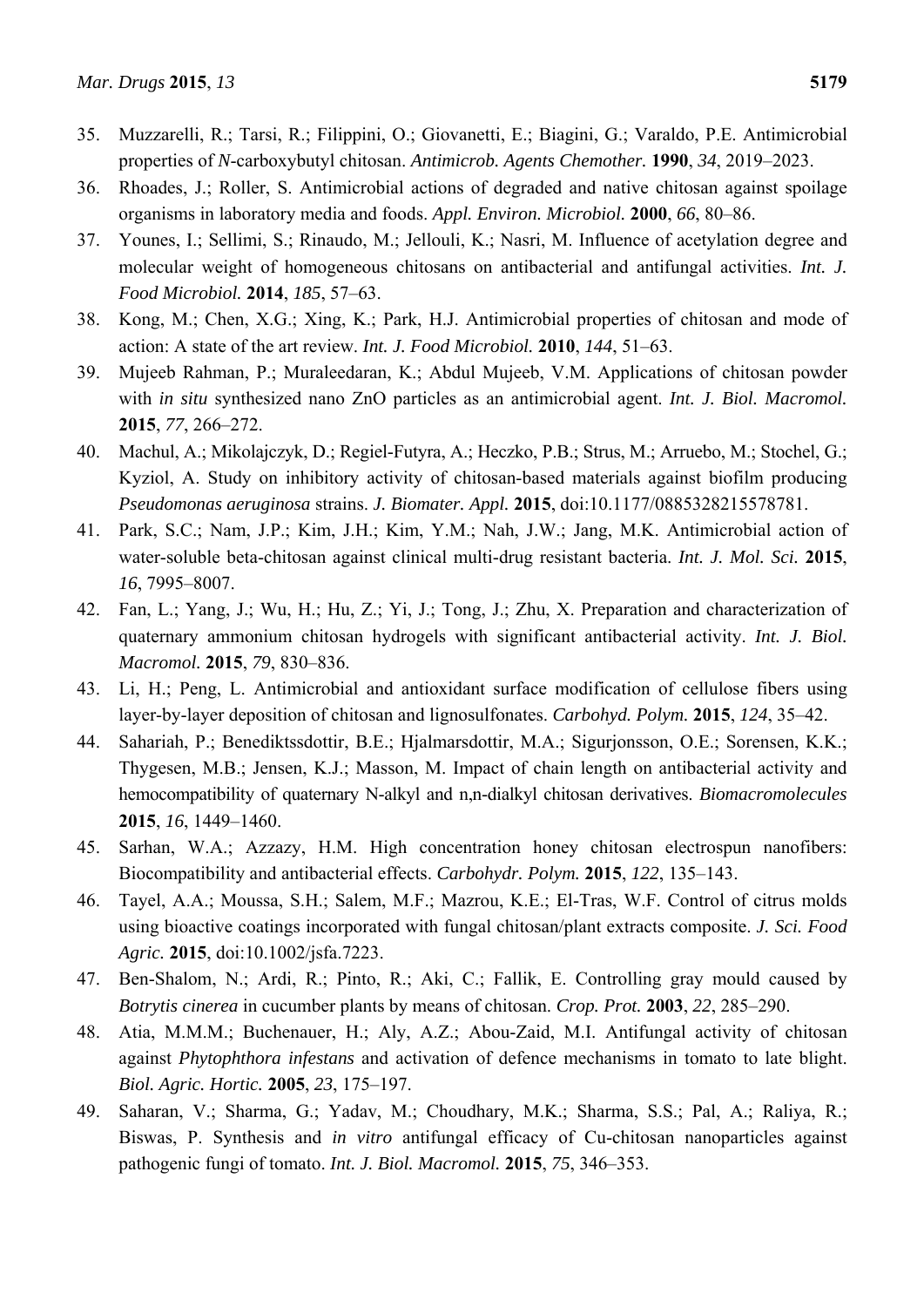- 35. Muzzarelli, R.; Tarsi, R.; Filippini, O.; Giovanetti, E.; Biagini, G.; Varaldo, P.E. Antimicrobial properties of *N*-carboxybutyl chitosan. *Antimicrob. Agents Chemother.* **1990**, *34*, 2019–2023.
- 36. Rhoades, J.; Roller, S. Antimicrobial actions of degraded and native chitosan against spoilage organisms in laboratory media and foods. *Appl. Environ. Microbiol.* **2000**, *66*, 80–86.
- 37. Younes, I.; Sellimi, S.; Rinaudo, M.; Jellouli, K.; Nasri, M. Influence of acetylation degree and molecular weight of homogeneous chitosans on antibacterial and antifungal activities. *Int. J. Food Microbiol.* **2014**, *185*, 57–63.
- 38. Kong, M.; Chen, X.G.; Xing, K.; Park, H.J. Antimicrobial properties of chitosan and mode of action: A state of the art review. *Int. J. Food Microbiol.* **2010**, *144*, 51–63.
- 39. Mujeeb Rahman, P.; Muraleedaran, K.; Abdul Mujeeb, V.M. Applications of chitosan powder with *in situ* synthesized nano ZnO particles as an antimicrobial agent. *Int. J. Biol. Macromol.* **2015**, *77*, 266–272.
- 40. Machul, A.; Mikolajczyk, D.; Regiel-Futyra, A.; Heczko, P.B.; Strus, M.; Arruebo, M.; Stochel, G.; Kyziol, A. Study on inhibitory activity of chitosan-based materials against biofilm producing *Pseudomonas aeruginosa* strains. *J. Biomater. Appl.* **2015**, doi:10.1177/0885328215578781.
- 41. Park, S.C.; Nam, J.P.; Kim, J.H.; Kim, Y.M.; Nah, J.W.; Jang, M.K. Antimicrobial action of water-soluble beta-chitosan against clinical multi-drug resistant bacteria. *Int. J. Mol. Sci.* **2015**, *16*, 7995–8007.
- 42. Fan, L.; Yang, J.; Wu, H.; Hu, Z.; Yi, J.; Tong, J.; Zhu, X. Preparation and characterization of quaternary ammonium chitosan hydrogels with significant antibacterial activity. *Int. J. Biol. Macromol.* **2015**, *79*, 830–836.
- 43. Li, H.; Peng, L. Antimicrobial and antioxidant surface modification of cellulose fibers using layer-by-layer deposition of chitosan and lignosulfonates. *Carbohyd. Polym.* **2015**, *124*, 35–42.
- 44. Sahariah, P.; Benediktssdottir, B.E.; Hjalmarsdottir, M.A.; Sigurjonsson, O.E.; Sorensen, K.K.; Thygesen, M.B.; Jensen, K.J.; Masson, M. Impact of chain length on antibacterial activity and hemocompatibility of quaternary N-alkyl and n,n-dialkyl chitosan derivatives. *Biomacromolecules*  **2015**, *16*, 1449–1460.
- 45. Sarhan, W.A.; Azzazy, H.M. High concentration honey chitosan electrospun nanofibers: Biocompatibility and antibacterial effects. *Carbohydr. Polym.* **2015**, *122*, 135–143.
- 46. Tayel, A.A.; Moussa, S.H.; Salem, M.F.; Mazrou, K.E.; El-Tras, W.F. Control of citrus molds using bioactive coatings incorporated with fungal chitosan/plant extracts composite. *J. Sci. Food Agric.* **2015**, doi:10.1002/jsfa.7223.
- 47. Ben-Shalom, N.; Ardi, R.; Pinto, R.; Aki, C.; Fallik, E. Controlling gray mould caused by *Botrytis cinerea* in cucumber plants by means of chitosan. *Crop. Prot.* **2003**, *22*, 285–290.
- 48. Atia, M.M.M.; Buchenauer, H.; Aly, A.Z.; Abou-Zaid, M.I. Antifungal activity of chitosan against *Phytophthora infestans* and activation of defence mechanisms in tomato to late blight. *Biol. Agric. Hortic.* **2005**, *23*, 175–197.
- 49. Saharan, V.; Sharma, G.; Yadav, M.; Choudhary, M.K.; Sharma, S.S.; Pal, A.; Raliya, R.; Biswas, P. Synthesis and *in vitro* antifungal efficacy of Cu-chitosan nanoparticles against pathogenic fungi of tomato. *Int. J. Biol. Macromol.* **2015**, *75*, 346–353.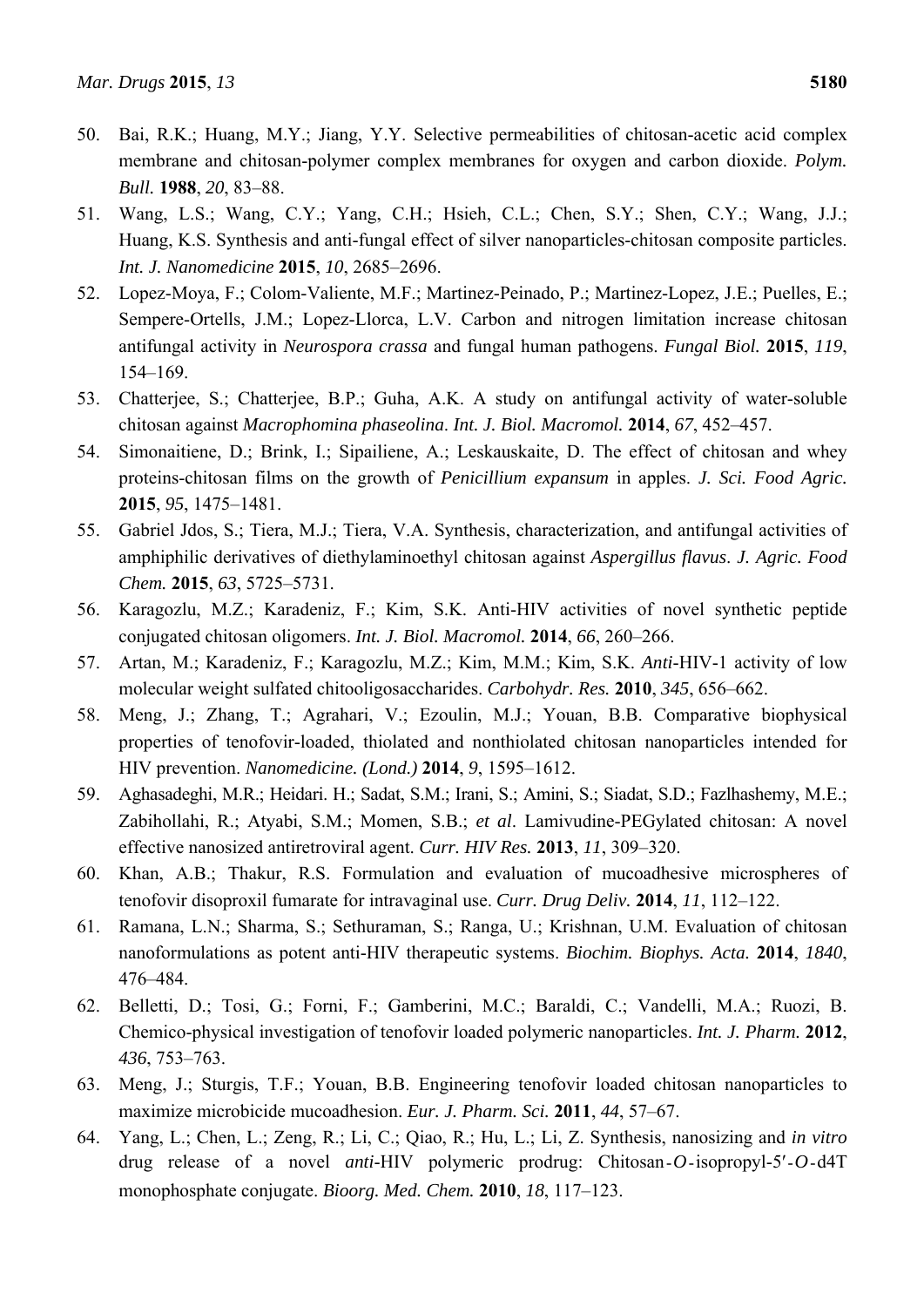- 50. Bai, R.K.; Huang, M.Y.; Jiang, Y.Y. Selective permeabilities of chitosan-acetic acid complex membrane and chitosan-polymer complex membranes for oxygen and carbon dioxide. *Polym. Bull.* **1988**, *20*, 83–88.
- 51. Wang, L.S.; Wang, C.Y.; Yang, C.H.; Hsieh, C.L.; Chen, S.Y.; Shen, C.Y.; Wang, J.J.; Huang, K.S. Synthesis and anti-fungal effect of silver nanoparticles-chitosan composite particles. *Int. J. Nanomedicine* **2015**, *10*, 2685–2696.
- 52. Lopez-Moya, F.; Colom-Valiente, M.F.; Martinez-Peinado, P.; Martinez-Lopez, J.E.; Puelles, E.; Sempere-Ortells, J.M.; Lopez-Llorca, L.V. Carbon and nitrogen limitation increase chitosan antifungal activity in *Neurospora crassa* and fungal human pathogens. *Fungal Biol.* **2015**, *119*, 154–169.
- 53. Chatterjee, S.; Chatterjee, B.P.; Guha, A.K. A study on antifungal activity of water-soluble chitosan against *Macrophomina phaseolina*. *Int. J. Biol. Macromol.* **2014**, *67*, 452–457.
- 54. Simonaitiene, D.; Brink, I.; Sipailiene, A.; Leskauskaite, D. The effect of chitosan and whey proteins-chitosan films on the growth of *Penicillium expansum* in apples. *J. Sci. Food Agric.* **2015**, *95*, 1475–1481.
- 55. Gabriel Jdos, S.; Tiera, M.J.; Tiera, V.A. Synthesis, characterization, and antifungal activities of amphiphilic derivatives of diethylaminoethyl chitosan against *Aspergillus flavus*. *J. Agric. Food Chem.* **2015**, *63*, 5725–5731.
- 56. Karagozlu, M.Z.; Karadeniz, F.; Kim, S.K. Anti-HIV activities of novel synthetic peptide conjugated chitosan oligomers. *Int. J. Biol. Macromol.* **2014**, *66*, 260–266.
- 57. Artan, M.; Karadeniz, F.; Karagozlu, M.Z.; Kim, M.M.; Kim, S.K. *Anti*-HIV-1 activity of low molecular weight sulfated chitooligosaccharides. *Carbohydr. Res.* **2010**, *345*, 656–662.
- 58. Meng, J.; Zhang, T.; Agrahari, V.; Ezoulin, M.J.; Youan, B.B. Comparative biophysical properties of tenofovir-loaded, thiolated and nonthiolated chitosan nanoparticles intended for HIV prevention. *Nanomedicine. (Lond.)* **2014**, *9*, 1595–1612.
- 59. Aghasadeghi, M.R.; Heidari. H.; Sadat, S.M.; Irani, S.; Amini, S.; Siadat, S.D.; Fazlhashemy, M.E.; Zabihollahi, R.; Atyabi, S.M.; Momen, S.B.; *et al*. Lamivudine-PEGylated chitosan: A novel effective nanosized antiretroviral agent. *Curr. HIV Res.* **2013**, *11*, 309–320.
- 60. Khan, A.B.; Thakur, R.S. Formulation and evaluation of mucoadhesive microspheres of tenofovir disoproxil fumarate for intravaginal use. *Curr. Drug Deliv.* **2014**, *11*, 112–122.
- 61. Ramana, L.N.; Sharma, S.; Sethuraman, S.; Ranga, U.; Krishnan, U.M. Evaluation of chitosan nanoformulations as potent anti-HIV therapeutic systems. *Biochim. Biophys. Acta.* **2014**, *1840*, 476–484.
- 62. Belletti, D.; Tosi, G.; Forni, F.; Gamberini, M.C.; Baraldi, C.; Vandelli, M.A.; Ruozi, B. Chemico-physical investigation of tenofovir loaded polymeric nanoparticles. *Int. J. Pharm.* **2012**, *436*, 753–763.
- 63. Meng, J.; Sturgis, T.F.; Youan, B.B. Engineering tenofovir loaded chitosan nanoparticles to maximize microbicide mucoadhesion. *Eur. J. Pharm. Sci.* **2011**, *44*, 57–67.
- 64. Yang, L.; Chen, L.; Zeng, R.; Li, C.; Qiao, R.; Hu, L.; Li, Z. Synthesis, nanosizing and *in vitro* drug release of a novel *anti*-HIV polymeric prodrug: Chitosan-*O*-isopropyl-5′-*O*-d4T monophosphate conjugate. *Bioorg. Med. Chem.* **2010**, *18*, 117–123.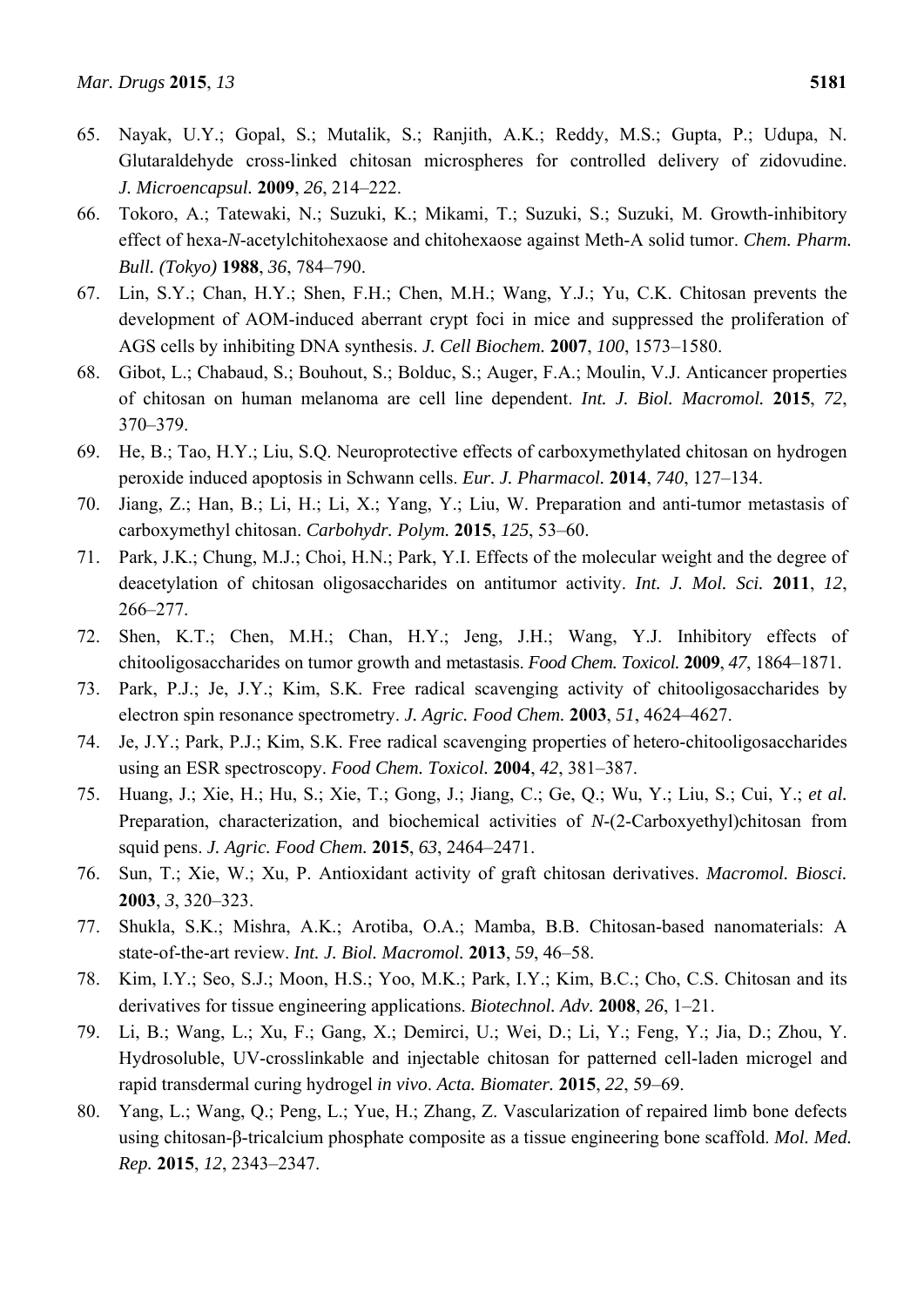- 65. Nayak, U.Y.; Gopal, S.; Mutalik, S.; Ranjith, A.K.; Reddy, M.S.; Gupta, P.; Udupa, N. Glutaraldehyde cross-linked chitosan microspheres for controlled delivery of zidovudine. *J. Microencapsul.* **2009**, *26*, 214–222.
- 66. Tokoro, A.; Tatewaki, N.; Suzuki, K.; Mikami, T.; Suzuki, S.; Suzuki, M. Growth-inhibitory effect of hexa-*N*-acetylchitohexaose and chitohexaose against Meth-A solid tumor. *Chem. Pharm. Bull. (Tokyo)* **1988**, *36*, 784–790.
- 67. Lin, S.Y.; Chan, H.Y.; Shen, F.H.; Chen, M.H.; Wang, Y.J.; Yu, C.K. Chitosan prevents the development of AOM-induced aberrant crypt foci in mice and suppressed the proliferation of AGS cells by inhibiting DNA synthesis. *J. Cell Biochem.* **2007**, *100*, 1573–1580.
- 68. Gibot, L.; Chabaud, S.; Bouhout, S.; Bolduc, S.; Auger, F.A.; Moulin, V.J. Anticancer properties of chitosan on human melanoma are cell line dependent. *Int. J. Biol. Macromol.* **2015**, *72*, 370–379.
- 69. He, B.; Tao, H.Y.; Liu, S.Q. Neuroprotective effects of carboxymethylated chitosan on hydrogen peroxide induced apoptosis in Schwann cells. *Eur. J. Pharmacol.* **2014**, *740*, 127–134.
- 70. Jiang, Z.; Han, B.; Li, H.; Li, X.; Yang, Y.; Liu, W. Preparation and anti-tumor metastasis of carboxymethyl chitosan. *Carbohydr. Polym.* **2015**, *125*, 53–60.
- 71. Park, J.K.; Chung, M.J.; Choi, H.N.; Park, Y.I. Effects of the molecular weight and the degree of deacetylation of chitosan oligosaccharides on antitumor activity. *Int. J. Mol. Sci.* **2011**, *12*, 266–277.
- 72. Shen, K.T.; Chen, M.H.; Chan, H.Y.; Jeng, J.H.; Wang, Y.J. Inhibitory effects of chitooligosaccharides on tumor growth and metastasis. *Food Chem. Toxicol.* **2009**, *47*, 1864–1871.
- 73. Park, P.J.; Je, J.Y.; Kim, S.K. Free radical scavenging activity of chitooligosaccharides by electron spin resonance spectrometry. *J. Agric. Food Chem.* **2003**, *51*, 4624–4627.
- 74. Je, J.Y.; Park, P.J.; Kim, S.K. Free radical scavenging properties of hetero-chitooligosaccharides using an ESR spectroscopy. *Food Chem. Toxicol.* **2004**, *42*, 381–387.
- 75. Huang, J.; Xie, H.; Hu, S.; Xie, T.; Gong, J.; Jiang, C.; Ge, Q.; Wu, Y.; Liu, S.; Cui, Y.; *et al.* Preparation, characterization, and biochemical activities of *N*-(2-Carboxyethyl)chitosan from squid pens. *J. Agric. Food Chem.* **2015**, *63*, 2464–2471.
- 76. Sun, T.; Xie, W.; Xu, P. Antioxidant activity of graft chitosan derivatives. *Macromol. Biosci.*  **2003**, *3*, 320–323.
- 77. Shukla, S.K.; Mishra, A.K.; Arotiba, O.A.; Mamba, B.B. Chitosan-based nanomaterials: A state-of-the-art review. *Int. J. Biol. Macromol.* **2013**, *59*, 46–58.
- 78. Kim, I.Y.; Seo, S.J.; Moon, H.S.; Yoo, M.K.; Park, I.Y.; Kim, B.C.; Cho, C.S. Chitosan and its derivatives for tissue engineering applications. *Biotechnol. Adv.* **2008**, *26*, 1–21.
- 79. Li, B.; Wang, L.; Xu, F.; Gang, X.; Demirci, U.; Wei, D.; Li, Y.; Feng, Y.; Jia, D.; Zhou, Y. Hydrosoluble, UV-crosslinkable and injectable chitosan for patterned cell-laden microgel and rapid transdermal curing hydrogel *in vivo*. *Acta. Biomater.* **2015**, *22*, 59–69.
- 80. Yang, L.; Wang, Q.; Peng, L.; Yue, H.; Zhang, Z. Vascularization of repaired limb bone defects using chitosan-β-tricalcium phosphate composite as a tissue engineering bone scaffold. *Mol. Med. Rep.* **2015**, *12*, 2343–2347.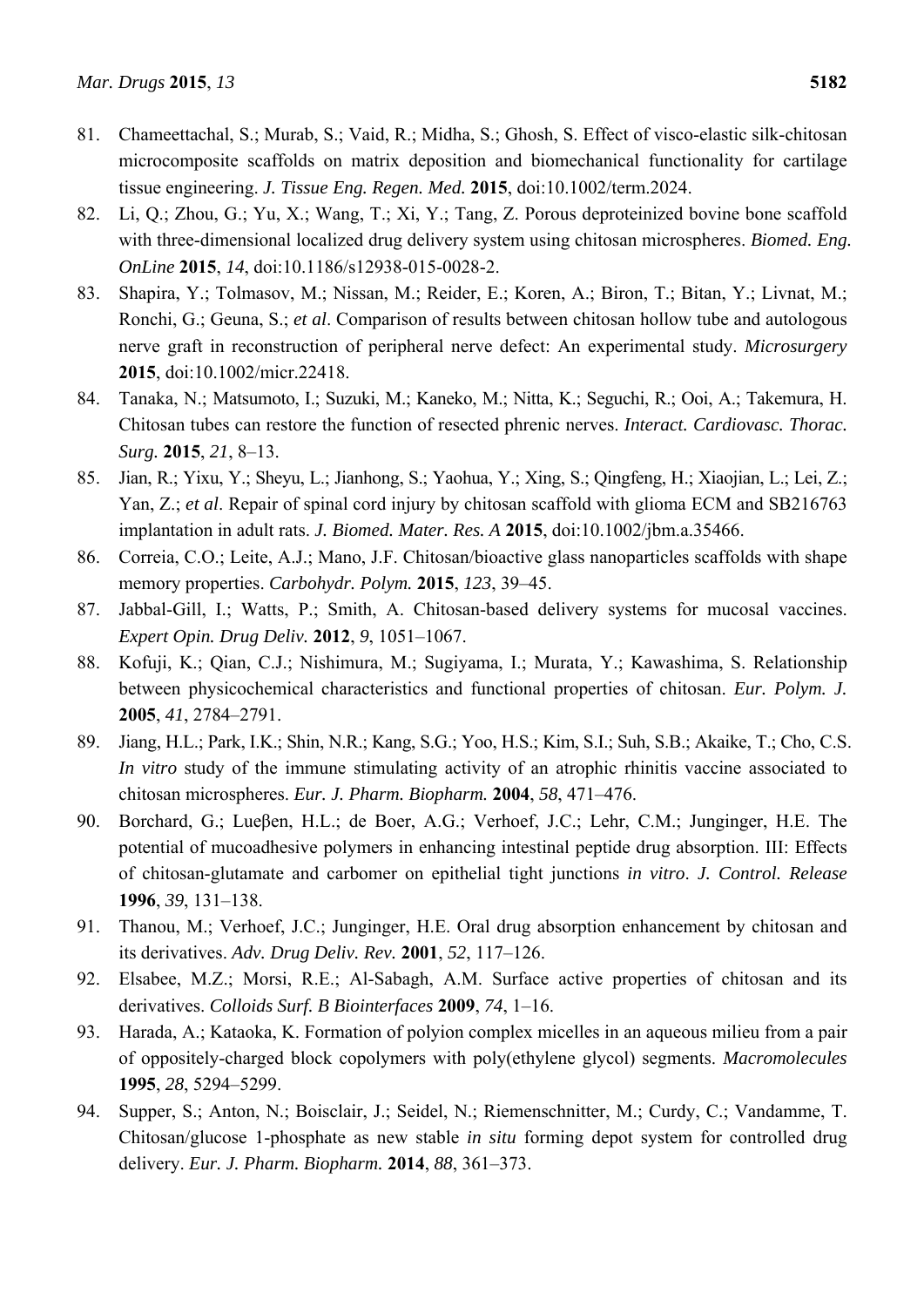- 81. Chameettachal, S.; Murab, S.; Vaid, R.; Midha, S.; Ghosh, S. Effect of visco-elastic silk-chitosan microcomposite scaffolds on matrix deposition and biomechanical functionality for cartilage tissue engineering. *J. Tissue Eng. Regen. Med.* **2015**, doi:10.1002/term.2024.
- 82. Li, Q.; Zhou, G.; Yu, X.; Wang, T.; Xi, Y.; Tang, Z. Porous deproteinized bovine bone scaffold with three-dimensional localized drug delivery system using chitosan microspheres. *Biomed. Eng. OnLine* **2015**, *14*, doi:10.1186/s12938-015-0028-2.
- 83. Shapira, Y.; Tolmasov, M.; Nissan, M.; Reider, E.; Koren, A.; Biron, T.; Bitan, Y.; Livnat, M.; Ronchi, G.; Geuna, S.; *et al*. Comparison of results between chitosan hollow tube and autologous nerve graft in reconstruction of peripheral nerve defect: An experimental study. *Microsurgery*  **2015**, doi:10.1002/micr.22418.
- 84. Tanaka, N.; Matsumoto, I.; Suzuki, M.; Kaneko, M.; Nitta, K.; Seguchi, R.; Ooi, A.; Takemura, H. Chitosan tubes can restore the function of resected phrenic nerves. *Interact. Cardiovasc. Thorac. Surg.* **2015**, *21*, 8–13.
- 85. Jian, R.; Yixu, Y.; Sheyu, L.; Jianhong, S.; Yaohua, Y.; Xing, S.; Qingfeng, H.; Xiaojian, L.; Lei, Z.; Yan, Z.; *et al*. Repair of spinal cord injury by chitosan scaffold with glioma ECM and SB216763 implantation in adult rats. *J. Biomed. Mater. Res. A* **2015**, doi:10.1002/jbm.a.35466.
- 86. Correia, C.O.; Leite, A.J.; Mano, J.F. Chitosan/bioactive glass nanoparticles scaffolds with shape memory properties. *Carbohydr. Polym.* **2015**, *123*, 39–45.
- 87. Jabbal-Gill, I.; Watts, P.; Smith, A. Chitosan-based delivery systems for mucosal vaccines. *Expert Opin. Drug Deliv.* **2012**, *9*, 1051–1067.
- 88. Kofuji, K.; Qian, C.J.; Nishimura, M.; Sugiyama, I.; Murata, Y.; Kawashima, S. Relationship between physicochemical characteristics and functional properties of chitosan. *Eur. Polym. J.*  **2005**, *41*, 2784–2791.
- 89. Jiang, H.L.; Park, I.K.; Shin, N.R.; Kang, S.G.; Yoo, H.S.; Kim, S.I.; Suh, S.B.; Akaike, T.; Cho, C.S. *In vitro* study of the immune stimulating activity of an atrophic rhinitis vaccine associated to chitosan microspheres. *Eur. J. Pharm. Biopharm.* **2004**, *58*, 471–476.
- 90. Borchard, G.; Lueβen, H.L.; de Boer, A.G.; Verhoef, J.C.; Lehr, C.M.; Junginger, H.E. The potential of mucoadhesive polymers in enhancing intestinal peptide drug absorption. III: Effects of chitosan-glutamate and carbomer on epithelial tight junctions *in vitro*. *J. Control. Release*  **1996**, *39*, 131–138.
- 91. Thanou, M.; Verhoef, J.C.; Junginger, H.E. Oral drug absorption enhancement by chitosan and its derivatives. *Adv. Drug Deliv. Rev.* **2001**, *52*, 117–126.
- 92. Elsabee, M.Z.; Morsi, R.E.; Al-Sabagh, A.M. Surface active properties of chitosan and its derivatives. *Colloids Surf. B Biointerfaces* **2009**, *74*, 1–16.
- 93. Harada, A.; Kataoka, K. Formation of polyion complex micelles in an aqueous milieu from a pair of oppositely-charged block copolymers with poly(ethylene glycol) segments. *Macromolecules*  **1995**, *28*, 5294–5299.
- 94. Supper, S.; Anton, N.; Boisclair, J.; Seidel, N.; Riemenschnitter, M.; Curdy, C.; Vandamme, T. Chitosan/glucose 1-phosphate as new stable *in situ* forming depot system for controlled drug delivery. *Eur. J. Pharm. Biopharm.* **2014**, *88*, 361–373.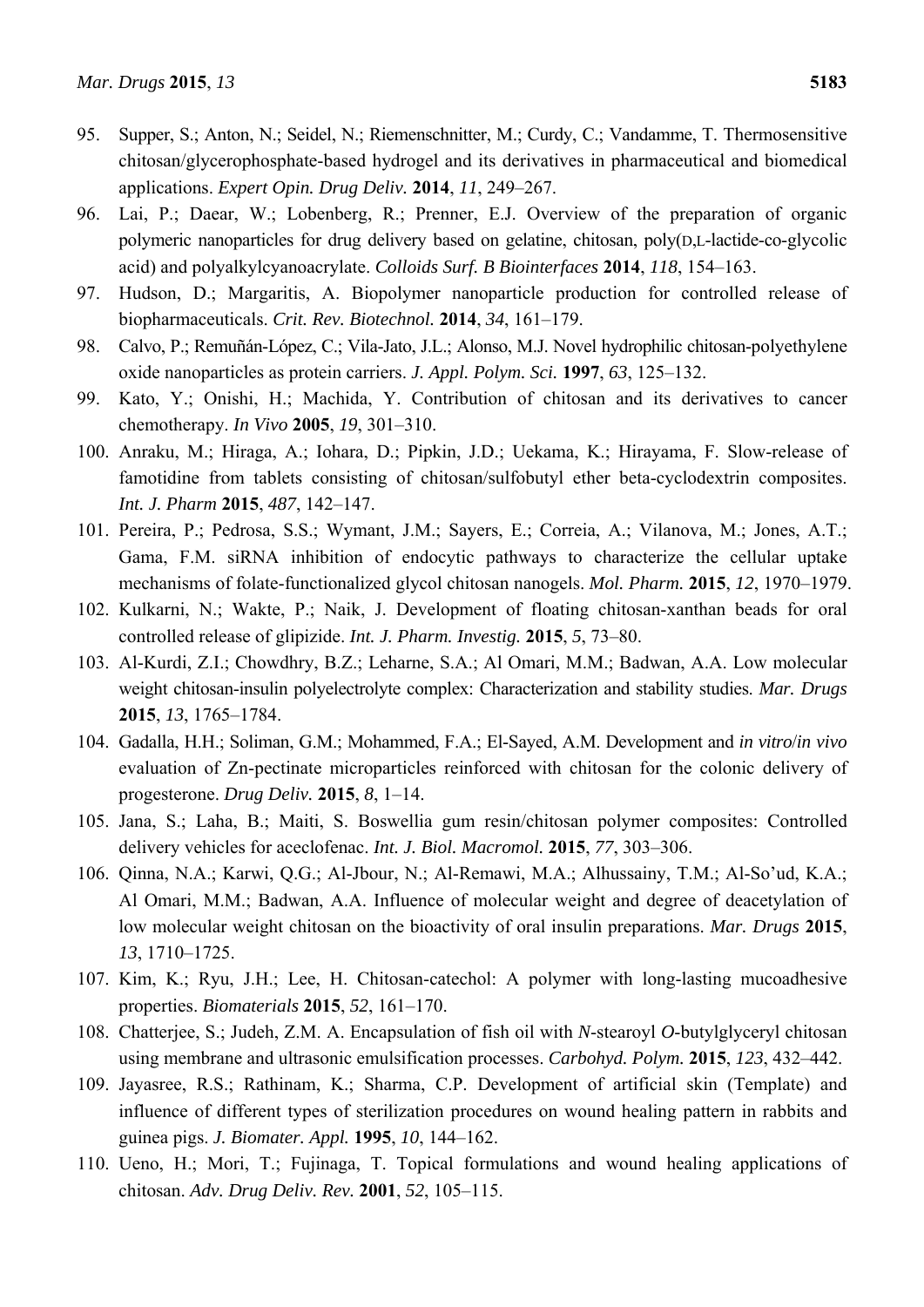- 95. Supper, S.; Anton, N.; Seidel, N.; Riemenschnitter, M.; Curdy, C.; Vandamme, T. Thermosensitive chitosan/glycerophosphate-based hydrogel and its derivatives in pharmaceutical and biomedical applications. *Expert Opin. Drug Deliv.* **2014**, *11*, 249–267.
- 96. Lai, P.; Daear, W.; Lobenberg, R.; Prenner, E.J. Overview of the preparation of organic polymeric nanoparticles for drug delivery based on gelatine, chitosan, poly(D,L-lactide-co-glycolic acid) and polyalkylcyanoacrylate. *Colloids Surf. B Biointerfaces* **2014**, *118*, 154–163.
- 97. Hudson, D.; Margaritis, A. Biopolymer nanoparticle production for controlled release of biopharmaceuticals. *Crit. Rev. Biotechnol.* **2014**, *34*, 161–179.
- 98. Calvo, P.; Remuñán-López, C.; Vila-Jato, J.L.; Alonso, M.J. Novel hydrophilic chitosan-polyethylene oxide nanoparticles as protein carriers. *J. Appl. Polym. Sci.* **1997**, *63*, 125–132.
- 99. Kato, Y.; Onishi, H.; Machida, Y. Contribution of chitosan and its derivatives to cancer chemotherapy. *In Vivo* **2005**, *19*, 301–310.
- 100. Anraku, M.; Hiraga, A.; Iohara, D.; Pipkin, J.D.; Uekama, K.; Hirayama, F. Slow-release of famotidine from tablets consisting of chitosan/sulfobutyl ether beta-cyclodextrin composites. *Int. J. Pharm* **2015**, *487*, 142–147.
- 101. Pereira, P.; Pedrosa, S.S.; Wymant, J.M.; Sayers, E.; Correia, A.; Vilanova, M.; Jones, A.T.; Gama, F.M. siRNA inhibition of endocytic pathways to characterize the cellular uptake mechanisms of folate-functionalized glycol chitosan nanogels. *Mol. Pharm.* **2015**, *12*, 1970–1979.
- 102. Kulkarni, N.; Wakte, P.; Naik, J. Development of floating chitosan-xanthan beads for oral controlled release of glipizide. *Int. J. Pharm. Investig.* **2015**, *5*, 73–80.
- 103. Al-Kurdi, Z.I.; Chowdhry, B.Z.; Leharne, S.A.; Al Omari, M.M.; Badwan, A.A. Low molecular weight chitosan-insulin polyelectrolyte complex: Characterization and stability studies. *Mar. Drugs*  **2015**, *13*, 1765–1784.
- 104. Gadalla, H.H.; Soliman, G.M.; Mohammed, F.A.; El-Sayed, A.M. Development and *in vitro*/*in vivo* evaluation of Zn-pectinate microparticles reinforced with chitosan for the colonic delivery of progesterone. *Drug Deliv.* **2015**, *8*, 1–14.
- 105. Jana, S.; Laha, B.; Maiti, S. Boswellia gum resin/chitosan polymer composites: Controlled delivery vehicles for aceclofenac. *Int. J. Biol. Macromol.* **2015**, *77*, 303–306.
- 106. Qinna, N.A.; Karwi, Q.G.; Al-Jbour, N.; Al-Remawi, M.A.; Alhussainy, T.M.; Al-So'ud, K.A.; Al Omari, M.M.; Badwan, A.A. Influence of molecular weight and degree of deacetylation of low molecular weight chitosan on the bioactivity of oral insulin preparations. *Mar. Drugs* **2015**, *13*, 1710–1725.
- 107. Kim, K.; Ryu, J.H.; Lee, H. Chitosan-catechol: A polymer with long-lasting mucoadhesive properties. *Biomaterials* **2015**, *52*, 161–170.
- 108. Chatterjee, S.; Judeh, Z.M. A. Encapsulation of fish oil with *N*-stearoyl *O*-butylglyceryl chitosan using membrane and ultrasonic emulsification processes. *Carbohyd. Polym.* **2015**, *123*, 432–442.
- 109. Jayasree, R.S.; Rathinam, K.; Sharma, C.P. Development of artificial skin (Template) and influence of different types of sterilization procedures on wound healing pattern in rabbits and guinea pigs. *J. Biomater. Appl.* **1995**, *10*, 144–162.
- 110. Ueno, H.; Mori, T.; Fujinaga, T. Topical formulations and wound healing applications of chitosan. *Adv. Drug Deliv. Rev.* **2001**, *52*, 105–115.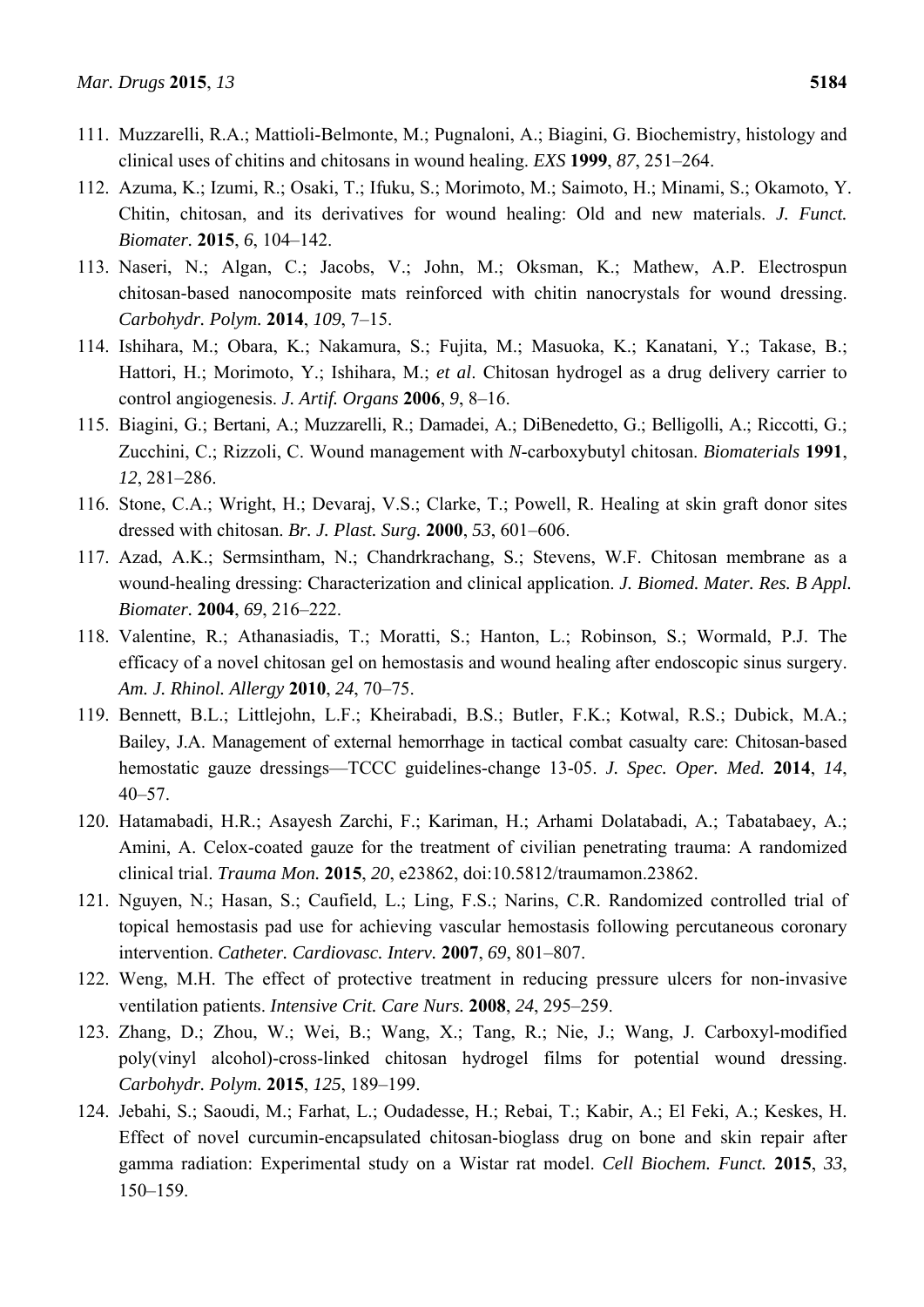- 111. Muzzarelli, R.A.; Mattioli-Belmonte, M.; Pugnaloni, A.; Biagini, G. Biochemistry, histology and clinical uses of chitins and chitosans in wound healing. *EXS* **1999**, *87*, 251–264.
- 112. Azuma, K.; Izumi, R.; Osaki, T.; Ifuku, S.; Morimoto, M.; Saimoto, H.; Minami, S.; Okamoto, Y. Chitin, chitosan, and its derivatives for wound healing: Old and new materials. *J. Funct. Biomater.* **2015**, *6*, 104–142.
- 113. Naseri, N.; Algan, C.; Jacobs, V.; John, M.; Oksman, K.; Mathew, A.P. Electrospun chitosan-based nanocomposite mats reinforced with chitin nanocrystals for wound dressing. *Carbohydr. Polym.* **2014**, *109*, 7–15.
- 114. Ishihara, M.; Obara, K.; Nakamura, S.; Fujita, M.; Masuoka, K.; Kanatani, Y.; Takase, B.; Hattori, H.; Morimoto, Y.; Ishihara, M.; *et al*. Chitosan hydrogel as a drug delivery carrier to control angiogenesis. *J. Artif. Organs* **2006**, *9*, 8–16.
- 115. Biagini, G.; Bertani, A.; Muzzarelli, R.; Damadei, A.; DiBenedetto, G.; Belligolli, A.; Riccotti, G.; Zucchini, C.; Rizzoli, C. Wound management with *N*-carboxybutyl chitosan. *Biomaterials* **1991**, *12*, 281–286.
- 116. Stone, C.A.; Wright, H.; Devaraj, V.S.; Clarke, T.; Powell, R. Healing at skin graft donor sites dressed with chitosan. *Br. J. Plast. Surg.* **2000**, *53*, 601–606.
- 117. Azad, A.K.; Sermsintham, N.; Chandrkrachang, S.; Stevens, W.F. Chitosan membrane as a wound-healing dressing: Characterization and clinical application. *J. Biomed. Mater. Res. B Appl. Biomater.* **2004**, *69*, 216–222.
- 118. Valentine, R.; Athanasiadis, T.; Moratti, S.; Hanton, L.; Robinson, S.; Wormald, P.J. The efficacy of a novel chitosan gel on hemostasis and wound healing after endoscopic sinus surgery. *Am. J. Rhinol. Allergy* **2010**, *24*, 70–75.
- 119. Bennett, B.L.; Littlejohn, L.F.; Kheirabadi, B.S.; Butler, F.K.; Kotwal, R.S.; Dubick, M.A.; Bailey, J.A. Management of external hemorrhage in tactical combat casualty care: Chitosan-based hemostatic gauze dressings—TCCC guidelines-change 13-05. *J. Spec. Oper. Med.* **2014**, *14*, 40–57.
- 120. Hatamabadi, H.R.; Asayesh Zarchi, F.; Kariman, H.; Arhami Dolatabadi, A.; Tabatabaey, A.; Amini, A. Celox-coated gauze for the treatment of civilian penetrating trauma: A randomized clinical trial. *Trauma Mon.* **2015**, *20*, e23862, doi:10.5812/traumamon.23862.
- 121. Nguyen, N.; Hasan, S.; Caufield, L.; Ling, F.S.; Narins, C.R. Randomized controlled trial of topical hemostasis pad use for achieving vascular hemostasis following percutaneous coronary intervention. *Catheter. Cardiovasc. Interv.* **2007**, *69*, 801–807.
- 122. Weng, M.H. The effect of protective treatment in reducing pressure ulcers for non-invasive ventilation patients. *Intensive Crit. Care Nurs.* **2008**, *24*, 295–259.
- 123. Zhang, D.; Zhou, W.; Wei, B.; Wang, X.; Tang, R.; Nie, J.; Wang, J. Carboxyl-modified poly(vinyl alcohol)-cross-linked chitosan hydrogel films for potential wound dressing. *Carbohydr. Polym.* **2015**, *125*, 189–199.
- 124. Jebahi, S.; Saoudi, M.; Farhat, L.; Oudadesse, H.; Rebai, T.; Kabir, A.; El Feki, A.; Keskes, H. Effect of novel curcumin-encapsulated chitosan-bioglass drug on bone and skin repair after gamma radiation: Experimental study on a Wistar rat model. *Cell Biochem. Funct.* **2015**, *33*, 150–159.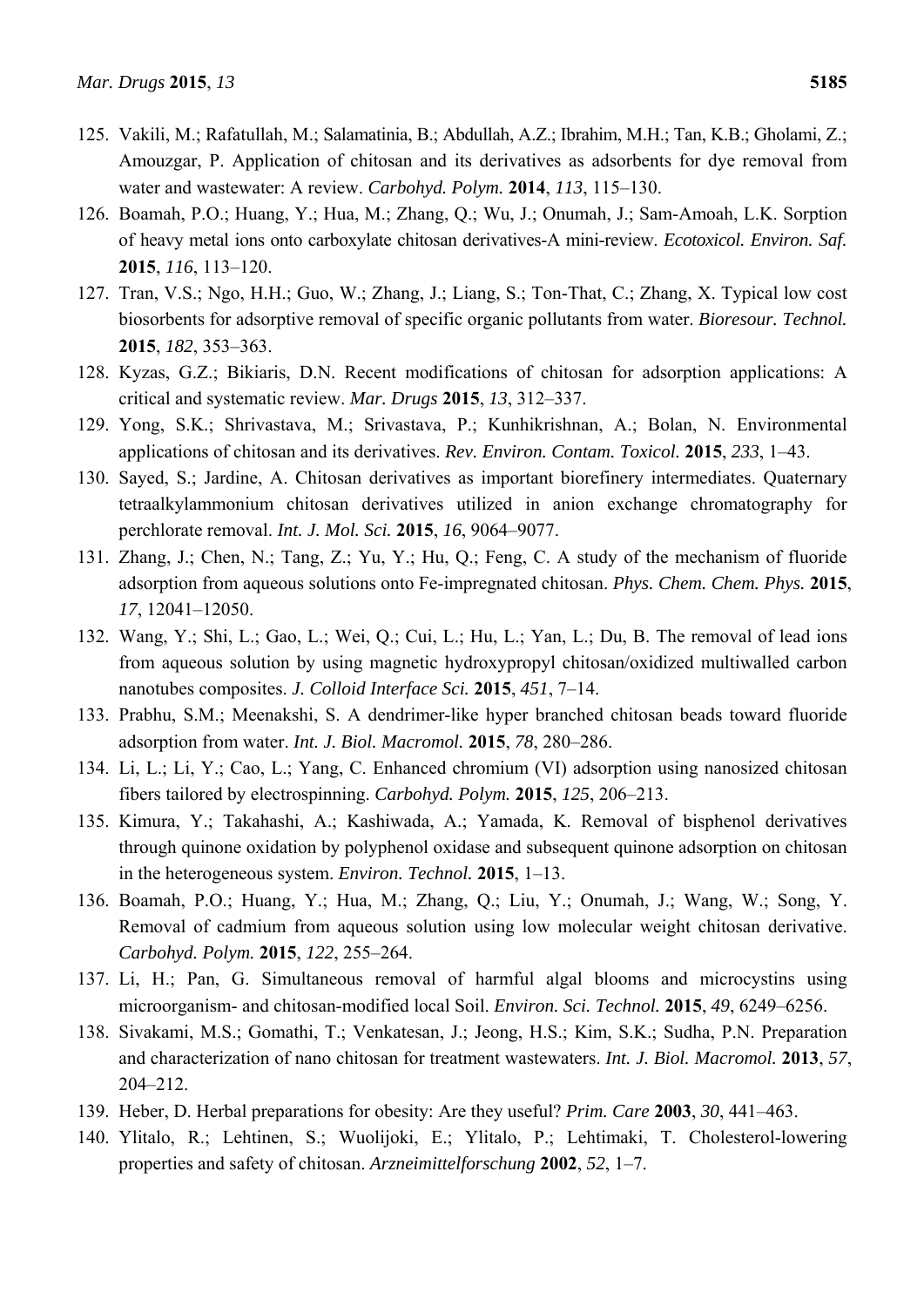- 125. Vakili, M.; Rafatullah, M.; Salamatinia, B.; Abdullah, A.Z.; Ibrahim, M.H.; Tan, K.B.; Gholami, Z.; Amouzgar, P. Application of chitosan and its derivatives as adsorbents for dye removal from water and wastewater: A review. *Carbohyd. Polym.* **2014**, *113*, 115–130.
- 126. Boamah, P.O.; Huang, Y.; Hua, M.; Zhang, Q.; Wu, J.; Onumah, J.; Sam-Amoah, L.K. Sorption of heavy metal ions onto carboxylate chitosan derivatives-A mini-review. *Ecotoxicol. Environ. Saf.*  **2015**, *116*, 113–120.
- 127. Tran, V.S.; Ngo, H.H.; Guo, W.; Zhang, J.; Liang, S.; Ton-That, C.; Zhang, X. Typical low cost biosorbents for adsorptive removal of specific organic pollutants from water. *Bioresour. Technol.*  **2015**, *182*, 353–363.
- 128. Kyzas, G.Z.; Bikiaris, D.N. Recent modifications of chitosan for adsorption applications: A critical and systematic review. *Mar. Drugs* **2015**, *13*, 312–337.
- 129. Yong, S.K.; Shrivastava, M.; Srivastava, P.; Kunhikrishnan, A.; Bolan, N. Environmental applications of chitosan and its derivatives. *Rev. Environ. Contam. Toxicol.* **2015**, *233*, 1–43.
- 130. Sayed, S.; Jardine, A. Chitosan derivatives as important biorefinery intermediates. Quaternary tetraalkylammonium chitosan derivatives utilized in anion exchange chromatography for perchlorate removal. *Int. J. Mol. Sci.* **2015**, *16*, 9064–9077.
- 131. Zhang, J.; Chen, N.; Tang, Z.; Yu, Y.; Hu, Q.; Feng, C. A study of the mechanism of fluoride adsorption from aqueous solutions onto Fe-impregnated chitosan. *Phys. Chem. Chem. Phys.* **2015**, *17*, 12041–12050.
- 132. Wang, Y.; Shi, L.; Gao, L.; Wei, Q.; Cui, L.; Hu, L.; Yan, L.; Du, B. The removal of lead ions from aqueous solution by using magnetic hydroxypropyl chitosan/oxidized multiwalled carbon nanotubes composites. *J. Colloid Interface Sci.* **2015**, *451*, 7–14.
- 133. Prabhu, S.M.; Meenakshi, S. A dendrimer-like hyper branched chitosan beads toward fluoride adsorption from water. *Int. J. Biol. Macromol.* **2015**, *78*, 280–286.
- 134. Li, L.; Li, Y.; Cao, L.; Yang, C. Enhanced chromium (VI) adsorption using nanosized chitosan fibers tailored by electrospinning. *Carbohyd. Polym.* **2015**, *125*, 206–213.
- 135. Kimura, Y.; Takahashi, A.; Kashiwada, A.; Yamada, K. Removal of bisphenol derivatives through quinone oxidation by polyphenol oxidase and subsequent quinone adsorption on chitosan in the heterogeneous system. *Environ. Technol.* **2015**, 1–13.
- 136. Boamah, P.O.; Huang, Y.; Hua, M.; Zhang, Q.; Liu, Y.; Onumah, J.; Wang, W.; Song, Y. Removal of cadmium from aqueous solution using low molecular weight chitosan derivative. *Carbohyd. Polym.* **2015**, *122*, 255–264.
- 137. Li, H.; Pan, G. Simultaneous removal of harmful algal blooms and microcystins using microorganism- and chitosan-modified local Soil. *Environ. Sci. Technol.* **2015**, *49*, 6249–6256.
- 138. Sivakami, M.S.; Gomathi, T.; Venkatesan, J.; Jeong, H.S.; Kim, S.K.; Sudha, P.N. Preparation and characterization of nano chitosan for treatment wastewaters. *Int. J. Biol. Macromol.* **2013**, *57*, 204–212.
- 139. Heber, D. Herbal preparations for obesity: Are they useful? *Prim. Care* **2003**, *30*, 441–463.
- 140. Ylitalo, R.; Lehtinen, S.; Wuolijoki, E.; Ylitalo, P.; Lehtimaki, T. Cholesterol-lowering properties and safety of chitosan. *Arzneimittelforschung* **2002**, *52*, 1–7.